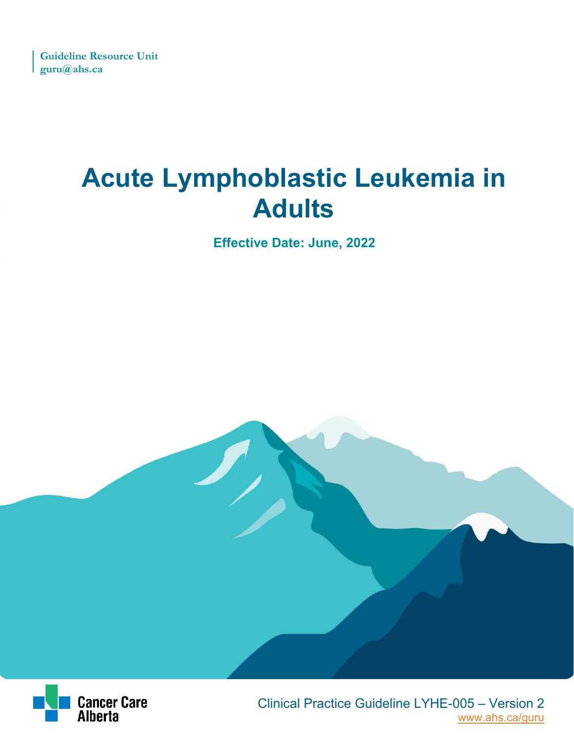# **Acute Lymphoblastic Leukemia in Adults**

**Effective Date: June, 2022**



 [www.ahs.ca/guru](http://www.ahs.ca/guru) Clinical Practice Guideline LYHE-005 – Version 2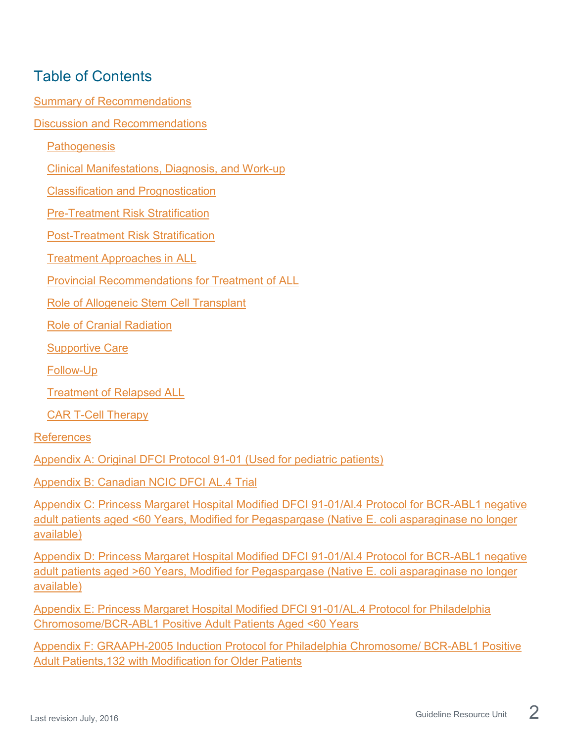## Table of Contents

[Summary of Recommendations](#page-2-0)

[Discussion and Recommendations](#page-7-0)

**[Pathogenesis](#page-7-1)** 

[Clinical Manifestations, Diagnosis, and Work-up](#page-7-2)

[Classification and Prognostication](#page-8-0)

[Pre-Treatment Risk Stratification](#page-16-0)

[Post-Treatment Risk Stratification](#page-20-0)

[Treatment Approaches in ALL](#page-23-0)

[Provincial Recommendations for Treatment of ALL](#page-28-0)

[Role of Allogeneic Stem Cell Transplant](#page-34-0)

[Role of Cranial Radiation](#page-37-0)

[Supportive Care](#page-38-0)

[Follow-Up](#page-40-0)

[Treatment of Relapsed ALL](#page-40-1)

[CAR T-Cell Therapy](#page-42-0)

[References](#page-45-0)

[Appendix A: Original DFCI Protocol 91-01 \(Used for pediatric patients\)](#page-53-0)

[Appendix B: Canadian NCIC DFCI AL.4 Trial](#page-54-0)

[Appendix C: Princess Margaret Hospital Modified DFCI 91-01/Al.4 Protocol for BCR-ABL1 negative](#page-55-0)  [adult patients aged <60 Years, Modified for Pegaspargase \(Native E. coli asparaginase no longer](#page-55-0)  [available\)](#page-55-0)

[Appendix D: Princess Margaret Hospital Modified DFCI 91-01/Al.4 Protocol for BCR-ABL1 negative](#page-56-0)  [adult patients aged >60 Years, Modified for Pegaspargase \(Native E. coli asparaginase no longer](#page-56-0)  [available\)](#page-56-0)

[Appendix E: Princess Margaret Hospital Modified DFCI 91-01/AL.4 Protocol for Philadelphia](#page-57-0)  [Chromosome/BCR-ABL1 Positive Adult Patients Aged <60 Years](#page-57-0)

[Appendix F: GRAAPH-2005 Induction Protocol for Philadelphia Chromosome/ BCR-ABL1 Positive](#page-58-0)  [Adult Patients,132 with Modification for Older Patients](#page-58-0)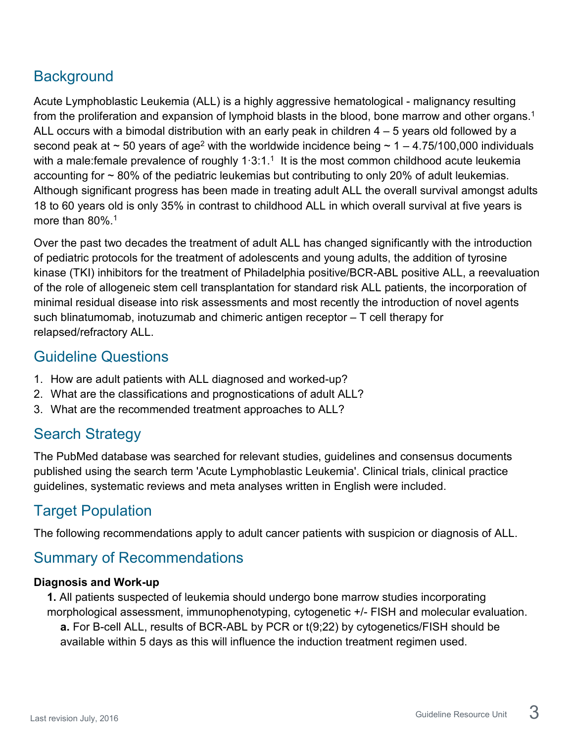## **Background**

Acute Lymphoblastic Leukemia (ALL) is a highly aggressive hematological - malignancy resulting from the proliferation and expansion of lymphoid blasts in the blood, bone marrow and other organs.<sup>1</sup> ALL occurs with a bimodal distribution with an early peak in children 4 – 5 years old followed by a second peak at  $\sim$  50 years of age<sup>2</sup> with the worldwide incidence being  $\sim$  1 – 4.75/100,000 individuals with a male: female prevalence of roughly  $1.3:1<sup>-1</sup>$  It is the most common childhood acute leukemia accounting for  $\sim$  80% of the pediatric leukemias but contributing to only 20% of adult leukemias. Although significant progress has been made in treating adult ALL the overall survival amongst adults 18 to 60 years old is only 35% in contrast to childhood ALL in which overall survival at five years is more than 80%.<sup>1</sup>

Over the past two decades the treatment of adult ALL has changed significantly with the introduction of pediatric protocols for the treatment of adolescents and young adults, the addition of tyrosine kinase (TKI) inhibitors for the treatment of Philadelphia positive/BCR-ABL positive ALL, a reevaluation of the role of allogeneic stem cell transplantation for standard risk ALL patients, the incorporation of minimal residual disease into risk assessments and most recently the introduction of novel agents such blinatumomab, inotuzumab and chimeric antigen receptor – T cell therapy for relapsed/refractory ALL.

### Guideline Questions

- 1. How are adult patients with ALL diagnosed and worked-up?
- 2. What are the classifications and prognostications of adult ALL?
- 3. What are the recommended treatment approaches to ALL?

## Search Strategy

The PubMed database was searched for relevant studies, guidelines and consensus documents published using the search term 'Acute Lymphoblastic Leukemia'. Clinical trials, clinical practice guidelines, systematic reviews and meta analyses written in English were included.

## Target Population

The following recommendations apply to adult cancer patients with suspicion or diagnosis of ALL.

## <span id="page-2-0"></span>Summary of Recommendations

### **Diagnosis and Work-up**

**1.** All patients suspected of leukemia should undergo bone marrow studies incorporating morphological assessment, immunophenotyping, cytogenetic +/- FISH and molecular evaluation. **a.** For B-cell ALL, results of BCR-ABL by PCR or t(9;22) by cytogenetics/FISH should be

available within 5 days as this will influence the induction treatment regimen used.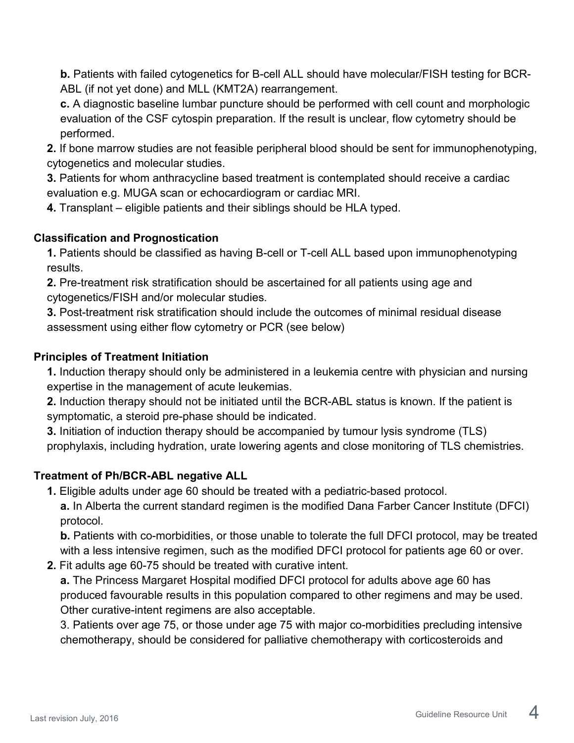**b.** Patients with failed cytogenetics for B-cell ALL should have molecular/FISH testing for BCR-ABL (if not yet done) and MLL (KMT2A) rearrangement.

**c.** A diagnostic baseline lumbar puncture should be performed with cell count and morphologic evaluation of the CSF cytospin preparation. If the result is unclear, flow cytometry should be performed.

- **2.** If bone marrow studies are not feasible peripheral blood should be sent for immunophenotyping, cytogenetics and molecular studies.
- **3.** Patients for whom anthracycline based treatment is contemplated should receive a cardiac evaluation e.g. MUGA scan or echocardiogram or cardiac MRI.
- **4.** Transplant eligible patients and their siblings should be HLA typed.

### **Classification and Prognostication**

**1.** Patients should be classified as having B-cell or T-cell ALL based upon immunophenotyping results.

**2.** Pre-treatment risk stratification should be ascertained for all patients using age and cytogenetics/FISH and/or molecular studies.

**3.** Post-treatment risk stratification should include the outcomes of minimal residual disease assessment using either flow cytometry or PCR (see below)

### **Principles of Treatment Initiation**

**1.** Induction therapy should only be administered in a leukemia centre with physician and nursing expertise in the management of acute leukemias.

**2.** Induction therapy should not be initiated until the BCR-ABL status is known. If the patient is symptomatic, a steroid pre-phase should be indicated.

**3.** Initiation of induction therapy should be accompanied by tumour lysis syndrome (TLS) prophylaxis, including hydration, urate lowering agents and close monitoring of TLS chemistries.

### **Treatment of Ph/BCR-ABL negative ALL**

**1.** Eligible adults under age 60 should be treated with a pediatric-based protocol.

**a.** In Alberta the current standard regimen is the modified Dana Farber Cancer Institute (DFCI) protocol.

**b.** Patients with co-morbidities, or those unable to tolerate the full DFCI protocol, may be treated with a less intensive regimen, such as the modified DFCI protocol for patients age 60 or over.

**2.** Fit adults age 60-75 should be treated with curative intent.

**a.** The Princess Margaret Hospital modified DFCI protocol for adults above age 60 has produced favourable results in this population compared to other regimens and may be used. Other curative-intent regimens are also acceptable.

3. Patients over age 75, or those under age 75 with major co-morbidities precluding intensive chemotherapy, should be considered for palliative chemotherapy with corticosteroids and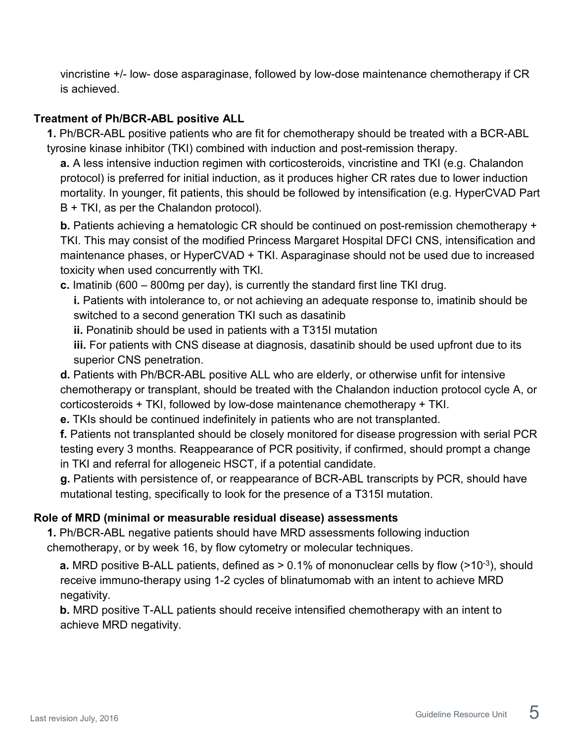vincristine +/- low- dose asparaginase, followed by low-dose maintenance chemotherapy if CR is achieved.

#### **Treatment of Ph/BCR-ABL positive ALL**

**1.** Ph/BCR-ABL positive patients who are fit for chemotherapy should be treated with a BCR-ABL tyrosine kinase inhibitor (TKI) combined with induction and post-remission therapy.

**a.** A less intensive induction regimen with corticosteroids, vincristine and TKI (e.g. Chalandon protocol) is preferred for initial induction, as it produces higher CR rates due to lower induction mortality. In younger, fit patients, this should be followed by intensification (e.g. HyperCVAD Part B + TKI, as per the Chalandon protocol).

**b.** Patients achieving a hematologic CR should be continued on post-remission chemotherapy + TKI. This may consist of the modified Princess Margaret Hospital DFCI CNS, intensification and maintenance phases, or HyperCVAD + TKI. Asparaginase should not be used due to increased toxicity when used concurrently with TKI.

**c.** Imatinib (600 – 800mg per day), is currently the standard first line TKI drug.

**i.** Patients with intolerance to, or not achieving an adequate response to, imatinib should be switched to a second generation TKI such as dasatinib

**ii.** Ponatinib should be used in patients with a T315I mutation

**iii.** For patients with CNS disease at diagnosis, dasatinib should be used upfront due to its superior CNS penetration.

**d.** Patients with Ph/BCR-ABL positive ALL who are elderly, or otherwise unfit for intensive chemotherapy or transplant, should be treated with the Chalandon induction protocol cycle A, or corticosteroids + TKI, followed by low-dose maintenance chemotherapy + TKI.

**e.** TKIs should be continued indefinitely in patients who are not transplanted.

**f.** Patients not transplanted should be closely monitored for disease progression with serial PCR testing every 3 months. Reappearance of PCR positivity, if confirmed, should prompt a change in TKI and referral for allogeneic HSCT, if a potential candidate.

**g.** Patients with persistence of, or reappearance of BCR-ABL transcripts by PCR, should have mutational testing, specifically to look for the presence of a T315I mutation.

#### **Role of MRD (minimal or measurable residual disease) assessments**

**1.** Ph/BCR-ABL negative patients should have MRD assessments following induction chemotherapy, or by week 16, by flow cytometry or molecular techniques.

**a.** MRD positive B-ALL patients, defined as  $> 0.1\%$  of mononuclear cells by flow ( $>10^{-3}$ ), should receive immuno-therapy using 1-2 cycles of blinatumomab with an intent to achieve MRD negativity.

**b.** MRD positive T-ALL patients should receive intensified chemotherapy with an intent to achieve MRD negativity.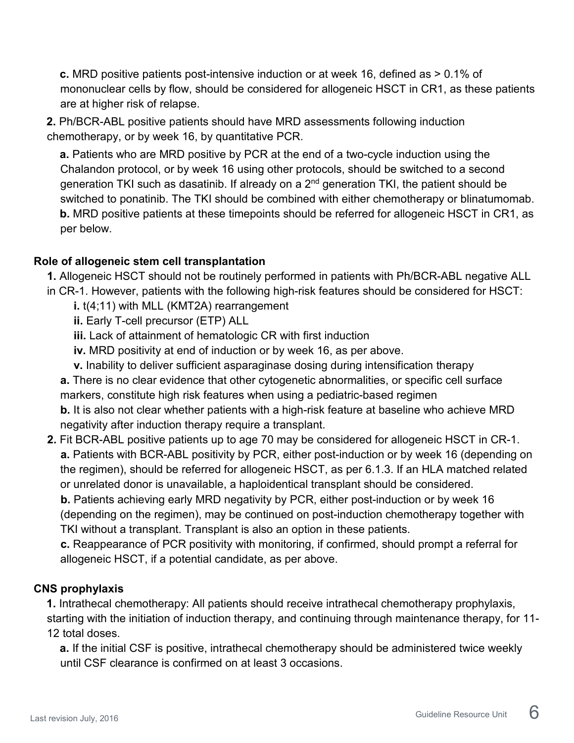**c.** MRD positive patients post-intensive induction or at week 16, defined as > 0.1% of mononuclear cells by flow, should be considered for allogeneic HSCT in CR1, as these patients are at higher risk of relapse.

**2.** Ph/BCR-ABL positive patients should have MRD assessments following induction chemotherapy, or by week 16, by quantitative PCR.

**a.** Patients who are MRD positive by PCR at the end of a two-cycle induction using the Chalandon protocol, or by week 16 using other protocols, should be switched to a second generation TKI such as dasatinib. If already on a  $2<sup>nd</sup>$  generation TKI, the patient should be switched to ponatinib. The TKI should be combined with either chemotherapy or blinatumomab. **b.** MRD positive patients at these timepoints should be referred for allogeneic HSCT in CR1, as per below.

#### **Role of allogeneic stem cell transplantation**

**1.** Allogeneic HSCT should not be routinely performed in patients with Ph/BCR-ABL negative ALL

in CR-1. However, patients with the following high-risk features should be considered for HSCT:

**i.** t(4;11) with MLL (KMT2A) rearrangement

**ii.** Early T-cell precursor (ETP) ALL

**iii.** Lack of attainment of hematologic CR with first induction

**iv.** MRD positivity at end of induction or by week 16, as per above.

**v.** Inability to deliver sufficient asparaginase dosing during intensification therapy

**a.** There is no clear evidence that other cytogenetic abnormalities, or specific cell surface markers, constitute high risk features when using a pediatric-based regimen

**b.** It is also not clear whether patients with a high-risk feature at baseline who achieve MRD negativity after induction therapy require a transplant.

**2.** Fit BCR-ABL positive patients up to age 70 may be considered for allogeneic HSCT in CR-1. **a.** Patients with BCR-ABL positivity by PCR, either post-induction or by week 16 (depending on the regimen), should be referred for allogeneic HSCT, as per 6.1.3. If an HLA matched related or unrelated donor is unavailable, a haploidentical transplant should be considered.

**b.** Patients achieving early MRD negativity by PCR, either post-induction or by week 16 (depending on the regimen), may be continued on post-induction chemotherapy together with TKI without a transplant. Transplant is also an option in these patients.

**c.** Reappearance of PCR positivity with monitoring, if confirmed, should prompt a referral for allogeneic HSCT, if a potential candidate, as per above.

### **CNS prophylaxis**

**1.** Intrathecal chemotherapy: All patients should receive intrathecal chemotherapy prophylaxis, starting with the initiation of induction therapy, and continuing through maintenance therapy, for 11- 12 total doses.

**a.** If the initial CSF is positive, intrathecal chemotherapy should be administered twice weekly until CSF clearance is confirmed on at least 3 occasions.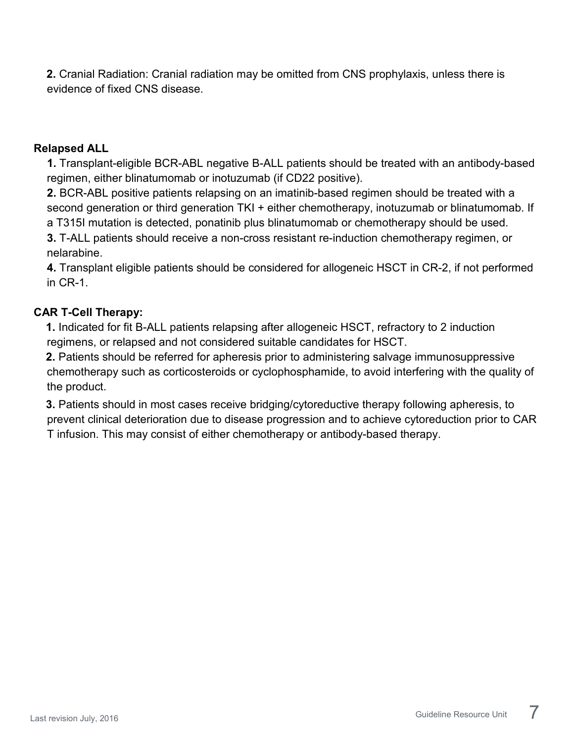**2.** Cranial Radiation: Cranial radiation may be omitted from CNS prophylaxis, unless there is evidence of fixed CNS disease.

#### **Relapsed ALL**

**1.** Transplant-eligible BCR-ABL negative B-ALL patients should be treated with an antibody-based regimen, either blinatumomab or inotuzumab (if CD22 positive).

**2.** BCR-ABL positive patients relapsing on an imatinib-based regimen should be treated with a second generation or third generation TKI + either chemotherapy, inotuzumab or blinatumomab. If a T315I mutation is detected, ponatinib plus blinatumomab or chemotherapy should be used.

**3.** T-ALL patients should receive a non-cross resistant re-induction chemotherapy regimen, or nelarabine.

**4.** Transplant eligible patients should be considered for allogeneic HSCT in CR-2, if not performed in CR-1.

#### **CAR T-Cell Therapy:**

**1.** Indicated for fit B-ALL patients relapsing after allogeneic HSCT, refractory to 2 induction regimens, or relapsed and not considered suitable candidates for HSCT.

**2.** Patients should be referred for apheresis prior to administering salvage immunosuppressive chemotherapy such as corticosteroids or cyclophosphamide, to avoid interfering with the quality of the product.

**3.** Patients should in most cases receive bridging/cytoreductive therapy following apheresis, to prevent clinical deterioration due to disease progression and to achieve cytoreduction prior to CAR T infusion. This may consist of either chemotherapy or antibody-based therapy.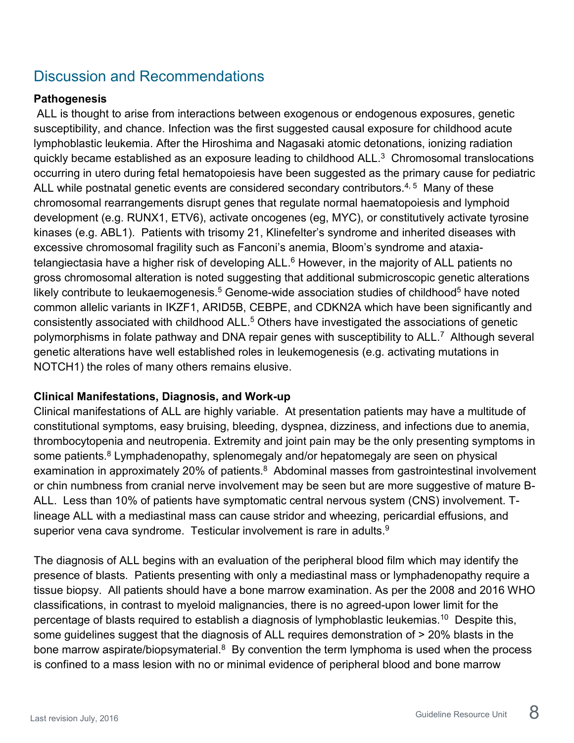## <span id="page-7-0"></span>Discussion and Recommendations

#### <span id="page-7-1"></span>**Pathogenesis**

ALL is thought to arise from interactions between exogenous or endogenous exposures, genetic susceptibility, and chance. Infection was the first suggested causal exposure for childhood acute lymphoblastic leukemia. After the Hiroshima and Nagasaki atomic detonations, ionizing radiation quickly became established as an exposure leading to childhood  $ALL<sup>3</sup>$  Chromosomal translocations occurring in utero during fetal hematopoiesis have been suggested as the primary cause for pediatric ALL while postnatal genetic events are considered secondary contributors. $^{\mathcal{A},\,5\,}$  Many of these chromosomal rearrangements disrupt genes that regulate normal haematopoiesis and lymphoid development (e.g. RUNX1, ETV6), activate oncogenes (eg, MYC), or constitutively activate tyrosine kinases (e.g. ABL1). Patients with trisomy 21, Klinefelter's syndrome and inherited diseases with excessive chromosomal fragility such as Fanconi's anemia, Bloom's syndrome and ataxiatelangiectasia have a higher risk of developing ALL.<sup>6</sup> However, in the majority of ALL patients no gross chromosomal alteration is noted suggesting that additional submicroscopic genetic alterations likely contribute to leukaemogenesis.<sup>5</sup> Genome-wide association studies of childhood<sup>5</sup> have noted common allelic variants in IKZF1, ARID5B, CEBPE, and CDKN2A which have been significantly and consistently associated with childhood ALL.<sup>5</sup> Others have investigated the associations of genetic polymorphisms in folate pathway and DNA repair genes with susceptibility to ALL.<sup>7</sup> Although several genetic alterations have well established roles in leukemogenesis (e.g. activating mutations in NOTCH1) the roles of many others remains elusive.

#### <span id="page-7-2"></span>**Clinical Manifestations, Diagnosis, and Work-up**

Clinical manifestations of ALL are highly variable. At presentation patients may have a multitude of constitutional symptoms, easy bruising, bleeding, dyspnea, dizziness, and infections due to anemia, thrombocytopenia and neutropenia. Extremity and joint pain may be the only presenting symptoms in some patients. $8 \text{ Lymphadenopathy}$ , splenomegaly and/or hepatomegaly are seen on physical examination in approximately 20% of patients. $8$  Abdominal masses from gastrointestinal involvement or chin numbness from cranial nerve involvement may be seen but are more suggestive of mature B-ALL. Less than 10% of patients have symptomatic central nervous system (CNS) involvement. Tlineage ALL with a mediastinal mass can cause stridor and wheezing, pericardial effusions, and superior vena cava syndrome. Testicular involvement is rare in adults.<sup>9</sup>

The diagnosis of ALL begins with an evaluation of the peripheral blood film which may identify the presence of blasts. Patients presenting with only a mediastinal mass or lymphadenopathy require a tissue biopsy. All patients should have a bone marrow examination. As per the 2008 and 2016 WHO classifications, in contrast to myeloid malignancies, there is no agreed-upon lower limit for the percentage of blasts required to establish a diagnosis of lymphoblastic leukemias.<sup>10</sup> Despite this, some guidelines suggest that the diagnosis of ALL requires demonstration of > 20% blasts in the bone marrow aspirate/biopsymaterial. $8$  By convention the term lymphoma is used when the process is confined to a mass lesion with no or minimal evidence of peripheral blood and bone marrow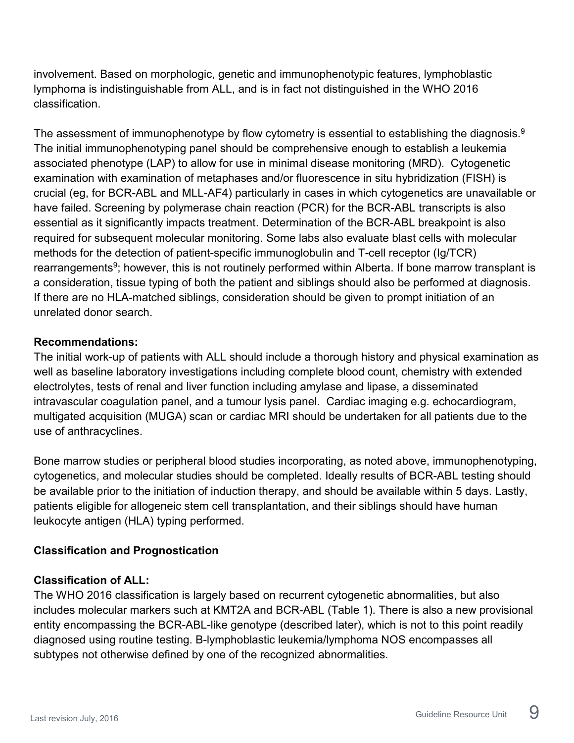involvement. Based on morphologic, genetic and immunophenotypic features, lymphoblastic lymphoma is indistinguishable from ALL, and is in fact not distinguished in the WHO 2016 classification.

The assessment of immunophenotype by flow cytometry is essential to establishing the diagnosis.<sup>9</sup> The initial immunophenotyping panel should be comprehensive enough to establish a leukemia associated phenotype (LAP) to allow for use in minimal disease monitoring (MRD). Cytogenetic examination with examination of metaphases and/or fluorescence in situ hybridization (FISH) is crucial (eg, for BCR-ABL and MLL-AF4) particularly in cases in which cytogenetics are unavailable or have failed. Screening by polymerase chain reaction (PCR) for the BCR-ABL transcripts is also essential as it significantly impacts treatment. Determination of the BCR-ABL breakpoint is also required for subsequent molecular monitoring. Some labs also evaluate blast cells with molecular methods for the detection of patient-specific immunoglobulin and T-cell receptor (Ig/TCR) rearrangements<sup>9</sup>; however, this is not routinely performed within Alberta. If bone marrow transplant is a consideration, tissue typing of both the patient and siblings should also be performed at diagnosis. If there are no HLA-matched siblings, consideration should be given to prompt initiation of an unrelated donor search.

#### **Recommendations:**

The initial work-up of patients with ALL should include a thorough history and physical examination as well as baseline laboratory investigations including complete blood count, chemistry with extended electrolytes, tests of renal and liver function including amylase and lipase, a disseminated intravascular coagulation panel, and a tumour lysis panel. Cardiac imaging e.g. echocardiogram, multigated acquisition (MUGA) scan or cardiac MRI should be undertaken for all patients due to the use of anthracyclines.

Bone marrow studies or peripheral blood studies incorporating, as noted above, immunophenotyping, cytogenetics, and molecular studies should be completed. Ideally results of BCR-ABL testing should be available prior to the initiation of induction therapy, and should be available within 5 days. Lastly, patients eligible for allogeneic stem cell transplantation, and their siblings should have human leukocyte antigen (HLA) typing performed.

#### <span id="page-8-0"></span>**Classification and Prognostication**

#### **Classification of ALL:**

The WHO 2016 classification is largely based on recurrent cytogenetic abnormalities, but also includes molecular markers such at KMT2A and BCR-ABL (Table 1). There is also a new provisional entity encompassing the BCR-ABL-like genotype (described later), which is not to this point readily diagnosed using routine testing. B-lymphoblastic leukemia/lymphoma NOS encompasses all subtypes not otherwise defined by one of the recognized abnormalities.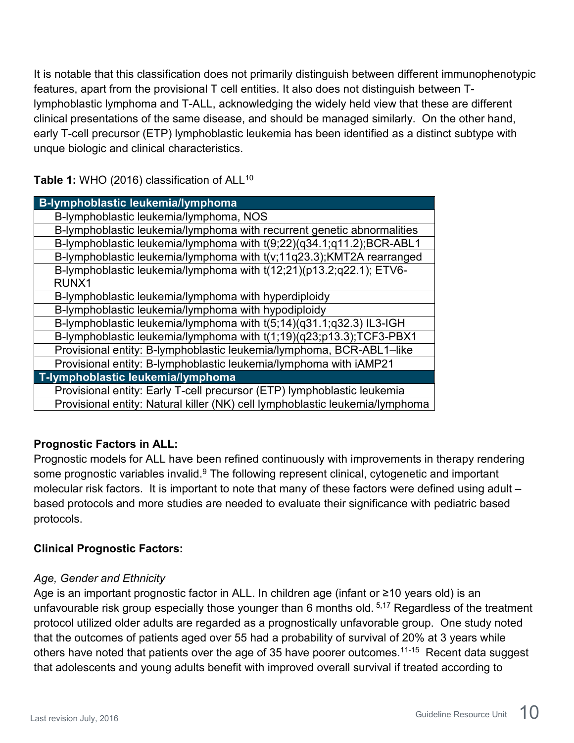It is notable that this classification does not primarily distinguish between different immunophenotypic features, apart from the provisional T cell entities. It also does not distinguish between Tlymphoblastic lymphoma and T-ALL, acknowledging the widely held view that these are different clinical presentations of the same disease, and should be managed similarly. On the other hand, early T-cell precursor (ETP) lymphoblastic leukemia has been identified as a distinct subtype with unque biologic and clinical characteristics.

Table 1: WHO (2016) classification of ALL<sup>10</sup>

| <b>B-lymphoblastic leukemia/lymphoma</b>                                     |
|------------------------------------------------------------------------------|
| B-lymphoblastic leukemia/lymphoma, NOS                                       |
| B-lymphoblastic leukemia/lymphoma with recurrent genetic abnormalities       |
| B-lymphoblastic leukemia/lymphoma with t(9;22)(q34.1;q11.2);BCR-ABL1         |
| B-lymphoblastic leukemia/lymphoma with t(v;11q23.3);KMT2A rearranged         |
| B-lymphoblastic leukemia/lymphoma with t(12;21)(p13.2;q22.1); ETV6-          |
| RUNX1                                                                        |
| B-lymphoblastic leukemia/lymphoma with hyperdiploidy                         |
| B-lymphoblastic leukemia/lymphoma with hypodiploidy                          |
| B-lymphoblastic leukemia/lymphoma with t(5;14)(q31.1;q32.3) IL3-IGH          |
| B-lymphoblastic leukemia/lymphoma with t(1;19)(q23;p13.3);TCF3-PBX1          |
| Provisional entity: B-lymphoblastic leukemia/lymphoma, BCR-ABL1-like         |
| Provisional entity: B-lymphoblastic leukemia/lymphoma with iAMP21            |
| T-lymphoblastic leukemia/lymphoma                                            |
| Provisional entity: Early T-cell precursor (ETP) lymphoblastic leukemia      |
| Provisional entity: Natural killer (NK) cell lymphoblastic leukemia/lymphoma |

### **Prognostic Factors in ALL:**

Prognostic models for ALL have been refined continuously with improvements in therapy rendering some prognostic variables invalid.<sup>9</sup> The following represent clinical, cytogenetic and important molecular risk factors. It is important to note that many of these factors were defined using adult – based protocols and more studies are needed to evaluate their significance with pediatric based protocols.

### **Clinical Prognostic Factors:**

#### *Age, Gender and Ethnicity*

Age is an important prognostic factor in ALL. In children age (infant or ≥10 years old) is an unfavourable risk group especially those younger than 6 months old. 5,17 Regardless of the treatment protocol utilized older adults are regarded as a prognostically unfavorable group. One study noted that the outcomes of patients aged over 55 had a probability of survival of 20% at 3 years while others have noted that patients over the age of 35 have poorer outcomes.<sup>11-15</sup> Recent data suggest that adolescents and young adults benefit with improved overall survival if treated according to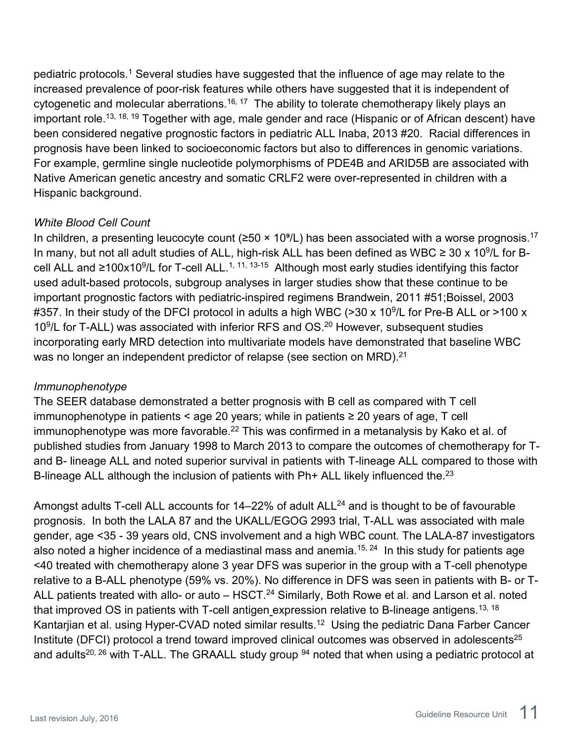pediatric protocols.<sup>1</sup> Several studies have suggested that the influence of age may relate to the increased prevalence of poor-risk features while others have suggested that it is independent of cytogenetic and molecular aberrations.<sup>16, 17</sup> The ability to tolerate chemotherapy likely plays an important role.<sup>13, 18, 19</sup> Together with age, male gender and race (Hispanic or of African descent) have been considered negative prognostic factors in pediatric ALL Inaba, 2013 #20. Racial differences in prognosis have been linked to socioeconomic factors but also to differences in genomic variations. For example, germline single nucleotide polymorphisms of PDE4B and ARID5B are associated with Native American genetic ancestry and somatic CRLF2 were over-represented in children with a Hispanic background.

#### *White Blood Cell Count*

In children, a presenting leucocyte count ( $\geq 50 \times 10^9$ /L) has been associated with a worse prognosis.<sup>17</sup> In many, but not all adult studies of ALL, high-risk ALL has been defined as WBC  $\geq 30 \times 10^9$ /L for Bcell ALL and ≥100x10<sup>9</sup>/L for T-cell ALL.<sup>1, 11, 13-15</sup> Although most early studies identifying this factor used adult-based protocols, subgroup analyses in larger studies show that these continue to be important prognostic factors with pediatric-inspired regimens Brandwein, 2011 #51;Boissel, 2003 #357. In their study of the DFCI protocol in adults a high WBC (>30 x 10<sup>9</sup>/L for Pre-B ALL or >100 x 10<sup>9</sup>/L for T-ALL) was associated with inferior RFS and OS.<sup>20</sup> However, subsequent studies incorporating early MRD detection into multivariate models have demonstrated that baseline WBC was no longer an independent predictor of relapse (see section on MRD).<sup>21</sup>

#### *Immunophenotype*

The SEER database demonstrated a better prognosis with B cell as compared with T cell immunophenotype in patients < age 20 years; while in patients  $\geq$  20 years of age, T cell immunophenotype was more favorable.<sup>22</sup> This was confirmed in a metanalysis by Kako et al. of published studies from January 1998 to March 2013 to compare the outcomes of chemotherapy for Tand B- lineage ALL and noted superior survival in patients with T-lineage ALL compared to those with B-lineage ALL although the inclusion of patients with Ph+ ALL likely influenced the.<sup>23</sup>

Amongst adults T-cell ALL accounts for  $14-22%$  of adult ALL<sup>24</sup> and is thought to be of favourable prognosis. In both the LALA 87 and the UKALL/EGOG 2993 trial, T-ALL was associated with male gender, age <35 - 39 years old, CNS involvement and a high WBC count. The LALA-87 investigators also noted a higher incidence of a mediastinal mass and anemia.<sup>15, 24</sup> In this study for patients age <40 treated with chemotherapy alone 3 year DFS was superior in the group with a T-cell phenotype relative to a B-ALL phenotype (59% vs. 20%). No difference in DFS was seen in patients with B- or T-ALL patients treated with allo- or auto – HSCT.<sup>24</sup> Similarly, Both Rowe et al. and Larson et al. noted that improved OS in patients with T-cell antigen expression relative to B-lineage antigens.<sup>13, 18</sup> Kantarjian et al. using Hyper-CVAD noted similar results.<sup>12</sup> Using the pediatric Dana Farber Cancer Institute (DFCI) protocol a trend toward improved clinical outcomes was observed in adolescents $^{25}$ and adults<sup>20, 26</sup> with T-ALL. The GRAALL study group  $94$  noted that when using a pediatric protocol at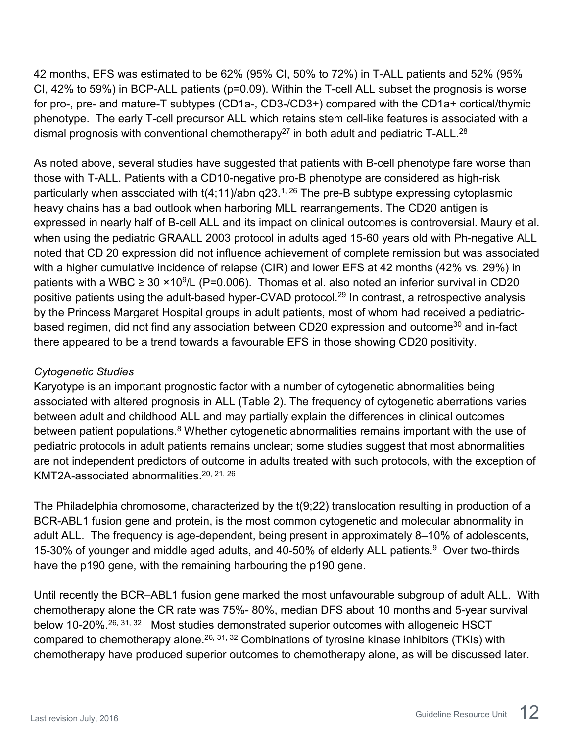42 months, EFS was estimated to be 62% (95% CI, 50% to 72%) in T-ALL patients and 52% (95% CI, 42% to 59%) in BCP-ALL patients (p=0.09). Within the T-cell ALL subset the prognosis is worse for pro-, pre- and mature-T subtypes (CD1a-, CD3-/CD3+) compared with the CD1a+ cortical/thymic phenotype. The early T-cell precursor ALL which retains stem cell-like features is associated with a dismal prognosis with conventional chemotherapy<sup>27</sup> in both adult and pediatric T-ALL.<sup>28</sup>

As noted above, several studies have suggested that patients with B-cell phenotype fare worse than those with T-ALL. Patients with a CD10-negative pro-B phenotype are considered as high-risk particularly when associated with  $t(4;11)/abn$  q23.<sup>1, 26</sup> The pre-B subtype expressing cytoplasmic heavy chains has a bad outlook when harboring MLL rearrangements. The CD20 antigen is expressed in nearly half of B-cell ALL and its impact on clinical outcomes is controversial. Maury et al. when using the pediatric GRAALL 2003 protocol in adults aged 15-60 years old with Ph-negative ALL noted that CD 20 expression did not influence achievement of complete remission but was associated with a higher cumulative incidence of relapse (CIR) and lower EFS at 42 months (42% vs. 29%) in patients with a WBC  $\geq 30 \times 10^9$ /L (P=0.006). Thomas et al. also noted an inferior survival in CD20 positive patients using the adult-based hyper-CVAD protocol.<sup>29</sup> In contrast, a retrospective analysis by the Princess Margaret Hospital groups in adult patients, most of whom had received a pediatricbased regimen, did not find any association between CD20 expression and outcome<sup>30</sup> and in-fact there appeared to be a trend towards a favourable EFS in those showing CD20 positivity.

### *Cytogenetic Studies*

Karyotype is an important prognostic factor with a number of cytogenetic abnormalities being associated with altered prognosis in ALL (Table 2). The frequency of cytogenetic aberrations varies between adult and childhood ALL and may partially explain the differences in clinical outcomes between patient populations.<sup>8</sup> Whether cytogenetic abnormalities remains important with the use of pediatric protocols in adult patients remains unclear; some studies suggest that most abnormalities are not independent predictors of outcome in adults treated with such protocols, with the exception of KMT2A-associated abnormalities. 20, 21, 26

The Philadelphia chromosome, characterized by the t(9;22) translocation resulting in production of a BCR-ABL1 fusion gene and protein, is the most common cytogenetic and molecular abnormality in adult ALL. The frequency is age-dependent, being present in approximately 8–10% of adolescents, 15-30% of younger and middle aged adults, and 40-50% of elderly ALL patients.<sup>9</sup> Over two-thirds have the p190 gene, with the remaining harbouring the p190 gene.

Until recently the BCR–ABL1 fusion gene marked the most unfavourable subgroup of adult ALL. With chemotherapy alone the CR rate was 75%- 80%, median DFS about 10 months and 5-year survival below 10-20%.<sup>26, 31, 32</sup> Most studies demonstrated superior outcomes with allogeneic HSCT compared to chemotherapy alone.<sup>26, 31, 32</sup> Combinations of tyrosine kinase inhibitors (TKIs) with chemotherapy have produced superior outcomes to chemotherapy alone, as will be discussed later.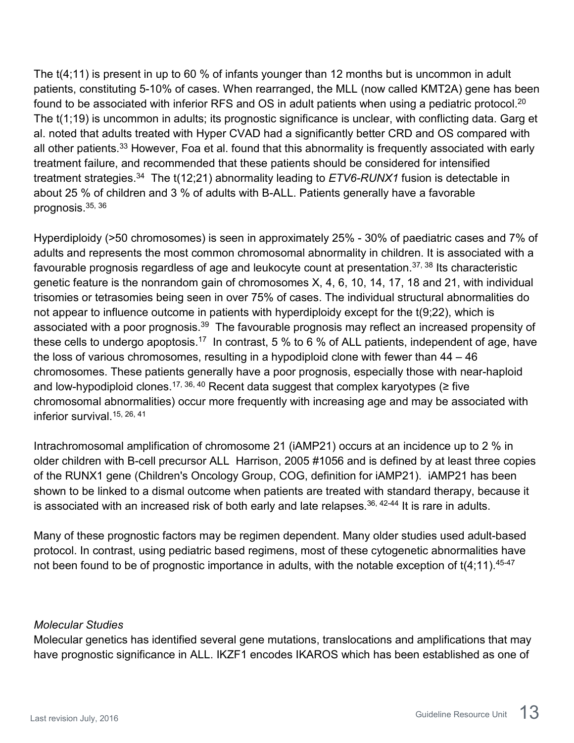The t(4;11) is present in up to 60 % of infants younger than 12 months but is uncommon in adult patients, constituting 5-10% of cases. When rearranged, the MLL (now called KMT2A) gene has been found to be associated with inferior RFS and OS in adult patients when using a pediatric protocol.<sup>20</sup> The t(1;19) is uncommon in adults; its prognostic significance is unclear, with conflicting data. Garg et al. noted that adults treated with Hyper CVAD had a significantly better CRD and OS compared with all other patients.<sup>33</sup> However, Foa et al. found that this abnormality is frequently associated with early treatment failure, and recommended that these patients should be considered for intensified treatment strategies. 34 The t(12;21) abnormality leading to *ETV6-RUNX1* fusion is detectable in about 25 % of children and 3 % of adults with B-ALL. Patients generally have a favorable prognosis.35, 36

Hyperdiploidy (>50 chromosomes) is seen in approximately 25% - 30% of paediatric cases and 7% of adults and represents the most common chromosomal abnormality in children. It is associated with a favourable prognosis regardless of age and leukocyte count at presentation. 37, 38 Its characteristic genetic feature is the nonrandom gain of chromosomes X, 4, 6, 10, 14, 17, 18 and 21, with individual trisomies or tetrasomies being seen in over 75% of cases. The individual structural abnormalities do not appear to influence outcome in patients with hyperdiploidy except for the t(9;22), which is associated with a poor prognosis.<sup>39</sup> The favourable prognosis may reflect an increased propensity of these cells to undergo apoptosis.<sup>17</sup> In contrast, 5 % to 6 % of ALL patients, independent of age, have the loss of various chromosomes, resulting in a hypodiploid clone with fewer than 44 – 46 chromosomes. These patients generally have a poor prognosis, especially those with near-haploid and low-hypodiploid clones.<sup>17, 36, 40</sup> Recent data suggest that complex karyotypes ( $\ge$  five chromosomal abnormalities) occur more frequently with increasing age and may be associated with inferior survival 15, 26, 41

Intrachromosomal amplification of chromosome 21 (iAMP21) occurs at an incidence up to 2 % in older children with B-cell precursor ALL Harrison, 2005 #1056 and is defined by at least three copies of the RUNX1 gene (Children's Oncology Group, COG, definition for iAMP21). iAMP21 has been shown to be linked to a dismal outcome when patients are treated with standard therapy, because it is associated with an increased risk of both early and late relapses.  $36, 42-44$  It is rare in adults.

Many of these prognostic factors may be regimen dependent. Many older studies used adult-based protocol. In contrast, using pediatric based regimens, most of these cytogenetic abnormalities have not been found to be of prognostic importance in adults, with the notable exception of  $t(4;11)$ .<sup>45-47</sup>

#### *Molecular Studies*

Molecular genetics has identified several gene mutations, translocations and amplifications that may have prognostic significance in ALL. IKZF1 encodes IKAROS which has been established as one of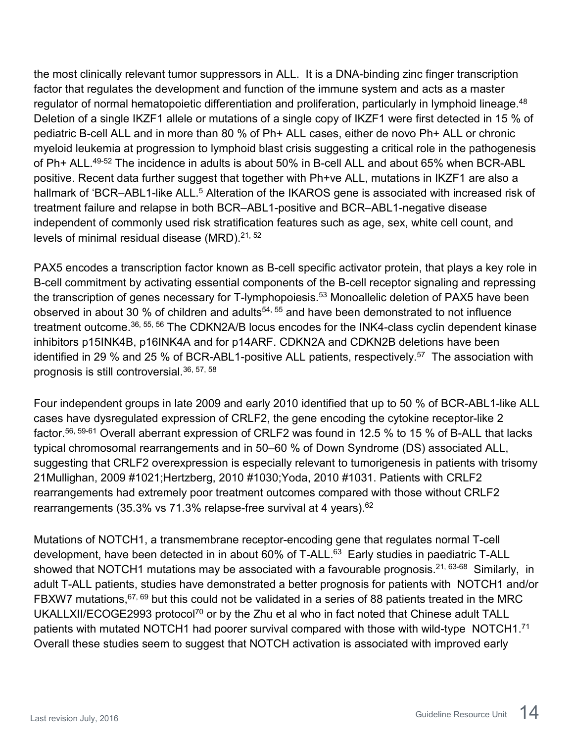the most clinically relevant tumor suppressors in ALL. It is a DNA-binding zinc finger transcription factor that regulates the development and function of the immune system and acts as a master regulator of normal hematopoietic differentiation and proliferation, particularly in lymphoid lineage.<sup>48</sup> Deletion of a single IKZF1 allele or mutations of a single copy of IKZF1 were first detected in 15 % of pediatric B-cell ALL and in more than 80 % of Ph+ ALL cases, either de novo Ph+ ALL or chronic myeloid leukemia at progression to lymphoid blast crisis suggesting a critical role in the pathogenesis of Ph+ ALL.<sup>49-52</sup> The incidence in adults is about 50% in B-cell ALL and about 65% when BCR-ABL positive. Recent data further suggest that together with Ph+ve ALL, mutations in IKZF1 are also a hallmark of 'BCR–ABL1-like ALL.<sup>5</sup> Alteration of the IKAROS gene is associated with increased risk of treatment failure and relapse in both BCR–ABL1-positive and BCR–ABL1-negative disease independent of commonly used risk stratification features such as age, sex, white cell count, and levels of minimal residual disease (MRD).<sup>21, 52</sup>

PAX5 encodes a transcription factor known as B-cell specific activator protein, that plays a key role in B-cell commitment by activating essential components of the B-cell receptor signaling and repressing the transcription of genes necessary for T-lymphopoiesis.<sup>53</sup> Monoallelic deletion of PAX5 have been observed in about 30 % of children and adults<sup>54, 55</sup> and have been demonstrated to not influence treatment outcome.36, 55, 56 The CDKN2A/B locus encodes for the INK4-class cyclin dependent kinase inhibitors p15INK4B, p16INK4A and for p14ARF. CDKN2A and CDKN2B deletions have been identified in 29 % and 25 % of BCR-ABL1-positive ALL patients, respectively.<sup>57</sup> The association with prognosis is still controversial.36, 57, 58

Four independent groups in late 2009 and early 2010 identified that up to 50 % of BCR-ABL1-like ALL cases have dysregulated expression of CRLF2, the gene encoding the cytokine receptor-like 2 factor.56, 59-61 Overall aberrant expression of CRLF2 was found in 12.5 % to 15 % of B-ALL that lacks typical chromosomal rearrangements and in 50–60 % of Down Syndrome (DS) associated ALL, suggesting that CRLF2 overexpression is especially relevant to tumorigenesis in patients with trisomy 21Mullighan, 2009 #1021;Hertzberg, 2010 #1030;Yoda, 2010 #1031. Patients with CRLF2 rearrangements had extremely poor treatment outcomes compared with those without CRLF2 rearrangements (35.3% vs 71.3% relapse-free survival at 4 years).<sup>62</sup>

Mutations of NOTCH1, a transmembrane receptor-encoding gene that regulates normal T-cell development, have been detected in in about 60% of T-ALL.<sup>63</sup> Early studies in paediatric T-ALL showed that NOTCH1 mutations may be associated with a favourable prognosis.<sup>21, 63-68</sup> Similarly, in adult T-ALL patients, studies have demonstrated a better prognosis for patients with NOTCH1 and/or FBXW7 mutations,<sup>67, 69</sup> but this could not be validated in a series of 88 patients treated in the MRC UKALLXII/ECOGE2993 protocol<sup>70</sup> or by the Zhu et al who in fact noted that Chinese adult TALL patients with mutated NOTCH1 had poorer survival compared with those with wild-type NOTCH1.<sup>71</sup> Overall these studies seem to suggest that NOTCH activation is associated with improved early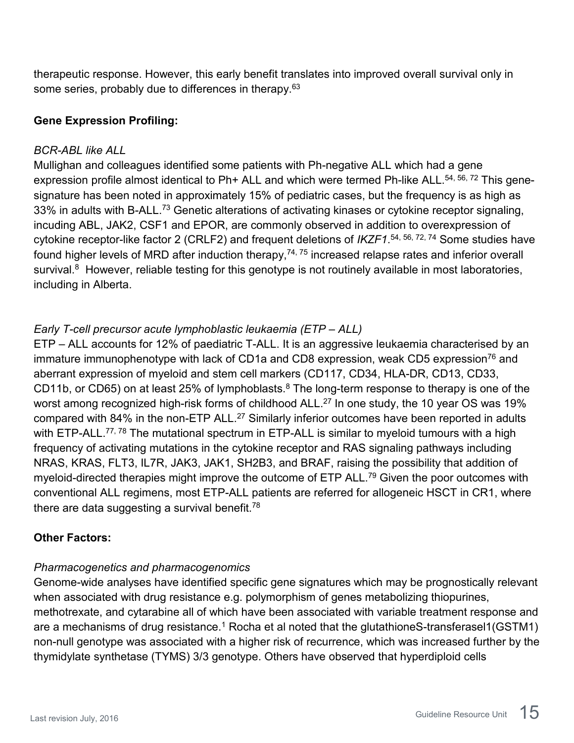therapeutic response. However, this early benefit translates into improved overall survival only in some series, probably due to differences in therapy.<sup>63</sup>

#### **Gene Expression Profiling:**

#### *BCR-ABL like ALL*

Mullighan and colleagues identified some patients with Ph-negative ALL which had a gene expression profile almost identical to Ph+ ALL and which were termed Ph-like ALL.<sup>54, 56, 72</sup> This genesignature has been noted in approximately 15% of pediatric cases, but the frequency is as high as 33% in adults with B-ALL.<sup>73</sup> Genetic alterations of activating kinases or cytokine receptor signaling, incuding ABL, JAK2, CSF1 and EPOR, are commonly observed in addition to overexpression of cytokine receptor-like factor 2 (CRLF2) and frequent deletions of *IKZF1*. 54, 56, 72, 74 Some studies have found higher levels of MRD after induction therapy, $^{74,\,75}$  increased relapse rates and inferior overall survival.<sup>8</sup> However, reliable testing for this genotype is not routinely available in most laboratories, including in Alberta.

### *Early T-cell precursor acute lymphoblastic leukaemia (ETP – ALL)*

ETP – ALL accounts for 12% of paediatric T-ALL. It is an aggressive leukaemia characterised by an immature immunophenotype with lack of CD1a and CD8 expression, weak CD5 expression<sup>76</sup> and aberrant expression of myeloid and stem cell markers (CD117, CD34, HLA-DR, CD13, CD33, CD11b, or CD65) on at least 25% of lymphoblasts.<sup>8</sup> The long-term response to therapy is one of the worst among recognized high-risk forms of childhood ALL. <sup>27</sup> In one study, the 10 year OS was 19% compared with 84% in the non-ETP ALL.<sup>27</sup> Similarly inferior outcomes have been reported in adults with ETP-ALL.<sup>77, 78</sup> The mutational spectrum in ETP-ALL is similar to myeloid tumours with a high frequency of activating mutations in the cytokine receptor and RAS signaling pathways including NRAS, KRAS, FLT3, IL7R, JAK3, JAK1, SH2B3, and BRAF, raising the possibility that addition of myeloid-directed therapies might improve the outcome of ETP ALL.<sup>79</sup> Given the poor outcomes with conventional ALL regimens, most ETP-ALL patients are referred for allogeneic HSCT in CR1, where there are data suggesting a survival benefit.<sup>78</sup>

### **Other Factors:**

### *Pharmacogenetics and pharmacogenomics*

Genome-wide analyses have identified specific gene signatures which may be prognostically relevant when associated with drug resistance e.g. polymorphism of genes metabolizing thiopurines, methotrexate, and cytarabine all of which have been associated with variable treatment response and are a mechanisms of drug resistance.<sup>1</sup> Rocha et al noted that the glutathioneS-transferasel1(GSTM1) non-null genotype was associated with a higher risk of recurrence, which was increased further by the thymidylate synthetase (TYMS) 3/3 genotype. Others have observed that hyperdiploid cells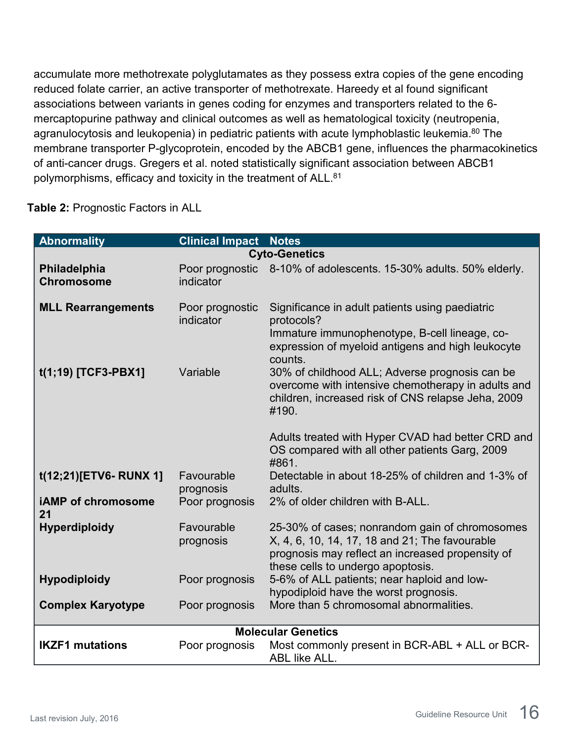accumulate more methotrexate polyglutamates as they possess extra copies of the gene encoding reduced folate carrier, an active transporter of methotrexate. Hareedy et al found significant associations between variants in genes coding for enzymes and transporters related to the 6 mercaptopurine pathway and clinical outcomes as well as hematological toxicity (neutropenia, agranulocytosis and leukopenia) in pediatric patients with acute lymphoblastic leukemia.<sup>80</sup> The membrane transporter P-glycoprotein, encoded by the ABCB1 gene, influences the pharmacokinetics of anti-cancer drugs. Gregers et al. noted statistically significant association between ABCB1 polymorphisms, efficacy and toxicity in the treatment of ALL.<sup>81</sup>

#### **Table 2:** Prognostic Factors in ALL

| <b>Abnormality</b>                | <b>Clinical Impact Notes</b> |                                                                                                                                                                                           |
|-----------------------------------|------------------------------|-------------------------------------------------------------------------------------------------------------------------------------------------------------------------------------------|
|                                   |                              | <b>Cyto-Genetics</b>                                                                                                                                                                      |
| Philadelphia<br><b>Chromosome</b> | indicator                    | Poor prognostic 8-10% of adolescents. 15-30% adults. 50% elderly.                                                                                                                         |
| <b>MLL Rearrangements</b>         | Poor prognostic<br>indicator | Significance in adult patients using paediatric<br>protocols?<br>Immature immunophenotype, B-cell lineage, co-<br>expression of myeloid antigens and high leukocyte<br>counts.            |
| t(1;19) [TCF3-PBX1]               | Variable                     | 30% of childhood ALL; Adverse prognosis can be<br>overcome with intensive chemotherapy in adults and<br>children, increased risk of CNS relapse Jeha, 2009<br>#190.                       |
|                                   |                              | Adults treated with Hyper CVAD had better CRD and<br>OS compared with all other patients Garg, 2009<br>#861.                                                                              |
| t(12;21)[ETV6-RUNX 1]             | Favourable<br>prognosis      | Detectable in about 18-25% of children and 1-3% of<br>adults.                                                                                                                             |
| <b>iAMP</b> of chromosome<br>21   | Poor prognosis               | 2% of older children with B-ALL.                                                                                                                                                          |
| <b>Hyperdiploidy</b>              | Favourable<br>prognosis      | 25-30% of cases; nonrandom gain of chromosomes<br>X, 4, 6, 10, 14, 17, 18 and 21; The favourable<br>prognosis may reflect an increased propensity of<br>these cells to undergo apoptosis. |
| <b>Hypodiploidy</b>               | Poor prognosis               | 5-6% of ALL patients; near haploid and low-<br>hypodiploid have the worst prognosis.                                                                                                      |
| <b>Complex Karyotype</b>          | Poor prognosis               | More than 5 chromosomal abnormalities.                                                                                                                                                    |
|                                   |                              | <b>Molecular Genetics</b>                                                                                                                                                                 |
| <b>IKZF1 mutations</b>            | Poor prognosis               | Most commonly present in BCR-ABL + ALL or BCR-<br><b>ABL like ALL.</b>                                                                                                                    |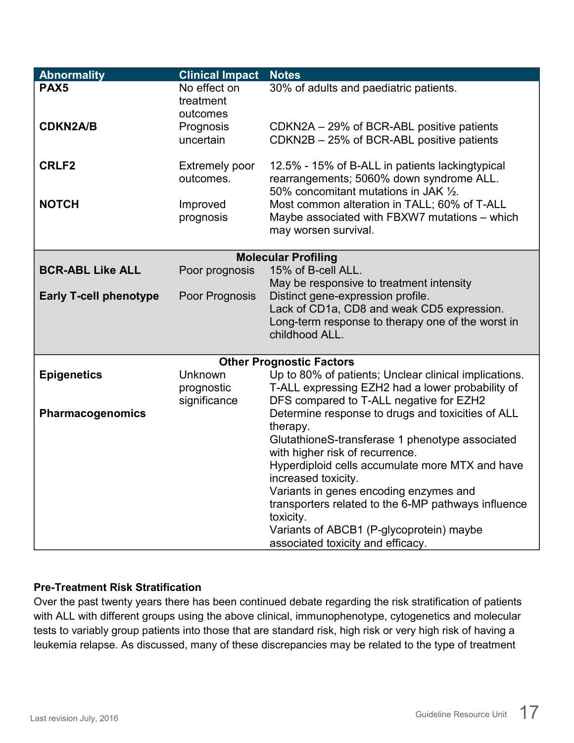| <b>Abnormality</b>            | <b>Clinical Impact</b>                | <b>Notes</b>                                                                                                                         |
|-------------------------------|---------------------------------------|--------------------------------------------------------------------------------------------------------------------------------------|
| PAX <sub>5</sub>              | No effect on<br>treatment<br>outcomes | 30% of adults and paediatric patients.                                                                                               |
| <b>CDKN2A/B</b>               | Prognosis<br>uncertain                | CDKN2A - 29% of BCR-ABL positive patients<br>CDKN2B - 25% of BCR-ABL positive patients                                               |
| <b>CRLF2</b>                  | <b>Extremely poor</b><br>outcomes.    | 12.5% - 15% of B-ALL in patients lackingtypical<br>rearrangements; 5060% down syndrome ALL.<br>50% concomitant mutations in JAK 1/2. |
| <b>NOTCH</b>                  | Improved<br>prognosis                 | Most common alteration in TALL; 60% of T-ALL<br>Maybe associated with FBXW7 mutations – which<br>may worsen survival.                |
|                               |                                       | <b>Molecular Profiling</b>                                                                                                           |
| <b>BCR-ABL Like ALL</b>       | Poor prognosis                        | 15% of B-cell ALL.                                                                                                                   |
|                               |                                       | May be responsive to treatment intensity                                                                                             |
| <b>Early T-cell phenotype</b> | Poor Prognosis                        | Distinct gene-expression profile.                                                                                                    |
|                               |                                       | Lack of CD1a, CD8 and weak CD5 expression.                                                                                           |
|                               |                                       | Long-term response to therapy one of the worst in                                                                                    |
|                               |                                       | childhood ALL.                                                                                                                       |
|                               |                                       | <b>Other Prognostic Factors</b>                                                                                                      |
| <b>Epigenetics</b>            | Unknown                               | Up to 80% of patients; Unclear clinical implications.                                                                                |
|                               | prognostic                            | T-ALL expressing EZH2 had a lower probability of                                                                                     |
|                               | significance                          | DFS compared to T-ALL negative for EZH2                                                                                              |
| <b>Pharmacogenomics</b>       |                                       | Determine response to drugs and toxicities of ALL<br>therapy.                                                                        |
|                               |                                       | GlutathioneS-transferase 1 phenotype associated                                                                                      |
|                               |                                       | with higher risk of recurrence.                                                                                                      |
|                               |                                       | Hyperdiploid cells accumulate more MTX and have                                                                                      |
|                               |                                       | increased toxicity.                                                                                                                  |
|                               |                                       | Variants in genes encoding enzymes and                                                                                               |
|                               |                                       | transporters related to the 6-MP pathways influence                                                                                  |
|                               |                                       | toxicity.<br>Variants of ABCB1 (P-glycoprotein) maybe                                                                                |
|                               |                                       | associated toxicity and efficacy.                                                                                                    |
|                               |                                       |                                                                                                                                      |

#### <span id="page-16-0"></span>**Pre-Treatment Risk Stratification**

Over the past twenty years there has been continued debate regarding the risk stratification of patients with ALL with different groups using the above clinical, immunophenotype, cytogenetics and molecular tests to variably group patients into those that are standard risk, high risk or very high risk of having a leukemia relapse. As discussed, many of these discrepancies may be related to the type of treatment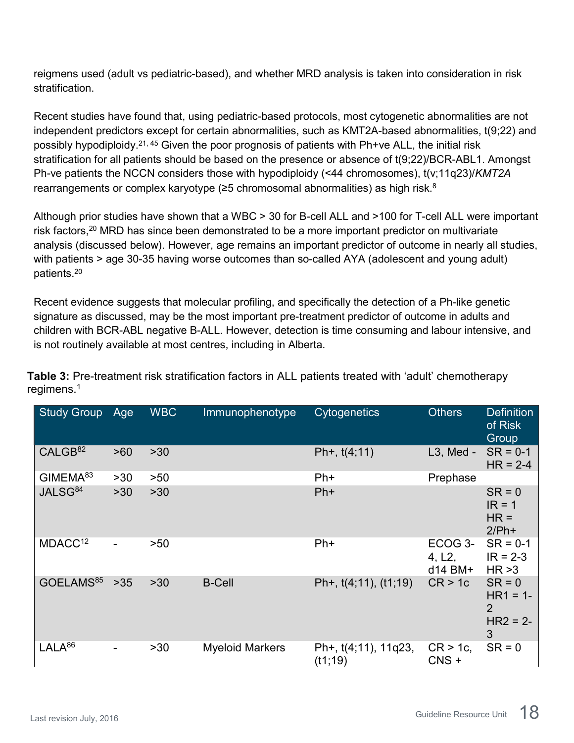reigmens used (adult vs pediatric-based), and whether MRD analysis is taken into consideration in risk stratification.

Recent studies have found that, using pediatric-based protocols, most cytogenetic abnormalities are not independent predictors except for certain abnormalities, such as KMT2A-based abnormalities, t(9;22) and possibly hypodiploidy.21, 45 Given the poor prognosis of patients with Ph+ve ALL, the initial risk stratification for all patients should be based on the presence or absence of t(9;22)/BCR-ABL1. Amongst Ph-ve patients the NCCN considers those with hypodiploidy (<44 chromosomes), t(v;11q23)/*KMT2A*  rearrangements or complex karyotype (≥5 chromosomal abnormalities) as high risk.<sup>8</sup>

Although prior studies have shown that a WBC > 30 for B-cell ALL and >100 for T-cell ALL were important risk factors,<sup>20</sup> MRD has since been demonstrated to be a more important predictor on multivariate analysis (discussed below). However, age remains an important predictor of outcome in nearly all studies, with patients > age 30-35 having worse outcomes than so-called AYA (adolescent and young adult) patients.20

Recent evidence suggests that molecular profiling, and specifically the detection of a Ph-like genetic signature as discussed, may be the most important pre-treatment predictor of outcome in adults and children with BCR-ABL negative B-ALL. However, detection is time consuming and labour intensive, and is not routinely available at most centres, including in Alberta.

| <b>Study Group</b>    | Age                      | <b>WBC</b> | Immunophenotype        | Cytogenetics                     | <b>Others</b>                  | <b>Definition</b><br>of Risk<br>Group                        |
|-----------------------|--------------------------|------------|------------------------|----------------------------------|--------------------------------|--------------------------------------------------------------|
| CALGB <sup>82</sup>   | >60                      | $>30$      |                        | Ph+, $t(4;11)$                   | $L3$ , Med -                   | $SR = 0-1$<br>$HR = 2-4$                                     |
| GIMEMA <sup>83</sup>  | >30                      | >50        |                        | $Ph+$                            | Prephase                       |                                                              |
| JALSG <sup>84</sup>   | $>30$                    | $>30$      |                        | $Ph+$                            |                                | $SR = 0$<br>$IR = 1$<br>$HR =$<br>$2/Ph+$                    |
| MDACC <sup>12</sup>   | $\overline{\phantom{0}}$ | >50        |                        | $Ph+$                            | ECOG 3-<br>4, L2,<br>$d14$ BM+ | $SR = 0-1$<br>$IR = 2-3$<br>HR > 3                           |
| GOELAMS <sup>85</sup> | $>35$                    | $>30$      | <b>B-Cell</b>          | Ph+, t(4;11), (t1;19)            | CR > 1c                        | $SR = 0$<br>$HR1 = 1 -$<br>$\overline{2}$<br>$HR2 = 2-$<br>3 |
| $LALA^{86}$           | $\overline{\phantom{a}}$ | $>30$      | <b>Myeloid Markers</b> | Ph+, t(4;11), 11q23,<br>(t1; 19) | $CR > 1c$ ,<br>$CNS +$         | $SR = 0$                                                     |

**Table 3:** Pre-treatment risk stratification factors in ALL patients treated with 'adult' chemotherapy regimens. 1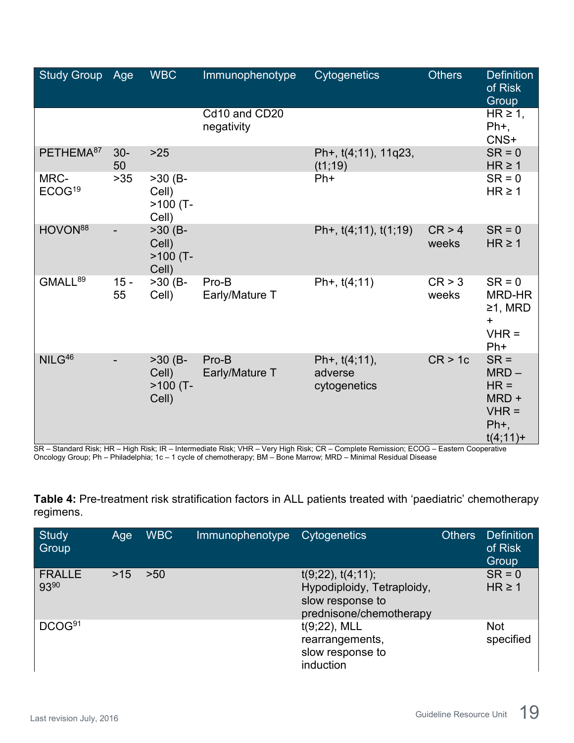| <b>Study Group</b>         | Age          | <b>WBC</b>                                | Immunophenotype             | <b>Cytogenetics</b>                         | <b>Others</b>   | <b>Definition</b><br>of Risk<br>Group                                    |
|----------------------------|--------------|-------------------------------------------|-----------------------------|---------------------------------------------|-----------------|--------------------------------------------------------------------------|
|                            |              |                                           | Cd10 and CD20<br>negativity |                                             |                 | $HR \geq 1$ ,<br>$Ph+$ ,<br>CNS+                                         |
| PETHEMA <sup>87</sup>      | $30-$<br>50  | $>25$                                     |                             | Ph+, t(4;11), 11q23,<br>(t1;19)             |                 | $SR = 0$<br>$HR \geq 1$                                                  |
| MRC-<br>ECOG <sup>19</sup> | $>35$        | $>30$ (B-<br>Cell)<br>$>100$ (T-<br>Cell) |                             | $Ph+$                                       |                 | $SR = 0$<br>$HR \geq 1$                                                  |
| HOVON <sup>88</sup>        |              | $>30$ (B-<br>Cell)<br>$>100$ (T-<br>Cell) |                             | Ph+, $t(4;11)$ , $t(1;19)$                  | CR > 4<br>weeks | $SR = 0$<br>$HR \geq 1$                                                  |
| GMALL <sup>89</sup>        | $15 -$<br>55 | $>30$ (B-<br>Cell)                        | Pro-B<br>Early/Mature T     | Ph+, $t(4;11)$                              | CR > 3<br>weeks | $SR = 0$<br>MRD-HR<br>$≥1$ , MRD<br>$\ddot{}$<br>$VHR =$<br>$Ph+$        |
| NILG <sup>46</sup>         |              | $>30$ (B-<br>Cell)<br>$>100$ (T-<br>Cell) | Pro-B<br>Early/Mature T     | Ph+, $t(4;11)$ ,<br>adverse<br>cytogenetics | CR > 1c         | $SR =$<br>$MRD -$<br>$HR =$<br>MRD +<br>$VHR =$<br>$Ph+$ ,<br>$t(4;11)+$ |

SR – Standard Risk; HR – High Risk; IR – Intermediate Risk; VHR – Very High Risk; CR – Complete Remission; ECOG – Eastern Cooperative Oncology Group; Ph – Philadelphia; 1c – 1 cycle of chemotherapy; BM – Bone Marrow; MRD – Minimal Residual Disease

**Table 4:** Pre-treatment risk stratification factors in ALL patients treated with 'paediatric' chemotherapy regimens.

| <b>Study</b><br>Group | Age | <b>WBC</b> | Immunophenotype | Cytogenetics                                                                                         | <b>Others</b> | <b>Definition</b><br>of Risk<br>Group |
|-----------------------|-----|------------|-----------------|------------------------------------------------------------------------------------------------------|---------------|---------------------------------------|
| <b>FRALLE</b><br>9390 | >15 | >50        |                 | $t(9;22)$ , $t(4;11)$ ;<br>Hypodiploidy, Tetraploidy,<br>slow response to<br>prednisone/chemotherapy |               | $SR = 0$<br>$HR \geq 1$               |
| DCOG <sup>91</sup>    |     |            |                 | $t(9;22)$ , MLL<br>rearrangements,<br>slow response to<br>induction                                  |               | <b>Not</b><br>specified               |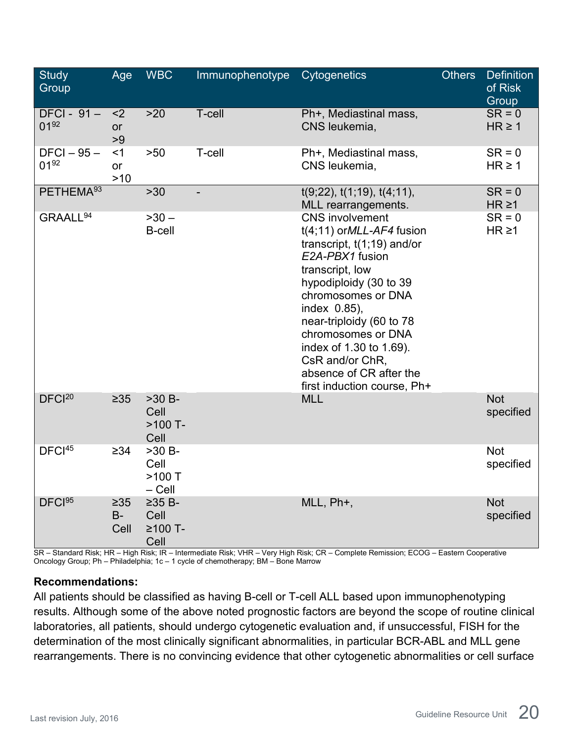| <b>Study</b><br>Group      | Age                        | <b>WBC</b>                                | Immunophenotype | <b>Cytogenetics</b>                                                                                                                                                                                                                                                                                                                                   | <b>Others</b> | <b>Definition</b><br>of Risk<br>Group |
|----------------------------|----------------------------|-------------------------------------------|-----------------|-------------------------------------------------------------------------------------------------------------------------------------------------------------------------------------------------------------------------------------------------------------------------------------------------------------------------------------------------------|---------------|---------------------------------------|
| $DFCI - 91 -$<br>$01^{92}$ | $2$<br>or<br>>9            | $>20$                                     | T-cell          | Ph+, Mediastinal mass,<br>CNS leukemia,                                                                                                                                                                                                                                                                                                               |               | $SR = 0$<br>$HR \geq 1$               |
| $DFCI - 95 -$<br>$01^{92}$ | $<$ 1<br>or<br>$>10$       | $>50$                                     | T-cell          | Ph+, Mediastinal mass,<br>CNS leukemia,                                                                                                                                                                                                                                                                                                               |               | $SR = 0$<br>$HR \ge 1$                |
| PETHEMA <sup>93</sup>      |                            | $>30$                                     |                 | $t(9;22)$ , $t(1;19)$ , $t(4;11)$ ,<br>MLL rearrangements.                                                                                                                                                                                                                                                                                            |               | $SR = 0$<br>$HR \ge 1$                |
| GRAALL <sup>94</sup>       |                            | $-30 -$<br><b>B-cell</b>                  |                 | <b>CNS</b> involvement<br>$t(4;11)$ or MLL-AF4 fusion<br>transcript, $t(1,19)$ and/or<br>E2A-PBX1 fusion<br>transcript, low<br>hypodiploidy (30 to 39<br>chromosomes or DNA<br>index 0.85),<br>near-triploidy (60 to 78<br>chromosomes or DNA<br>index of 1.30 to 1.69).<br>CsR and/or ChR,<br>absence of CR after the<br>first induction course, Ph+ |               | $SR = 0$<br>$HR \geq 1$               |
| DFCl <sup>20</sup>         | $\geq 35$                  | $>30 B -$<br>Cell<br>$>100$ T-<br>Cell    |                 | <b>MLL</b>                                                                                                                                                                                                                                                                                                                                            |               | <b>Not</b><br>specified               |
| DFCI <sup>45</sup>         | $\geq 34$                  | $>30 B -$<br>Cell<br>$>100$ T<br>$-$ Cell |                 |                                                                                                                                                                                                                                                                                                                                                       |               | <b>Not</b><br>specified               |
| DFCI <sup>95</sup>         | $\geq 35$<br>$B -$<br>Cell | $\geq$ 35 B-<br>Cell<br>≥100 T-<br>Cell   |                 | MLL, Ph+,                                                                                                                                                                                                                                                                                                                                             |               | <b>Not</b><br>specified               |

SR – Standard Risk; HR – High Risk; IR – Intermediate Risk; VHR – Very High Risk; CR – Complete Remission; ECOG – Eastern Cooperative Oncology Group; Ph – Philadelphia; 1c – 1 cycle of chemotherapy; BM – Bone Marrow

#### **Recommendations:**

All patients should be classified as having B-cell or T-cell ALL based upon immunophenotyping results. Although some of the above noted prognostic factors are beyond the scope of routine clinical laboratories, all patients, should undergo cytogenetic evaluation and, if unsuccessful, FISH for the determination of the most clinically significant abnormalities, in particular BCR-ABL and MLL gene rearrangements. There is no convincing evidence that other cytogenetic abnormalities or cell surface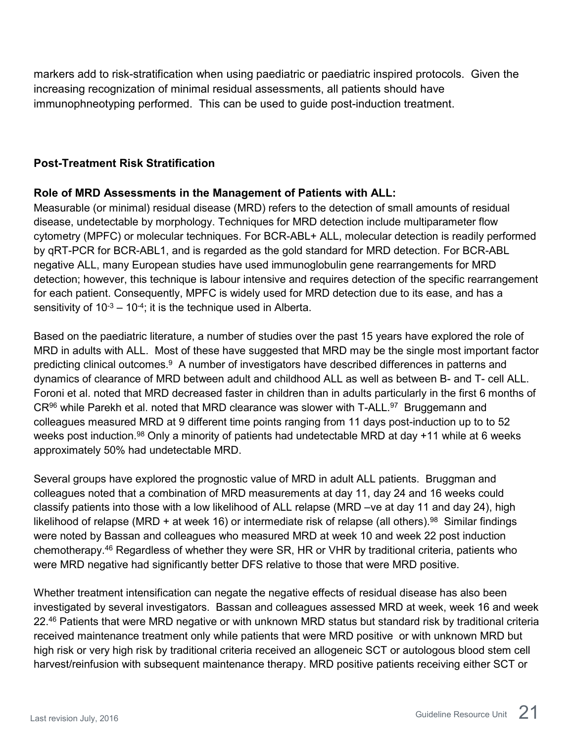markers add to risk-stratification when using paediatric or paediatric inspired protocols. Given the increasing recognization of minimal residual assessments, all patients should have immunophneotyping performed. This can be used to guide post-induction treatment.

#### <span id="page-20-0"></span>**Post-Treatment Risk Stratification**

#### **Role of MRD Assessments in the Management of Patients with ALL:**

Measurable (or minimal) residual disease (MRD) refers to the detection of small amounts of residual disease, undetectable by morphology. Techniques for MRD detection include multiparameter flow cytometry (MPFC) or molecular techniques. For BCR-ABL+ ALL, molecular detection is readily performed by qRT-PCR for BCR-ABL1, and is regarded as the gold standard for MRD detection. For BCR-ABL negative ALL, many European studies have used immunoglobulin gene rearrangements for MRD detection; however, this technique is labour intensive and requires detection of the specific rearrangement for each patient. Consequently, MPFC is widely used for MRD detection due to its ease, and has a sensitivity of  $10^{-3} - 10^{-4}$ ; it is the technique used in Alberta.

Based on the paediatric literature, a number of studies over the past 15 years have explored the role of MRD in adults with ALL. Most of these have suggested that MRD may be the single most important factor predicting clinical outcomes.<sup>9</sup> A number of investigators have described differences in patterns and dynamics of clearance of MRD between adult and childhood ALL as well as between B- and T- cell ALL. Foroni et al. noted that MRD decreased faster in children than in adults particularly in the first 6 months of CR<sup>96</sup> while Parekh et al. noted that MRD clearance was slower with T-ALL.<sup>97</sup> Bruggemann and colleagues measured MRD at 9 different time points ranging from 11 days post-induction up to to 52 weeks post induction.<sup>98</sup> Only a minority of patients had undetectable MRD at day +11 while at 6 weeks approximately 50% had undetectable MRD.

Several groups have explored the prognostic value of MRD in adult ALL patients. Bruggman and colleagues noted that a combination of MRD measurements at day 11, day 24 and 16 weeks could classify patients into those with a low likelihood of ALL relapse (MRD –ve at day 11 and day 24), high likelihood of relapse (MRD + at week 16) or intermediate risk of relapse (all others).<sup>98</sup> Similar findings were noted by Bassan and colleagues who measured MRD at week 10 and week 22 post induction chemotherapy.46 Regardless of whether they were SR, HR or VHR by traditional criteria, patients who were MRD negative had significantly better DFS relative to those that were MRD positive.

Whether treatment intensification can negate the negative effects of residual disease has also been investigated by several investigators. Bassan and colleagues assessed MRD at week, week 16 and week 22.<sup>46</sup> Patients that were MRD negative or with unknown MRD status but standard risk by traditional criteria received maintenance treatment only while patients that were MRD positive or with unknown MRD but high risk or very high risk by traditional criteria received an allogeneic SCT or autologous blood stem cell harvest/reinfusion with subsequent maintenance therapy. MRD positive patients receiving either SCT or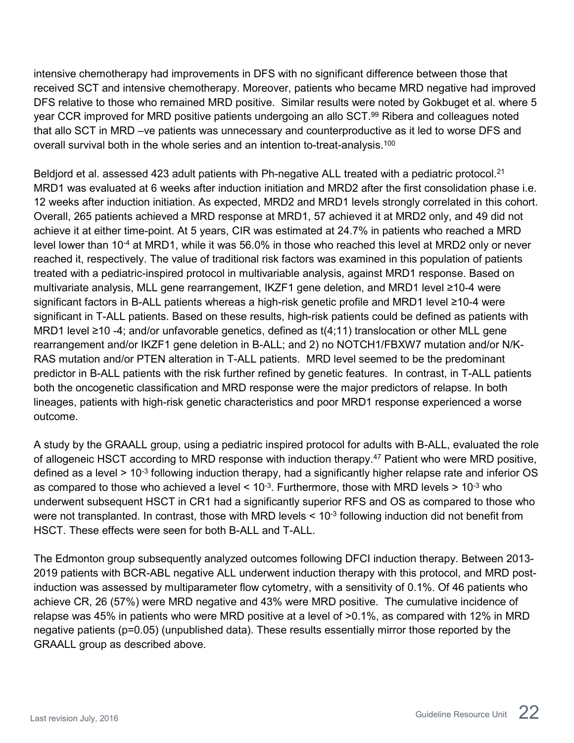intensive chemotherapy had improvements in DFS with no significant difference between those that received SCT and intensive chemotherapy. Moreover, patients who became MRD negative had improved DFS relative to those who remained MRD positive. Similar results were noted by Gokbuget et al. where 5 year CCR improved for MRD positive patients undergoing an allo SCT.<sup>99</sup> Ribera and colleagues noted that allo SCT in MRD –ve patients was unnecessary and counterproductive as it led to worse DFS and overall survival both in the whole series and an intention to-treat-analysis.100

Beldjord et al. assessed 423 adult patients with Ph-negative ALL treated with a pediatric protocol.<sup>21</sup> MRD1 was evaluated at 6 weeks after induction initiation and MRD2 after the first consolidation phase i.e. 12 weeks after induction initiation. As expected, MRD2 and MRD1 levels strongly correlated in this cohort. Overall, 265 patients achieved a MRD response at MRD1, 57 achieved it at MRD2 only, and 49 did not achieve it at either time-point. At 5 years, CIR was estimated at 24.7% in patients who reached a MRD level lower than 10-4 at MRD1, while it was 56.0% in those who reached this level at MRD2 only or never reached it, respectively. The value of traditional risk factors was examined in this population of patients treated with a pediatric-inspired protocol in multivariable analysis, against MRD1 response. Based on multivariate analysis, MLL gene rearrangement, IKZF1 gene deletion, and MRD1 level ≥10-4 were significant factors in B-ALL patients whereas a high-risk genetic profile and MRD1 level ≥10-4 were significant in T-ALL patients. Based on these results, high-risk patients could be defined as patients with MRD1 level ≥10 -4; and/or unfavorable genetics, defined as t(4;11) translocation or other MLL gene rearrangement and/or IKZF1 gene deletion in B-ALL; and 2) no NOTCH1/FBXW7 mutation and/or N/K-RAS mutation and/or PTEN alteration in T-ALL patients. MRD level seemed to be the predominant predictor in B-ALL patients with the risk further refined by genetic features. In contrast, in T-ALL patients both the oncogenetic classification and MRD response were the major predictors of relapse. In both lineages, patients with high-risk genetic characteristics and poor MRD1 response experienced a worse outcome.

A study by the GRAALL group, using a pediatric inspired protocol for adults with B-ALL, evaluated the role of allogeneic HSCT according to MRD response with induction therapy.<sup>47</sup> Patient who were MRD positive, defined as a level > 10-3 following induction therapy, had a significantly higher relapse rate and inferior OS as compared to those who achieved a level  $\leq 10^{-3}$ . Furthermore, those with MRD levels  $\geq 10^{-3}$  who underwent subsequent HSCT in CR1 had a significantly superior RFS and OS as compared to those who were not transplanted. In contrast, those with MRD levels  $\leq 10^{-3}$  following induction did not benefit from HSCT. These effects were seen for both B-ALL and T-ALL.

The Edmonton group subsequently analyzed outcomes following DFCI induction therapy. Between 2013- 2019 patients with BCR-ABL negative ALL underwent induction therapy with this protocol, and MRD postinduction was assessed by multiparameter flow cytometry, with a sensitivity of 0.1%. Of 46 patients who achieve CR, 26 (57%) were MRD negative and 43% were MRD positive. The cumulative incidence of relapse was 45% in patients who were MRD positive at a level of >0.1%, as compared with 12% in MRD negative patients (p=0.05) (unpublished data). These results essentially mirror those reported by the GRAALL group as described above.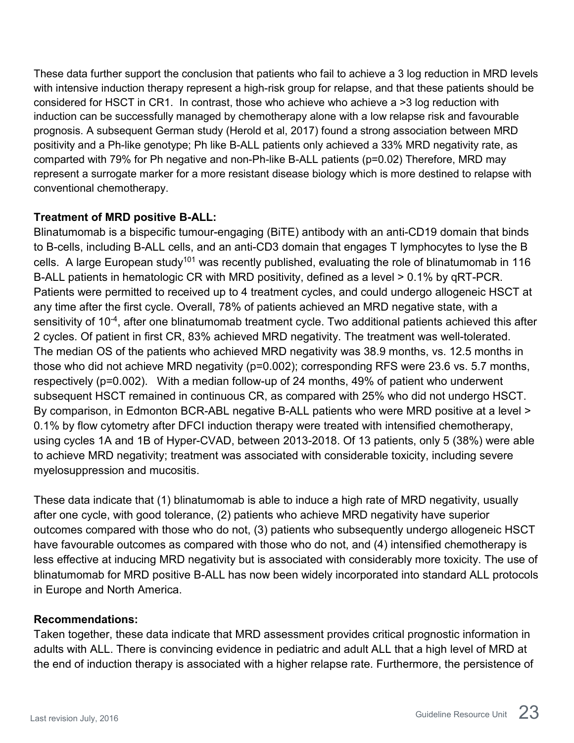These data further support the conclusion that patients who fail to achieve a 3 log reduction in MRD levels with intensive induction therapy represent a high-risk group for relapse, and that these patients should be considered for HSCT in CR1. In contrast, those who achieve who achieve a >3 log reduction with induction can be successfully managed by chemotherapy alone with a low relapse risk and favourable prognosis. A subsequent German study (Herold et al, 2017) found a strong association between MRD positivity and a Ph-like genotype; Ph like B-ALL patients only achieved a 33% MRD negativity rate, as comparted with 79% for Ph negative and non-Ph-like B-ALL patients (p=0.02) Therefore, MRD may represent a surrogate marker for a more resistant disease biology which is more destined to relapse with conventional chemotherapy.

#### **Treatment of MRD positive B-ALL:**

Blinatumomab is a bispecific tumour-engaging (BiTE) antibody with an anti-CD19 domain that binds to B-cells, including B-ALL cells, and an anti-CD3 domain that engages T lymphocytes to lyse the B cells. A large European study<sup>101</sup> was recently published, evaluating the role of blinatumomab in 116 B-ALL patients in hematologic CR with MRD positivity, defined as a level > 0.1% by qRT-PCR. Patients were permitted to received up to 4 treatment cycles, and could undergo allogeneic HSCT at any time after the first cycle. Overall, 78% of patients achieved an MRD negative state, with a sensitivity of 10<sup>-4</sup>, after one blinatumomab treatment cycle. Two additional patients achieved this after 2 cycles. Of patient in first CR, 83% achieved MRD negativity. The treatment was well-tolerated. The median OS of the patients who achieved MRD negativity was 38.9 months, vs. 12.5 months in those who did not achieve MRD negativity (p=0.002); corresponding RFS were 23.6 vs. 5.7 months, respectively (p=0.002). With a median follow-up of 24 months, 49% of patient who underwent subsequent HSCT remained in continuous CR, as compared with 25% who did not undergo HSCT. By comparison, in Edmonton BCR-ABL negative B-ALL patients who were MRD positive at a level > 0.1% by flow cytometry after DFCI induction therapy were treated with intensified chemotherapy, using cycles 1A and 1B of Hyper-CVAD, between 2013-2018. Of 13 patients, only 5 (38%) were able to achieve MRD negativity; treatment was associated with considerable toxicity, including severe myelosuppression and mucositis.

These data indicate that (1) blinatumomab is able to induce a high rate of MRD negativity, usually after one cycle, with good tolerance, (2) patients who achieve MRD negativity have superior outcomes compared with those who do not, (3) patients who subsequently undergo allogeneic HSCT have favourable outcomes as compared with those who do not, and (4) intensified chemotherapy is less effective at inducing MRD negativity but is associated with considerably more toxicity. The use of blinatumomab for MRD positive B-ALL has now been widely incorporated into standard ALL protocols in Europe and North America.

#### **Recommendations:**

Taken together, these data indicate that MRD assessment provides critical prognostic information in adults with ALL. There is convincing evidence in pediatric and adult ALL that a high level of MRD at the end of induction therapy is associated with a higher relapse rate. Furthermore, the persistence of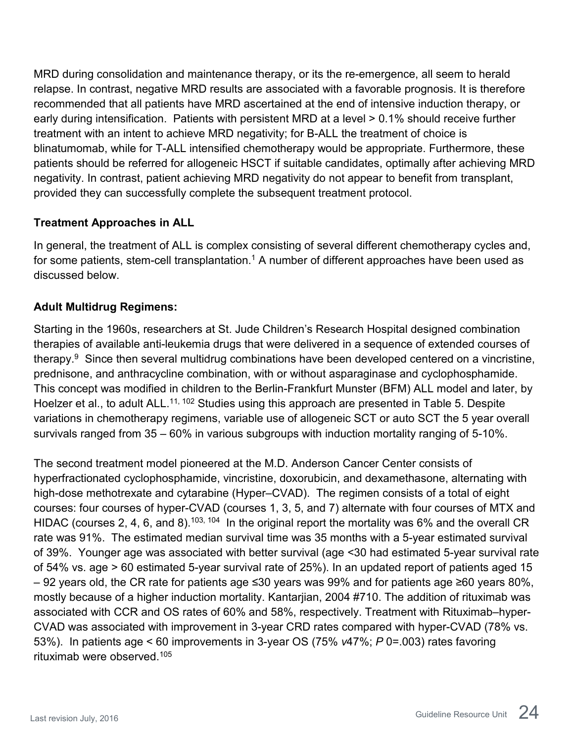MRD during consolidation and maintenance therapy, or its the re-emergence, all seem to herald relapse. In contrast, negative MRD results are associated with a favorable prognosis. It is therefore recommended that all patients have MRD ascertained at the end of intensive induction therapy, or early during intensification. Patients with persistent MRD at a level > 0.1% should receive further treatment with an intent to achieve MRD negativity; for B-ALL the treatment of choice is blinatumomab, while for T-ALL intensified chemotherapy would be appropriate. Furthermore, these patients should be referred for allogeneic HSCT if suitable candidates, optimally after achieving MRD negativity. In contrast, patient achieving MRD negativity do not appear to benefit from transplant, provided they can successfully complete the subsequent treatment protocol.

#### <span id="page-23-0"></span>**Treatment Approaches in ALL**

In general, the treatment of ALL is complex consisting of several different chemotherapy cycles and, for some patients, stem-cell transplantation.<sup>1</sup> A number of different approaches have been used as discussed below.

#### **Adult Multidrug Regimens:**

Starting in the 1960s, researchers at St. Jude Children's Research Hospital designed combination therapies of available anti-leukemia drugs that were delivered in a sequence of extended courses of therapy.9 Since then several multidrug combinations have been developed centered on a vincristine, prednisone, and anthracycline combination, with or without asparaginase and cyclophosphamide. This concept was modified in children to the Berlin-Frankfurt Munster (BFM) ALL model and later, by Hoelzer et al., to adult ALL.<sup>11, 102</sup> Studies using this approach are presented in Table 5. Despite variations in chemotherapy regimens, variable use of allogeneic SCT or auto SCT the 5 year overall survivals ranged from 35 – 60% in various subgroups with induction mortality ranging of 5-10%.

The second treatment model pioneered at the M.D. Anderson Cancer Center consists of hyperfractionated cyclophosphamide, vincristine, doxorubicin, and dexamethasone, alternating with high-dose methotrexate and cytarabine (Hyper–CVAD). The regimen consists of a total of eight courses: four courses of hyper-CVAD (courses 1, 3, 5, and 7) alternate with four courses of MTX and HIDAC (courses 2, 4, 6, and 8).<sup>103, 104</sup> In the original report the mortality was 6% and the overall CR rate was 91%. The estimated median survival time was 35 months with a 5-year estimated survival of 39%. Younger age was associated with better survival (age <30 had estimated 5-year survival rate of 54% vs. age > 60 estimated 5-year survival rate of 25%). In an updated report of patients aged 15 – 92 years old, the CR rate for patients age ≤30 years was 99% and for patients age ≥60 years 80%, mostly because of a higher induction mortality. Kantarjian, 2004 #710. The addition of rituximab was associated with CCR and OS rates of 60% and 58%, respectively. Treatment with Rituximab–hyper-CVAD was associated with improvement in 3-year CRD rates compared with hyper-CVAD (78% vs. 53%). In patients age < 60 improvements in 3-year OS (75% *v*47%; *P* 0=.003) rates favoring rituximab were observed. 105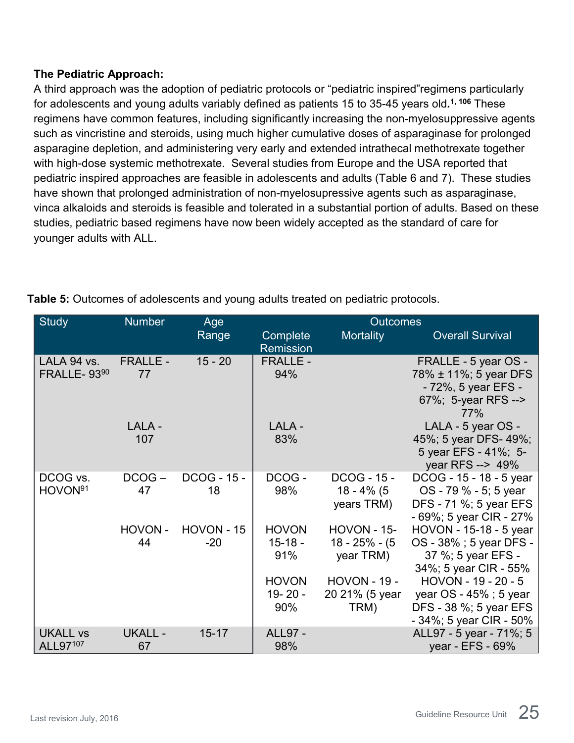#### **The Pediatric Approach:**

A third approach was the adoption of pediatric protocols or "pediatric inspired"regimens particularly for adolescents and young adults variably defined as patients 15 to 35-45 years old*.* **1, 106** These regimens have common features, including significantly increasing the non-myelosuppressive agents such as vincristine and steroids, using much higher cumulative doses of asparaginase for prolonged asparagine depletion, and administering very early and extended intrathecal methotrexate together with high-dose systemic methotrexate. Several studies from Europe and the USA reported that pediatric inspired approaches are feasible in adolescents and adults (Table 6 and 7). These studies have shown that prolonged administration of non-myelosupressive agents such as asparaginase, vinca alkaloids and steroids is feasible and tolerated in a substantial portion of adults. Based on these studies, pediatric based regimens have now been widely accepted as the standard of care for younger adults with ALL.

| <b>Study</b>                      | <b>Number</b>         | Age                        |                                    | <b>Outcomes</b>                                     |                                                                                                       |
|-----------------------------------|-----------------------|----------------------------|------------------------------------|-----------------------------------------------------|-------------------------------------------------------------------------------------------------------|
|                                   |                       | Range                      | Complete<br><b>Remission</b>       | Mortality                                           | <b>Overall Survival</b>                                                                               |
| LALA 94 vs.<br><b>FRALLE-9390</b> | <b>FRALLE -</b><br>77 | $15 - 20$                  | <b>FRALLE -</b><br>94%             |                                                     | FRALLE - 5 year OS -<br>78% ± 11%; 5 year DFS<br>- 72%, 5 year EFS -<br>67%; 5-year RFS --><br>77%    |
|                                   | LALA -<br>107         |                            | LALA -<br>83%                      |                                                     | LALA - 5 year OS -<br>45%; 5 year DFS-49%;<br>5 year EFS - 41%; 5-<br>year RFS --> 49%                |
| DCOG vs.<br>HOVON <sup>91</sup>   | $DCOG -$<br>47        | <b>DCOG - 15 -</b><br>18   | DCOG-<br>98%                       | <b>DCOG - 15 -</b><br>18 - 4% (5<br>years TRM)      | DCOG - 15 - 18 - 5 year<br>OS - 79 % - 5; 5 year<br>DFS - 71 %; 5 year EFS<br>- 69%; 5 year CIR - 27% |
|                                   | HOVON-<br>44          | <b>HOVON - 15</b><br>$-20$ | <b>HOVON</b><br>$15 - 18 -$<br>91% | <b>HOVON - 15-</b><br>$18 - 25% - (5)$<br>year TRM) | HOVON - 15-18 - 5 year<br>OS - 38% ; 5 year DFS -<br>37 %; 5 year EFS -<br>34%; 5 year CIR - 55%      |
|                                   |                       |                            | <b>HOVON</b><br>19-20-<br>90%      | <b>HOVON - 19 -</b><br>20 21% (5 year<br>TRM)       | HOVON - 19 - 20 - 5<br>year $OS - 45\%$ ; 5 year<br>DFS - 38 %; 5 year EFS<br>- 34%; 5 year CIR - 50% |
| <b>UKALL vs</b><br>ALL97107       | <b>UKALL -</b><br>67  | $15 - 17$                  | <b>ALL97 -</b><br>98%              |                                                     | ALL97 - 5 year - 71%; 5<br>year - EFS - 69%                                                           |

**Table 5:** Outcomes of adolescents and young adults treated on pediatric protocols.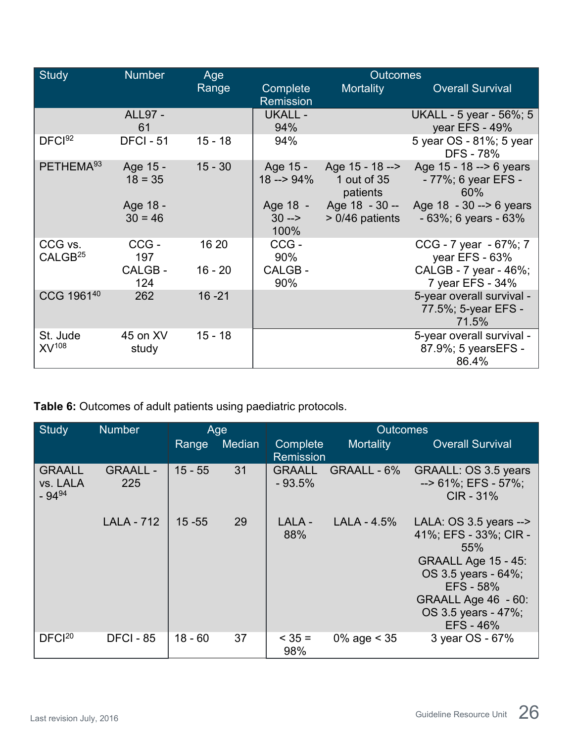| <b>Study</b>                   | <b>Number</b>                | Age                |                              | <b>Outcomes</b>                              |                                                                                      |
|--------------------------------|------------------------------|--------------------|------------------------------|----------------------------------------------|--------------------------------------------------------------------------------------|
|                                |                              | Range              | Complete<br><b>Remission</b> | Mortality                                    | <b>Overall Survival</b>                                                              |
|                                | <b>ALL97 -</b><br>61         |                    | <b>UKALL -</b><br>94%        |                                              | UKALL - 5 year - 56%; 5<br>year EFS - 49%                                            |
| DFCl <sup>92</sup>             | <b>DFCI - 51</b>             | $15 - 18$          | 94%                          |                                              | 5 year OS - 81%; 5 year<br><b>DFS - 78%</b>                                          |
| PETHEMA <sup>93</sup>          | Age 15 -<br>$18 = 35$        | $15 - 30$          | Age 15 -<br>$18 - 94\%$      | Age 15 - 18 --><br>1 out of $35$<br>patients | Age 15 - 18 --> 6 years<br>- 77%; 6 year EFS -<br>60%                                |
|                                | Age 18 -<br>$30 = 46$        |                    | Age 18 -<br>$30 - >$<br>100% | Age $18 - 30 -$<br>$>0/46$ patients          | Age $18 - 30 \rightarrow 6$ years<br>$-63\%$ ; 6 years $-63\%$                       |
| CCG vs.<br>CALGB <sup>25</sup> | CCG-<br>197<br>CALGB-<br>124 | 16 20<br>$16 - 20$ | CCG-<br>90%<br>CALGB-<br>90% |                                              | CCG - 7 year - 67%; 7<br>year EFS - 63%<br>CALGB - 7 year - 46%;<br>7 year EFS - 34% |
| CCG 196140                     | 262                          | $16 - 21$          |                              |                                              | 5-year overall survival -<br>77.5%; 5-year EFS -<br>71.5%                            |
| St. Jude<br>$XV^{108}$         | 45 on XV<br>study            | $15 - 18$          |                              |                                              | 5-year overall survival -<br>87.9%; 5 years EFS -<br>86.4%                           |

**Table 6:** Outcomes of adult patients using paediatric protocols.

| Study                                   | <b>Number</b>          |           | Age    |                              | <b>Outcomes</b> |                                                                                                                                                                                                 |
|-----------------------------------------|------------------------|-----------|--------|------------------------------|-----------------|-------------------------------------------------------------------------------------------------------------------------------------------------------------------------------------------------|
|                                         |                        | Range     | Median | Complete<br><b>Remission</b> | Mortality       | <b>Overall Survival</b>                                                                                                                                                                         |
| <b>GRAALL</b><br>vs. LALA<br>$-94^{94}$ | <b>GRAALL -</b><br>225 | $15 - 55$ | 31     | <b>GRAALL</b><br>$-93.5%$    | GRAALL - 6%     | <b>GRAALL: OS 3.5 years</b><br>$-$ > 61%; EFS - 57%;<br>$CIR - 31%$                                                                                                                             |
|                                         | <b>LALA - 712</b>      | $15 - 55$ | 29     | LALA -<br>88%                | $LALA - 4.5%$   | LALA: $OS$ 3.5 years -- $>$<br>41%; EFS - 33%; CIR -<br>55%<br><b>GRAALL Age 15 - 45:</b><br>OS 3.5 years - 64%;<br>EFS - 58%<br><b>GRAALL Age 46 - 60:</b><br>OS 3.5 years - 47%;<br>EFS - 46% |
| DFCl <sup>20</sup>                      | <b>DFCI - 85</b>       | $18 - 60$ | 37     | $< 35 =$<br>98%              | 0% age $<$ 35   | 3 year OS - 67%                                                                                                                                                                                 |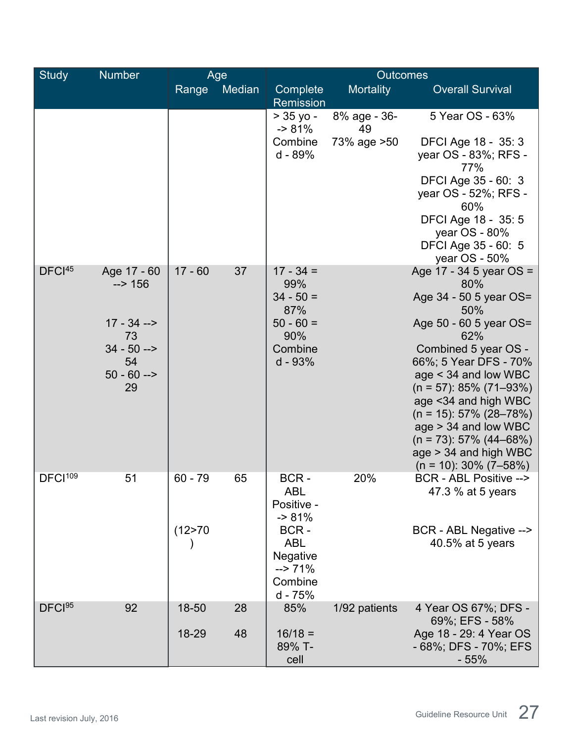| <b>Study</b>        | <b>Number</b>           |           | Age    | <b>Outcomes</b>                                                           |                    |                                                                              |  |
|---------------------|-------------------------|-----------|--------|---------------------------------------------------------------------------|--------------------|------------------------------------------------------------------------------|--|
|                     |                         | Range     | Median | Complete<br>Remission                                                     | <b>Mortality</b>   | <b>Overall Survival</b>                                                      |  |
|                     |                         |           |        | $> 35$ yo -<br>$-81%$                                                     | 8% age - 36-<br>49 | 5 Year OS - 63%                                                              |  |
|                     |                         |           |        | Combine<br>d - 89%                                                        | 73% age > 50       | DFCI Age 18 - 35: 3<br>year OS - 83%; RFS -<br>77%                           |  |
|                     |                         |           |        |                                                                           |                    | DFCI Age 35 - 60: 3<br>year OS - 52%; RFS -<br>60%                           |  |
|                     |                         |           |        |                                                                           |                    | DFCI Age 18 - 35: 5<br>year OS - 80%<br>DFCI Age 35 - 60: 5<br>year OS - 50% |  |
| DFCI <sup>45</sup>  | Age 17 - 60<br>$-2$ 156 | $17 - 60$ | 37     | $17 - 34 =$<br>99%                                                        |                    | Age 17 - 34 5 year $OS =$<br>80%                                             |  |
|                     |                         |           |        | $34 - 50 =$<br>87%                                                        |                    | Age 34 - 50 5 year OS=<br>50%                                                |  |
|                     | $17 - 34 -$<br>73       |           |        | $50 - 60 =$<br>90%                                                        |                    | Age 50 - 60 5 year OS=<br>62%                                                |  |
|                     | $34 - 50 -$<br>54       |           |        | Combine<br>d - 93%                                                        |                    | Combined 5 year OS -<br>66%; 5 Year DFS - 70%                                |  |
|                     | $50 - 60 -$<br>29       |           |        |                                                                           |                    | age < 34 and low WBC<br>$(n = 57)$ : 85% (71–93%)                            |  |
|                     |                         |           |        |                                                                           |                    | age <34 and high WBC<br>$(n = 15): 57\% (28 - 78\%)$                         |  |
|                     |                         |           |        |                                                                           |                    | $age > 34$ and low WBC<br>$(n = 73): 57\% (44–68\%)$                         |  |
|                     |                         |           |        |                                                                           |                    | age > 34 and high WBC<br>$(n = 10)$ : 30% (7–58%)                            |  |
| DFCI <sup>109</sup> | 51                      | $60 - 79$ | 65     | BCR-<br><b>ABL</b><br>Positive -<br>$-81%$                                | 20%                | BCR - ABL Positive --><br>47.3 % at 5 years                                  |  |
|                     |                         | (12 > 70) |        | BCR-<br><b>ABL</b><br>Negative<br>$\Rightarrow$ 71%<br>Combine<br>d - 75% |                    | BCR - ABL Negative --><br>40.5% at 5 years                                   |  |
| DFCI <sup>95</sup>  | 92                      | 18-50     | 28     | 85%                                                                       | 1/92 patients      | 4 Year OS 67%; DFS -<br>69%; EFS - 58%                                       |  |
|                     |                         | 18-29     | 48     | $16/18 =$<br>89% T-<br>cell                                               |                    | Age 18 - 29: 4 Year OS<br>- 68%; DFS - 70%; EFS<br>$-55%$                    |  |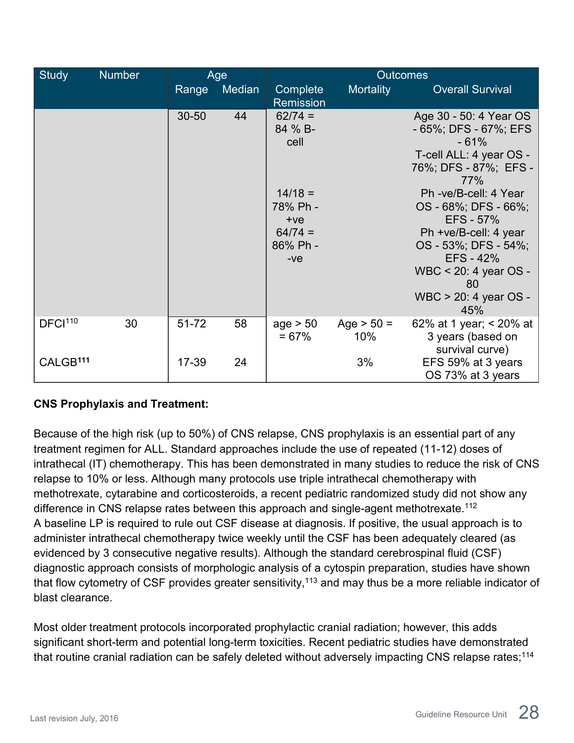| <b>Study</b>         | <b>Number</b> |           | Age    |                                                                                                  | <b>Outcomes</b>     |                                                                                                                                                                                                                                                                                                                                     |  |  |
|----------------------|---------------|-----------|--------|--------------------------------------------------------------------------------------------------|---------------------|-------------------------------------------------------------------------------------------------------------------------------------------------------------------------------------------------------------------------------------------------------------------------------------------------------------------------------------|--|--|
|                      |               | Range     | Median | Complete<br>Remission                                                                            | <b>Mortality</b>    | <b>Overall Survival</b>                                                                                                                                                                                                                                                                                                             |  |  |
|                      |               | $30 - 50$ | 44     | $62/74 =$<br>84 % B-<br>cell<br>$14/18 =$<br>78% Ph -<br>$+ve$<br>$64/74 =$<br>86% Ph -<br>$-ve$ |                     | Age 30 - 50: 4 Year OS<br>$-65\%$ ; DFS $-67\%$ ; EFS<br>$-61%$<br>T-cell ALL: 4 year OS -<br>76%; DFS - 87%; EFS -<br>77%<br>Ph -ve/B-cell: 4 Year<br>OS - 68%; DFS - 66%;<br><b>EFS - 57%</b><br>Ph +ve/B-cell: 4 year<br>OS - 53%; DFS - 54%;<br><b>EFS - 42%</b><br>WBC < 20: 4 year OS -<br>80<br>WBC > 20: 4 year OS -<br>45% |  |  |
| DFCI <sup>110</sup>  | 30            | 51-72     | 58     | age > 50<br>$= 67%$                                                                              | Age $> 50 =$<br>10% | 62% at 1 year; < 20% at<br>3 years (based on<br>survival curve)                                                                                                                                                                                                                                                                     |  |  |
| CALGB <sup>111</sup> |               | 17-39     | 24     |                                                                                                  | 3%                  | EFS 59% at 3 years<br>OS 73% at 3 years                                                                                                                                                                                                                                                                                             |  |  |

### **CNS Prophylaxis and Treatment:**

Because of the high risk (up to 50%) of CNS relapse, CNS prophylaxis is an essential part of any treatment regimen for ALL. Standard approaches include the use of repeated (11-12) doses of intrathecal (IT) chemotherapy. This has been demonstrated in many studies to reduce the risk of CNS relapse to 10% or less. Although many protocols use triple intrathecal chemotherapy with methotrexate, cytarabine and corticosteroids, a recent pediatric randomized study did not show any difference in CNS relapse rates between this approach and single-agent methotrexate.<sup>112</sup> A baseline LP is required to rule out CSF disease at diagnosis. If positive, the usual approach is to administer intrathecal chemotherapy twice weekly until the CSF has been adequately cleared (as evidenced by 3 consecutive negative results). Although the standard cerebrospinal fluid (CSF) diagnostic approach consists of morphologic analysis of a cytospin preparation, studies have shown that flow cytometry of CSF provides greater sensitivity, $^{\rm 113}$  and may thus be a more reliable indicator of blast clearance.

Most older treatment protocols incorporated prophylactic cranial radiation; however, this adds significant short-term and potential long-term toxicities. Recent pediatric studies have demonstrated that routine cranial radiation can be safely deleted without adversely impacting CNS relapse rates;<sup>114</sup>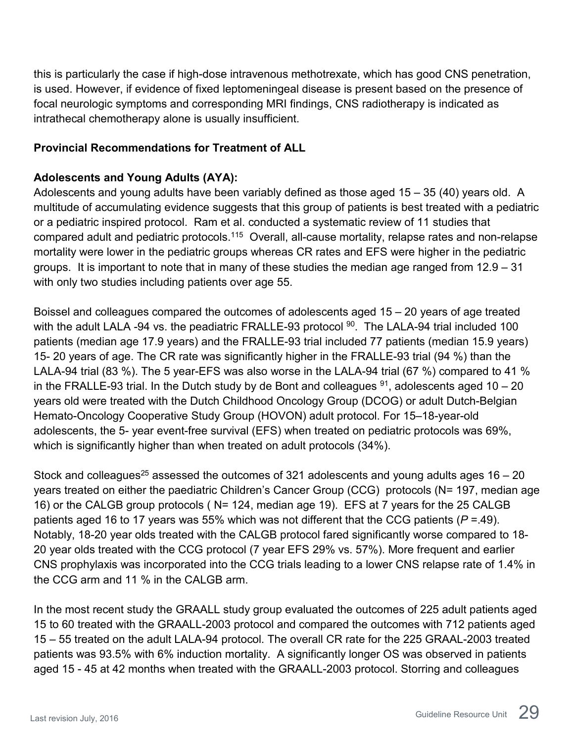this is particularly the case if high-dose intravenous methotrexate, which has good CNS penetration, is used. However, if evidence of fixed leptomeningeal disease is present based on the presence of focal neurologic symptoms and corresponding MRI findings, CNS radiotherapy is indicated as intrathecal chemotherapy alone is usually insufficient.

#### <span id="page-28-0"></span>**Provincial Recommendations for Treatment of ALL**

#### **Adolescents and Young Adults (AYA):**

Adolescents and young adults have been variably defined as those aged 15 – 35 (40) years old. A multitude of accumulating evidence suggests that this group of patients is best treated with a pediatric or a pediatric inspired protocol. Ram et al. conducted a systematic review of 11 studies that compared adult and pediatric protocols.115 Overall, all-cause mortality, relapse rates and non-relapse mortality were lower in the pediatric groups whereas CR rates and EFS were higher in the pediatric groups. It is important to note that in many of these studies the median age ranged from 12.9 – 31 with only two studies including patients over age 55.

Boissel and colleagues compared the outcomes of adolescents aged 15 – 20 years of age treated with the adult LALA -94 vs. the peadiatric FRALLE-93 protocol <sup>90</sup>. The LALA-94 trial included 100 patients (median age 17.9 years) and the FRALLE-93 trial included 77 patients (median 15.9 years) 15- 20 years of age. The CR rate was significantly higher in the FRALLE-93 trial (94 %) than the LALA-94 trial (83 %). The 5 year-EFS was also worse in the LALA-94 trial (67 %) compared to 41 % in the FRALLE-93 trial. In the Dutch study by de Bont and colleagues  $91$ , adolescents aged 10 – 20 years old were treated with the Dutch Childhood Oncology Group (DCOG) or adult Dutch-Belgian Hemato-Oncology Cooperative Study Group (HOVON) adult protocol. For 15–18-year-old adolescents, the 5- year event-free survival (EFS) when treated on pediatric protocols was 69%, which is significantly higher than when treated on adult protocols (34%).

Stock and colleagues<sup>25</sup> assessed the outcomes of 321 adolescents and young adults ages  $16 - 20$ years treated on either the paediatric Children's Cancer Group (CCG) protocols (N= 197, median age 16) or the CALGB group protocols ( N= 124, median age 19). EFS at 7 years for the 25 CALGB patients aged 16 to 17 years was 55% which was not different that the CCG patients (*P* =.49). Notably, 18-20 year olds treated with the CALGB protocol fared significantly worse compared to 18- 20 year olds treated with the CCG protocol (7 year EFS 29% vs. 57%). More frequent and earlier CNS prophylaxis was incorporated into the CCG trials leading to a lower CNS relapse rate of 1.4% in the CCG arm and 11 % in the CALGB arm.

In the most recent study the GRAALL study group evaluated the outcomes of 225 adult patients aged 15 to 60 treated with the GRAALL-2003 protocol and compared the outcomes with 712 patients aged 15 – 55 treated on the adult LALA-94 protocol. The overall CR rate for the 225 GRAAL-2003 treated patients was 93.5% with 6% induction mortality. A significantly longer OS was observed in patients aged 15 - 45 at 42 months when treated with the GRAALL-2003 protocol. Storring and colleagues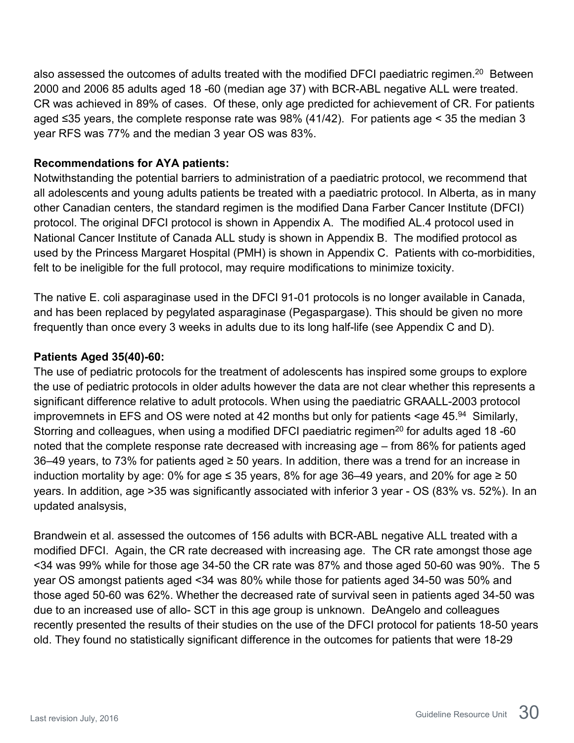also assessed the outcomes of adults treated with the modified DFCI paediatric regimen. $^{\mathsf{20}}$  Between 2000 and 2006 85 adults aged 18 -60 (median age 37) with BCR-ABL negative ALL were treated. CR was achieved in 89% of cases. Of these, only age predicted for achievement of CR. For patients aged ≤35 years, the complete response rate was 98% (41/42). For patients age < 35 the median 3 year RFS was 77% and the median 3 year OS was 83%.

#### **Recommendations for AYA patients:**

Notwithstanding the potential barriers to administration of a paediatric protocol, we recommend that all adolescents and young adults patients be treated with a paediatric protocol. In Alberta, as in many other Canadian centers, the standard regimen is the modified Dana Farber Cancer Institute (DFCI) protocol. The original DFCI protocol is shown in Appendix A. The modified AL.4 protocol used in National Cancer Institute of Canada ALL study is shown in Appendix B. The modified protocol as used by the Princess Margaret Hospital (PMH) is shown in Appendix C. Patients with co-morbidities, felt to be ineligible for the full protocol, may require modifications to minimize toxicity.

The native E. coli asparaginase used in the DFCI 91-01 protocols is no longer available in Canada, and has been replaced by pegylated asparaginase (Pegaspargase). This should be given no more frequently than once every 3 weeks in adults due to its long half-life (see Appendix C and D).

#### **Patients Aged 35(40)-60:**

The use of pediatric protocols for the treatment of adolescents has inspired some groups to explore the use of pediatric protocols in older adults however the data are not clear whether this represents a significant difference relative to adult protocols. When using the paediatric GRAALL-2003 protocol improvemnets in EFS and OS were noted at 42 months but only for patients  $\leq$ age 45.<sup>94</sup> Similarly, Storring and colleagues, when using a modified DFCI paediatric regimen<sup>20</sup> for adults aged 18 -60 noted that the complete response rate decreased with increasing age – from 86% for patients aged 36–49 years, to 73% for patients aged ≥ 50 years. In addition, there was a trend for an increase in induction mortality by age: 0% for age  $\leq$  35 years, 8% for age 36–49 years, and 20% for age  $\geq$  50 years. In addition, age >35 was significantly associated with inferior 3 year - OS (83% vs. 52%). In an updated analsysis,

Brandwein et al. assessed the outcomes of 156 adults with BCR-ABL negative ALL treated with a modified DFCI. Again, the CR rate decreased with increasing age. The CR rate amongst those age <34 was 99% while for those age 34-50 the CR rate was 87% and those aged 50-60 was 90%. The 5 year OS amongst patients aged <34 was 80% while those for patients aged 34-50 was 50% and those aged 50-60 was 62%. Whether the decreased rate of survival seen in patients aged 34-50 was due to an increased use of allo- SCT in this age group is unknown. DeAngelo and colleagues recently presented the results of their studies on the use of the DFCI protocol for patients 18-50 years old. They found no statistically significant difference in the outcomes for patients that were 18-29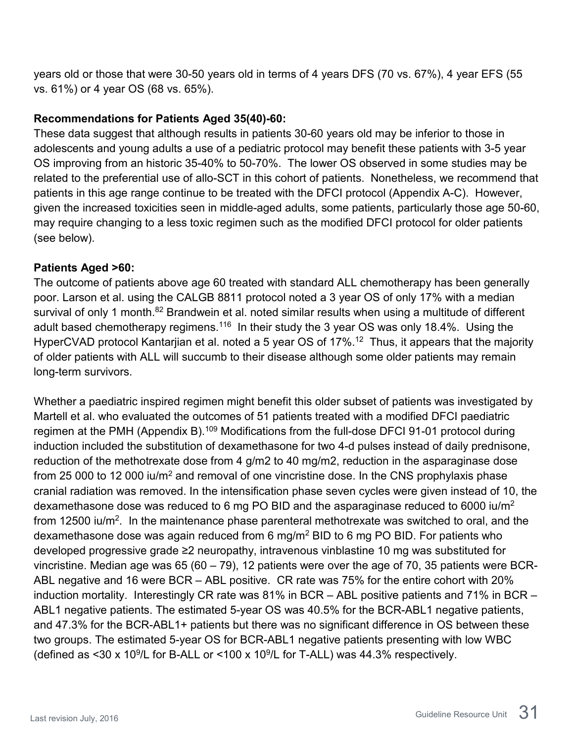years old or those that were 30-50 years old in terms of 4 years DFS (70 vs. 67%), 4 year EFS (55 vs. 61%) or 4 year OS (68 vs. 65%).

#### **Recommendations for Patients Aged 35(40)-60:**

These data suggest that although results in patients 30-60 years old may be inferior to those in adolescents and young adults a use of a pediatric protocol may benefit these patients with 3-5 year OS improving from an historic 35-40% to 50-70%. The lower OS observed in some studies may be related to the preferential use of allo-SCT in this cohort of patients. Nonetheless, we recommend that patients in this age range continue to be treated with the DFCI protocol (Appendix A-C). However, given the increased toxicities seen in middle-aged adults, some patients, particularly those age 50-60, may require changing to a less toxic regimen such as the modified DFCI protocol for older patients (see below).

#### **Patients Aged >60:**

The outcome of patients above age 60 treated with standard ALL chemotherapy has been generally poor. Larson et al. using the CALGB 8811 protocol noted a 3 year OS of only 17% with a median survival of only 1 month.<sup>82</sup> Brandwein et al. noted similar results when using a multitude of different adult based chemotherapy regimens.<sup>116</sup> In their study the 3 year OS was only 18.4%. Using the HyperCVAD protocol Kantarjian et al. noted a 5 year OS of 17%.<sup>12</sup> Thus, it appears that the majority of older patients with ALL will succumb to their disease although some older patients may remain long-term survivors.

Whether a paediatric inspired regimen might benefit this older subset of patients was investigated by Martell et al. who evaluated the outcomes of 51 patients treated with a modified DFCI paediatric regimen at the PMH (Appendix B).<sup>109</sup> Modifications from the full-dose DFCI 91-01 protocol during induction included the substitution of dexamethasone for two 4-d pulses instead of daily prednisone, reduction of the methotrexate dose from 4 g/m2 to 40 mg/m2, reduction in the asparaginase dose from 25 000 to 12 000 iu/m<sup>2</sup> and removal of one vincristine dose. In the CNS prophylaxis phase cranial radiation was removed. In the intensification phase seven cycles were given instead of 10, the dexamethasone dose was reduced to 6 mg PO BID and the asparaginase reduced to 6000 iu/m2 from 12500 iu/m<sup>2</sup>. In the maintenance phase parenteral methotrexate was switched to oral, and the dexamethasone dose was again reduced from 6 mg/m2 BID to 6 mg PO BID. For patients who developed progressive grade ≥2 neuropathy, intravenous vinblastine 10 mg was substituted for vincristine. Median age was 65 (60 – 79), 12 patients were over the age of 70, 35 patients were BCR-ABL negative and 16 were BCR – ABL positive. CR rate was 75% for the entire cohort with 20% induction mortality. Interestingly CR rate was 81% in BCR – ABL positive patients and 71% in BCR – ABL1 negative patients. The estimated 5-year OS was 40.5% for the BCR-ABL1 negative patients, and 47.3% for the BCR-ABL1+ patients but there was no significant difference in OS between these two groups. The estimated 5-year OS for BCR-ABL1 negative patients presenting with low WBC (defined as  $\leq 30 \times 10^9$ /L for B-ALL or  $\leq 100 \times 10^9$ /L for T-ALL) was 44.3% respectively.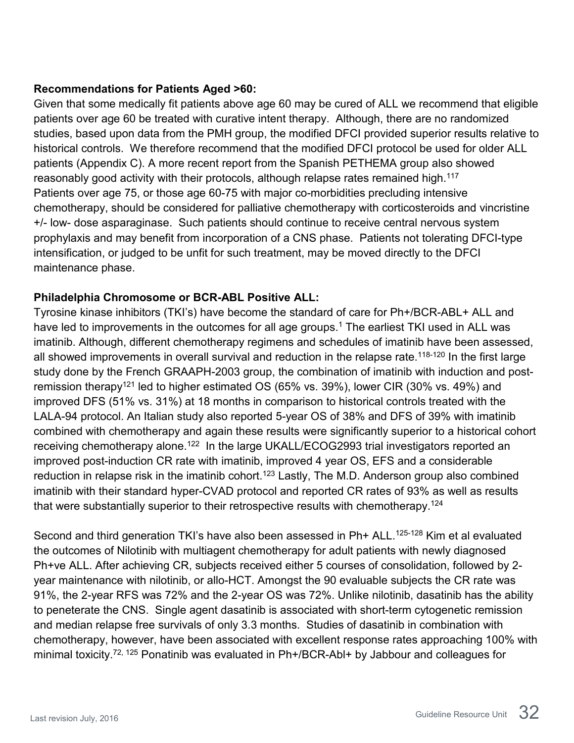#### **Recommendations for Patients Aged >60:**

Given that some medically fit patients above age 60 may be cured of ALL we recommend that eligible patients over age 60 be treated with curative intent therapy. Although, there are no randomized studies, based upon data from the PMH group, the modified DFCI provided superior results relative to historical controls. We therefore recommend that the modified DFCI protocol be used for older ALL patients (Appendix C). A more recent report from the Spanish PETHEMA group also showed reasonably good activity with their protocols, although relapse rates remained high.<sup>117</sup> Patients over age 75, or those age 60-75 with major co-morbidities precluding intensive chemotherapy, should be considered for palliative chemotherapy with corticosteroids and vincristine +/- low- dose asparaginase. Such patients should continue to receive central nervous system prophylaxis and may benefit from incorporation of a CNS phase. Patients not tolerating DFCI-type intensification, or judged to be unfit for such treatment, may be moved directly to the DFCI maintenance phase.

#### **Philadelphia Chromosome or BCR-ABL Positive ALL:**

Tyrosine kinase inhibitors (TKI's) have become the standard of care for Ph+/BCR-ABL+ ALL and have led to improvements in the outcomes for all age groups.<sup>1</sup> The earliest TKI used in ALL was imatinib. Although, different chemotherapy regimens and schedules of imatinib have been assessed, all showed improvements in overall survival and reduction in the relapse rate.<sup>118-120</sup> In the first large study done by the French GRAAPH-2003 group, the combination of imatinib with induction and postremission therapy<sup>121</sup> led to higher estimated OS (65% vs. 39%), lower CIR (30% vs. 49%) and improved DFS (51% vs. 31%) at 18 months in comparison to historical controls treated with the LALA-94 protocol. An Italian study also reported 5-year OS of 38% and DFS of 39% with imatinib combined with chemotherapy and again these results were significantly superior to a historical cohort receiving chemotherapy alone.<sup>122</sup> In the large UKALL/ECOG2993 trial investigators reported an improved post-induction CR rate with imatinib, improved 4 year OS, EFS and a considerable reduction in relapse risk in the imatinib cohort.<sup>123</sup> Lastly, The M.D. Anderson group also combined imatinib with their standard hyper-CVAD protocol and reported CR rates of 93% as well as results that were substantially superior to their retrospective results with chemotherapy.<sup>124</sup>

Second and third generation TKI's have also been assessed in Ph+ ALL.<sup>125-128</sup> Kim et al evaluated the outcomes of Nilotinib with multiagent chemotherapy for adult patients with newly diagnosed Ph+ve ALL. After achieving CR, subjects received either 5 courses of consolidation, followed by 2 year maintenance with nilotinib, or allo-HCT. Amongst the 90 evaluable subjects the CR rate was 91%, the 2-year RFS was 72% and the 2-year OS was 72%. Unlike nilotinib, dasatinib has the ability to peneterate the CNS. Single agent dasatinib is associated with short-term cytogenetic remission and median relapse free survivals of only 3.3 months. Studies of dasatinib in combination with chemotherapy, however, have been associated with excellent response rates approaching 100% with minimal toxicity.<sup>72, 125</sup> Ponatinib was evaluated in Ph+/BCR-Abl+ by Jabbour and colleagues for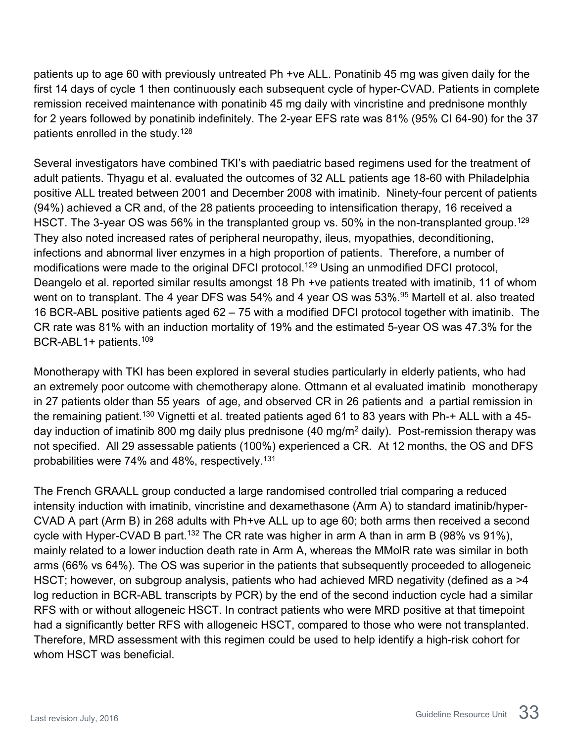patients up to age 60 with previously untreated Ph +ve ALL. Ponatinib 45 mg was given daily for the first 14 days of cycle 1 then continuously each subsequent cycle of hyper-CVAD. Patients in complete remission received maintenance with ponatinib 45 mg daily with vincristine and prednisone monthly for 2 years followed by ponatinib indefinitely. The 2-year EFS rate was 81% (95% CI 64-90) for the 37 patients enrolled in the study.<sup>128</sup>

Several investigators have combined TKI's with paediatric based regimens used for the treatment of adult patients. Thyagu et al. evaluated the outcomes of 32 ALL patients age 18-60 with Philadelphia positive ALL treated between 2001 and December 2008 with imatinib. Ninety-four percent of patients (94%) achieved a CR and, of the 28 patients proceeding to intensification therapy, 16 received a HSCT. The 3-year OS was 56% in the transplanted group vs. 50% in the non-transplanted group.<sup>129</sup> They also noted increased rates of peripheral neuropathy, ileus, myopathies, deconditioning, infections and abnormal liver enzymes in a high proportion of patients. Therefore, a number of modifications were made to the original DFCI protocol.<sup>129</sup> Using an unmodified DFCI protocol, Deangelo et al. reported similar results amongst 18 Ph +ve patients treated with imatinib, 11 of whom went on to transplant. The 4 year DFS was 54% and 4 year OS was 53%.<sup>95</sup> Martell et al. also treated 16 BCR-ABL positive patients aged 62 – 75 with a modified DFCI protocol together with imatinib. The CR rate was 81% with an induction mortality of 19% and the estimated 5-year OS was 47.3% for the BCR-ABL1+ patients.109

Monotherapy with TKI has been explored in several studies particularly in elderly patients, who had an extremely poor outcome with chemotherapy alone. Ottmann et al evaluated imatinib monotherapy in 27 patients older than 55 years of age, and observed CR in 26 patients and a partial remission in the remaining patient.<sup>130</sup> Vignetti et al. treated patients aged 61 to 83 years with Ph-+ ALL with a 45day induction of imatinib 800 mg daily plus prednisone (40 mg/m<sup>2</sup> daily). Post-remission therapy was not specified. All 29 assessable patients (100%) experienced a CR. At 12 months, the OS and DFS probabilities were 74% and 48%, respectively.<sup>131</sup>

The French GRAALL group conducted a large randomised controlled trial comparing a reduced intensity induction with imatinib, vincristine and dexamethasone (Arm A) to standard imatinib/hyper-CVAD A part (Arm B) in 268 adults with Ph+ve ALL up to age 60; both arms then received a second cycle with Hyper-CVAD B part.<sup>132</sup> The CR rate was higher in arm A than in arm B (98% vs 91%), mainly related to a lower induction death rate in Arm A, whereas the MMolR rate was similar in both arms (66% vs 64%). The OS was superior in the patients that subsequently proceeded to allogeneic HSCT; however, on subgroup analysis, patients who had achieved MRD negativity (defined as a >4 log reduction in BCR-ABL transcripts by PCR) by the end of the second induction cycle had a similar RFS with or without allogeneic HSCT. In contract patients who were MRD positive at that timepoint had a significantly better RFS with allogeneic HSCT, compared to those who were not transplanted. Therefore, MRD assessment with this regimen could be used to help identify a high-risk cohort for whom HSCT was beneficial.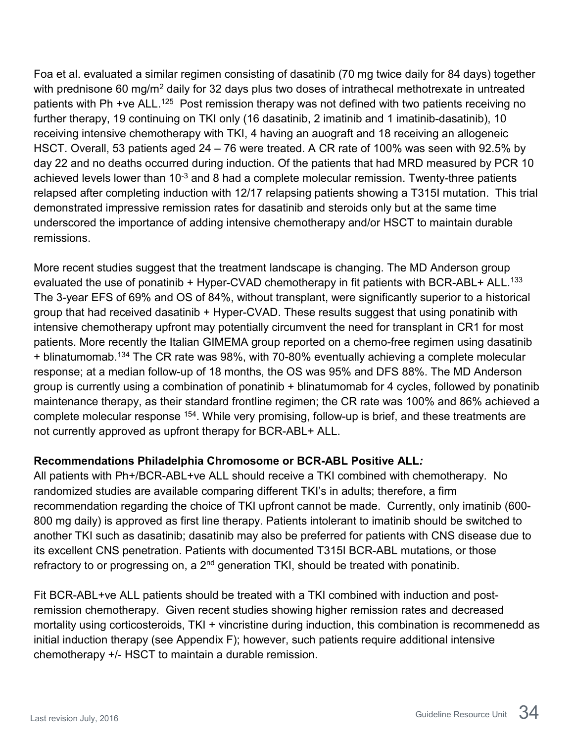Foa et al. evaluated a similar regimen consisting of dasatinib (70 mg twice daily for 84 days) together with prednisone 60 mg/m<sup>2</sup> daily for 32 days plus two doses of intrathecal methotrexate in untreated patients with Ph +ve ALL.<sup>125</sup> Post remission therapy was not defined with two patients receiving no further therapy, 19 continuing on TKI only (16 dasatinib, 2 imatinib and 1 imatinib-dasatinib), 10 receiving intensive chemotherapy with TKI, 4 having an auograft and 18 receiving an allogeneic HSCT. Overall, 53 patients aged 24 – 76 were treated. A CR rate of 100% was seen with 92.5% by day 22 and no deaths occurred during induction. Of the patients that had MRD measured by PCR 10 achieved levels lower than  $10^{-3}$  and 8 had a complete molecular remission. Twenty-three patients relapsed after completing induction with 12/17 relapsing patients showing a T315I mutation. This trial demonstrated impressive remission rates for dasatinib and steroids only but at the same time underscored the importance of adding intensive chemotherapy and/or HSCT to maintain durable remissions.

More recent studies suggest that the treatment landscape is changing. The MD Anderson group evaluated the use of ponatinib + Hyper-CVAD chemotherapy in fit patients with BCR-ABL+ ALL.<sup>133</sup> The 3-year EFS of 69% and OS of 84%, without transplant, were significantly superior to a historical group that had received dasatinib + Hyper-CVAD. These results suggest that using ponatinib with intensive chemotherapy upfront may potentially circumvent the need for transplant in CR1 for most patients. More recently the Italian GIMEMA group reported on a chemo-free regimen using dasatinib + blinatumomab.134 The CR rate was 98%, with 70-80% eventually achieving a complete molecular response; at a median follow-up of 18 months, the OS was 95% and DFS 88%. The MD Anderson group is currently using a combination of ponatinib + blinatumomab for 4 cycles, followed by ponatinib maintenance therapy, as their standard frontline regimen; the CR rate was 100% and 86% achieved a complete molecular response 154. While very promising, follow-up is brief, and these treatments are not currently approved as upfront therapy for BCR-ABL+ ALL.

#### **Recommendations Philadelphia Chromosome or BCR-ABL Positive ALL***:*

All patients with Ph+/BCR-ABL+ve ALL should receive a TKI combined with chemotherapy. No randomized studies are available comparing different TKI's in adults; therefore, a firm recommendation regarding the choice of TKI upfront cannot be made. Currently, only imatinib (600- 800 mg daily) is approved as first line therapy. Patients intolerant to imatinib should be switched to another TKI such as dasatinib; dasatinib may also be preferred for patients with CNS disease due to its excellent CNS penetration. Patients with documented T315I BCR-ABL mutations, or those refractory to or progressing on, a  $2<sup>nd</sup>$  generation TKI, should be treated with ponatinib.

Fit BCR-ABL+ve ALL patients should be treated with a TKI combined with induction and postremission chemotherapy. Given recent studies showing higher remission rates and decreased mortality using corticosteroids, TKI + vincristine during induction, this combination is recommenedd as initial induction therapy (see Appendix F); however, such patients require additional intensive chemotherapy +/- HSCT to maintain a durable remission.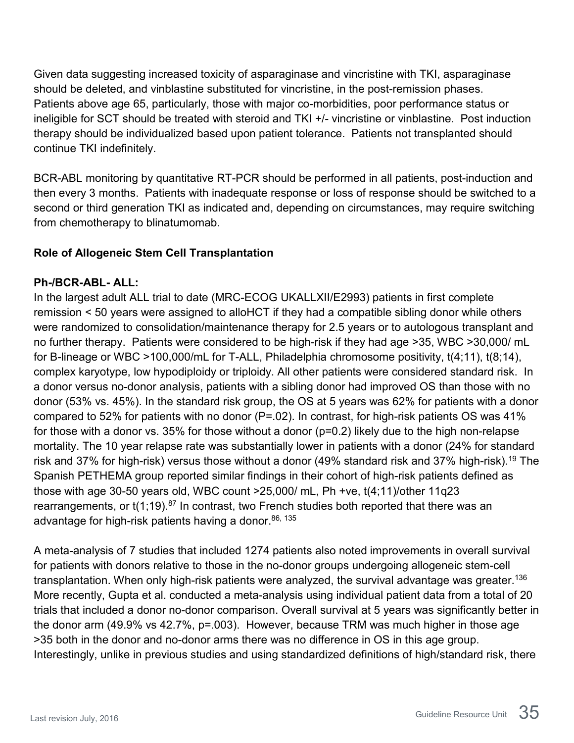Given data suggesting increased toxicity of asparaginase and vincristine with TKI, asparaginase should be deleted, and vinblastine substituted for vincristine, in the post-remission phases. Patients above age 65, particularly, those with major co-morbidities, poor performance status or ineligible for SCT should be treated with steroid and TKI +/- vincristine or vinblastine. Post induction therapy should be individualized based upon patient tolerance. Patients not transplanted should continue TKI indefinitely.

BCR-ABL monitoring by quantitative RT-PCR should be performed in all patients, post-induction and then every 3 months. Patients with inadequate response or loss of response should be switched to a second or third generation TKI as indicated and, depending on circumstances, may require switching from chemotherapy to blinatumomab.

#### <span id="page-34-0"></span>**Role of Allogeneic Stem Cell Transplantation**

#### **Ph-/BCR-ABL- ALL:**

In the largest adult ALL trial to date (MRC-ECOG UKALLXII/E2993) patients in first complete remission < 50 years were assigned to alloHCT if they had a compatible sibling donor while others were randomized to consolidation/maintenance therapy for 2.5 years or to autologous transplant and no further therapy. Patients were considered to be high-risk if they had age >35, WBC >30,000/ mL for B-lineage or WBC >100,000/mL for T-ALL, Philadelphia chromosome positivity, t(4;11), t(8;14), complex karyotype, low hypodiploidy or triploidy. All other patients were considered standard risk. In a donor versus no-donor analysis, patients with a sibling donor had improved OS than those with no donor (53% vs. 45%). In the standard risk group, the OS at 5 years was 62% for patients with a donor compared to 52% for patients with no donor (P=.02). In contrast, for high-risk patients OS was 41% for those with a donor vs. 35% for those without a donor (p=0.2) likely due to the high non-relapse mortality. The 10 year relapse rate was substantially lower in patients with a donor (24% for standard risk and 37% for high-risk) versus those without a donor (49% standard risk and 37% high-risk).<sup>19</sup> The Spanish PETHEMA group reported similar findings in their cohort of high-risk patients defined as those with age 30-50 years old, WBC count >25,000/ mL, Ph +ve, t(4;11)/other 11q23 rearrangements, or  $t(1,19)$ .<sup>87</sup> In contrast, two French studies both reported that there was an advantage for high-risk patients having a donor. 86, 135

A meta-analysis of 7 studies that included 1274 patients also noted improvements in overall survival for patients with donors relative to those in the no-donor groups undergoing allogeneic stem-cell transplantation. When only high-risk patients were analyzed, the survival advantage was greater.<sup>136</sup> More recently, Gupta et al. conducted a meta-analysis using individual patient data from a total of 20 trials that included a donor no-donor comparison. Overall survival at 5 years was significantly better in the donor arm (49.9% vs 42.7%, p=.003). However, because TRM was much higher in those age >35 both in the donor and no-donor arms there was no difference in OS in this age group. Interestingly, unlike in previous studies and using standardized definitions of high/standard risk, there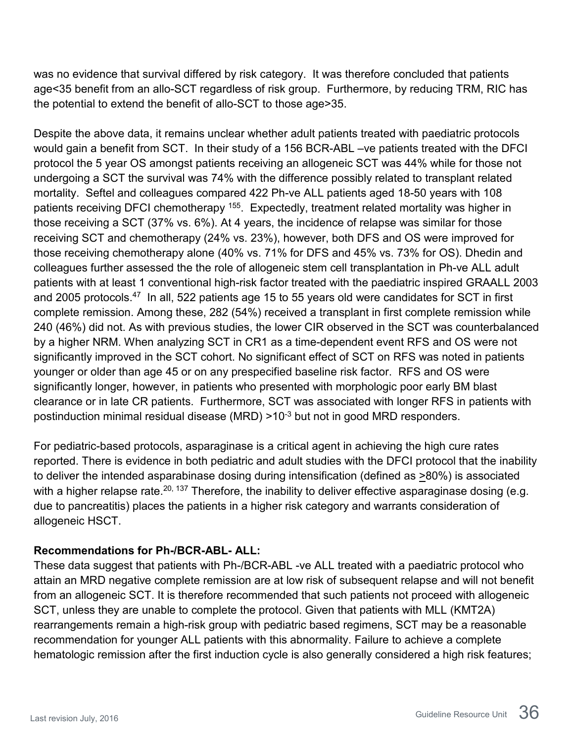was no evidence that survival differed by risk category. It was therefore concluded that patients age<35 benefit from an allo-SCT regardless of risk group. Furthermore, by reducing TRM, RIC has the potential to extend the benefit of allo-SCT to those age>35.

Despite the above data, it remains unclear whether adult patients treated with paediatric protocols would gain a benefit from SCT. In their study of a 156 BCR-ABL –ve patients treated with the DFCI protocol the 5 year OS amongst patients receiving an allogeneic SCT was 44% while for those not undergoing a SCT the survival was 74% with the difference possibly related to transplant related mortality. Seftel and colleagues compared 422 Ph-ve ALL patients aged 18-50 years with 108 patients receiving DFCI chemotherapy <sup>155</sup>. Expectedly, treatment related mortality was higher in those receiving a SCT (37% vs. 6%). At 4 years, the incidence of relapse was similar for those receiving SCT and chemotherapy (24% vs. 23%), however, both DFS and OS were improved for those receiving chemotherapy alone (40% vs. 71% for DFS and 45% vs. 73% for OS). Dhedin and colleagues further assessed the the role of allogeneic stem cell transplantation in Ph-ve ALL adult patients with at least 1 conventional high-risk factor treated with the paediatric inspired GRAALL 2003 and 2005 protocols.47 In all, 522 patients age 15 to 55 years old were candidates for SCT in first complete remission. Among these, 282 (54%) received a transplant in first complete remission while 240 (46%) did not. As with previous studies, the lower CIR observed in the SCT was counterbalanced by a higher NRM. When analyzing SCT in CR1 as a time-dependent event RFS and OS were not significantly improved in the SCT cohort. No significant effect of SCT on RFS was noted in patients younger or older than age 45 or on any prespecified baseline risk factor. RFS and OS were significantly longer, however, in patients who presented with morphologic poor early BM blast clearance or in late CR patients. Furthermore, SCT was associated with longer RFS in patients with postinduction minimal residual disease (MRD) >10<sup>-3</sup> but not in good MRD responders.

For pediatric-based protocols, asparaginase is a critical agent in achieving the high cure rates reported. There is evidence in both pediatric and adult studies with the DFCI protocol that the inability to deliver the intended asparabinase dosing during intensification (defined as >80%) is associated with a higher relapse rate.<sup>20, 137</sup> Therefore, the inability to deliver effective asparaginase dosing (e.g. due to pancreatitis) places the patients in a higher risk category and warrants consideration of allogeneic HSCT.

#### **Recommendations for Ph-/BCR-ABL- ALL:**

These data suggest that patients with Ph-/BCR-ABL -ve ALL treated with a paediatric protocol who attain an MRD negative complete remission are at low risk of subsequent relapse and will not benefit from an allogeneic SCT. It is therefore recommended that such patients not proceed with allogeneic SCT, unless they are unable to complete the protocol. Given that patients with MLL (KMT2A) rearrangements remain a high-risk group with pediatric based regimens, SCT may be a reasonable recommendation for younger ALL patients with this abnormality. Failure to achieve a complete hematologic remission after the first induction cycle is also generally considered a high risk features;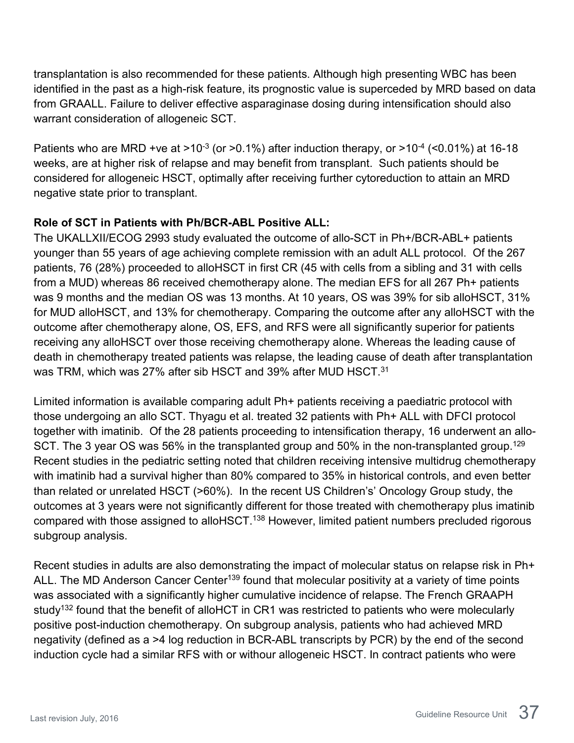transplantation is also recommended for these patients. Although high presenting WBC has been identified in the past as a high-risk feature, its prognostic value is superceded by MRD based on data from GRAALL. Failure to deliver effective asparaginase dosing during intensification should also warrant consideration of allogeneic SCT.

Patients who are MRD +ve at >10 $3$  (or >0.1%) after induction therapy, or >10 $4$  (<0.01%) at 16-18 weeks, are at higher risk of relapse and may benefit from transplant. Such patients should be considered for allogeneic HSCT, optimally after receiving further cytoreduction to attain an MRD negative state prior to transplant.

#### **Role of SCT in Patients with Ph/BCR-ABL Positive ALL:**

The UKALLXII/ECOG 2993 study evaluated the outcome of allo-SCT in Ph+/BCR-ABL+ patients younger than 55 years of age achieving complete remission with an adult ALL protocol. Of the 267 patients, 76 (28%) proceeded to alloHSCT in first CR (45 with cells from a sibling and 31 with cells from a MUD) whereas 86 received chemotherapy alone. The median EFS for all 267 Ph+ patients was 9 months and the median OS was 13 months. At 10 years, OS was 39% for sib alloHSCT, 31% for MUD alloHSCT, and 13% for chemotherapy. Comparing the outcome after any alloHSCT with the outcome after chemotherapy alone, OS, EFS, and RFS were all significantly superior for patients receiving any alloHSCT over those receiving chemotherapy alone. Whereas the leading cause of death in chemotherapy treated patients was relapse, the leading cause of death after transplantation was TRM, which was 27% after sib HSCT and 39% after MUD HSCT.31

Limited information is available comparing adult Ph+ patients receiving a paediatric protocol with those undergoing an allo SCT. Thyagu et al. treated 32 patients with Ph+ ALL with DFCI protocol together with imatinib. Of the 28 patients proceeding to intensification therapy, 16 underwent an allo-SCT. The 3 year OS was 56% in the transplanted group and 50% in the non-transplanted group.<sup>129</sup> Recent studies in the pediatric setting noted that children receiving intensive multidrug chemotherapy with imatinib had a survival higher than 80% compared to 35% in historical controls, and even better than related or unrelated HSCT (>60%). In the recent US Children's' Oncology Group study, the outcomes at 3 years were not significantly different for those treated with chemotherapy plus imatinib compared with those assigned to alloHSCT.<sup>138</sup> However, limited patient numbers precluded rigorous subgroup analysis.

Recent studies in adults are also demonstrating the impact of molecular status on relapse risk in Ph+ ALL. The MD Anderson Cancer Center<sup>139</sup> found that molecular positivity at a variety of time points was associated with a significantly higher cumulative incidence of relapse. The French GRAAPH study<sup>132</sup> found that the benefit of alloHCT in CR1 was restricted to patients who were molecularly positive post-induction chemotherapy. On subgroup analysis, patients who had achieved MRD negativity (defined as a >4 log reduction in BCR-ABL transcripts by PCR) by the end of the second induction cycle had a similar RFS with or withour allogeneic HSCT. In contract patients who were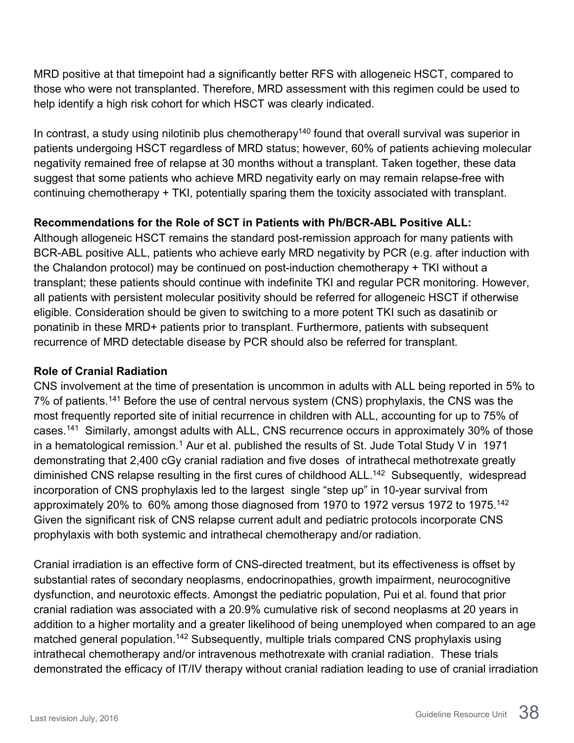MRD positive at that timepoint had a significantly better RFS with allogeneic HSCT, compared to those who were not transplanted. Therefore, MRD assessment with this regimen could be used to help identify a high risk cohort for which HSCT was clearly indicated.

In contrast, a study using nilotinib plus chemotherapy<sup>140</sup> found that overall survival was superior in patients undergoing HSCT regardless of MRD status; however, 60% of patients achieving molecular negativity remained free of relapse at 30 months without a transplant. Taken together, these data suggest that some patients who achieve MRD negativity early on may remain relapse-free with continuing chemotherapy + TKI, potentially sparing them the toxicity associated with transplant.

### **Recommendations for the Role of SCT in Patients with Ph/BCR-ABL Positive ALL:**

Although allogeneic HSCT remains the standard post-remission approach for many patients with BCR-ABL positive ALL, patients who achieve early MRD negativity by PCR (e.g. after induction with the Chalandon protocol) may be continued on post-induction chemotherapy + TKI without a transplant; these patients should continue with indefinite TKI and regular PCR monitoring. However, all patients with persistent molecular positivity should be referred for allogeneic HSCT if otherwise eligible. Consideration should be given to switching to a more potent TKI such as dasatinib or ponatinib in these MRD+ patients prior to transplant. Furthermore, patients with subsequent recurrence of MRD detectable disease by PCR should also be referred for transplant.

### <span id="page-37-0"></span>**Role of Cranial Radiation**

CNS involvement at the time of presentation is uncommon in adults with ALL being reported in 5% to 7% of patients.141 Before the use of central nervous system (CNS) prophylaxis, the CNS was the most frequently reported site of initial recurrence in children with ALL, accounting for up to 75% of cases.141 Similarly, amongst adults with ALL, CNS recurrence occurs in approximately 30% of those in a hematological remission.<sup>1</sup> Aur et al. published the results of St. Jude Total Study V in  $1971$ demonstrating that 2,400 cGy cranial radiation and five doses of intrathecal methotrexate greatly diminished CNS relapse resulting in the first cures of childhood ALL.<sup>142</sup> Subsequently, widespread incorporation of CNS prophylaxis led to the largest single "step up" in 10-year survival from approximately 20% to 60% among those diagnosed from 1970 to 1972 versus 1972 to 1975.<sup>142</sup> Given the significant risk of CNS relapse current adult and pediatric protocols incorporate CNS prophylaxis with both systemic and intrathecal chemotherapy and/or radiation.

Cranial irradiation is an effective form of CNS-directed treatment, but its effectiveness is offset by substantial rates of secondary neoplasms, endocrinopathies, growth impairment, neurocognitive dysfunction, and neurotoxic effects. Amongst the pediatric population, Pui et al. found that prior cranial radiation was associated with a 20.9% cumulative risk of second neoplasms at 20 years in addition to a higher mortality and a greater likelihood of being unemployed when compared to an age matched general population.<sup>142</sup> Subsequently, multiple trials compared CNS prophylaxis using intrathecal chemotherapy and/or intravenous methotrexate with cranial radiation. These trials demonstrated the efficacy of IT/IV therapy without cranial radiation leading to use of cranial irradiation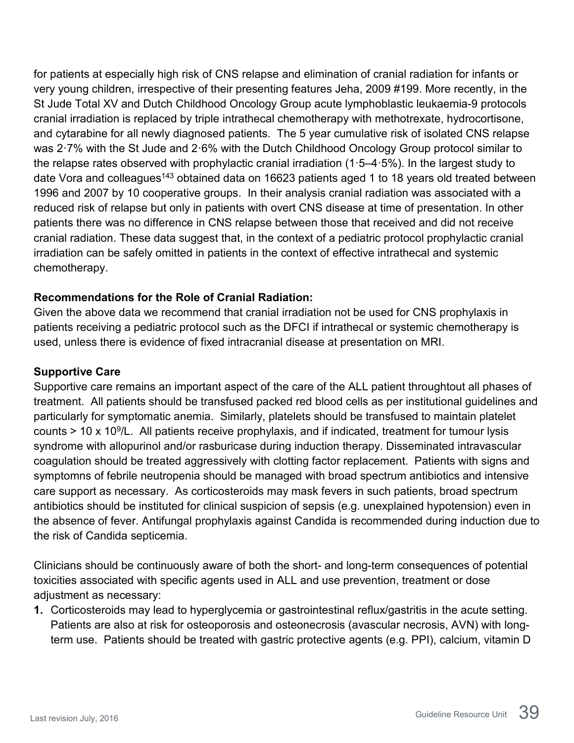for patients at especially high risk of CNS relapse and elimination of cranial radiation for infants or very young children, irrespective of their presenting features Jeha, 2009 #199. More recently, in the St Jude Total XV and Dutch Childhood Oncology Group acute lymphoblastic leukaemia-9 protocols cranial irradiation is replaced by triple intrathecal chemotherapy with methotrexate, hydrocortisone, and cytarabine for all newly diagnosed patients. The 5 year cumulative risk of isolated CNS relapse was 2·7% with the St Jude and 2·6% with the Dutch Childhood Oncology Group protocol similar to the relapse rates observed with prophylactic cranial irradiation (1·5–4·5%). In the largest study to date Vora and colleagues<sup>143</sup> obtained data on 16623 patients aged 1 to 18 years old treated between 1996 and 2007 by 10 cooperative groups. In their analysis cranial radiation was associated with a reduced risk of relapse but only in patients with overt CNS disease at time of presentation. In other patients there was no difference in CNS relapse between those that received and did not receive cranial radiation. These data suggest that, in the context of a pediatric protocol prophylactic cranial irradiation can be safely omitted in patients in the context of effective intrathecal and systemic chemotherapy.

#### **Recommendations for the Role of Cranial Radiation:**

Given the above data we recommend that cranial irradiation not be used for CNS prophylaxis in patients receiving a pediatric protocol such as the DFCI if intrathecal or systemic chemotherapy is used, unless there is evidence of fixed intracranial disease at presentation on MRI.

#### <span id="page-38-0"></span>**Supportive Care**

Supportive care remains an important aspect of the care of the ALL patient throughtout all phases of treatment. All patients should be transfused packed red blood cells as per institutional guidelines and particularly for symptomatic anemia. Similarly, platelets should be transfused to maintain platelet counts  $> 10 \times 10^9$ /L. All patients receive prophylaxis, and if indicated, treatment for tumour lysis syndrome with allopurinol and/or rasburicase during induction therapy. Disseminated intravascular coagulation should be treated aggressively with clotting factor replacement. Patients with signs and symptomns of febrile neutropenia should be managed with broad spectrum antibiotics and intensive care support as necessary. As corticosteroids may mask fevers in such patients, broad spectrum antibiotics should be instituted for clinical suspicion of sepsis (e.g. unexplained hypotension) even in the absence of fever. Antifungal prophylaxis against Candida is recommended during induction due to the risk of Candida septicemia.

Clinicians should be continuously aware of both the short- and long-term consequences of potential toxicities associated with specific agents used in ALL and use prevention, treatment or dose adjustment as necessary:

**1.** Corticosteroids may lead to hyperglycemia or gastrointestinal reflux/gastritis in the acute setting. Patients are also at risk for osteoporosis and osteonecrosis (avascular necrosis, AVN) with longterm use. Patients should be treated with gastric protective agents (e.g. PPI), calcium, vitamin D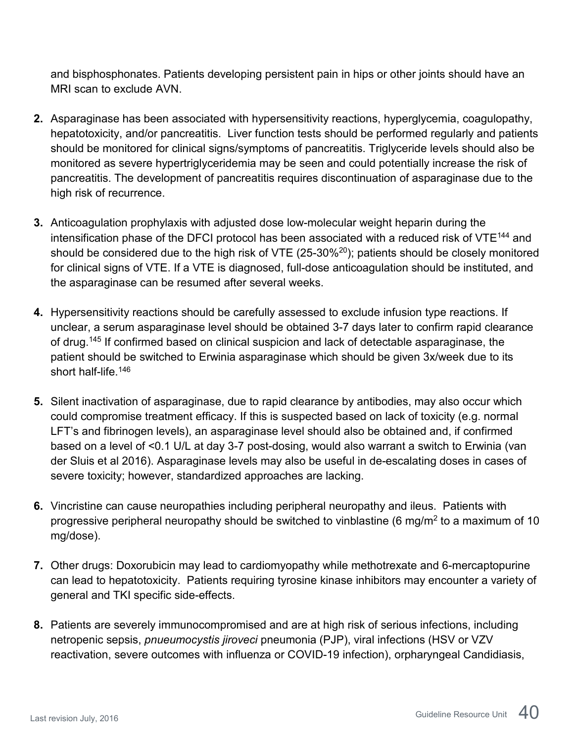and bisphosphonates. Patients developing persistent pain in hips or other joints should have an MRI scan to exclude AVN.

- **2.** Asparaginase has been associated with hypersensitivity reactions, hyperglycemia, coagulopathy, hepatotoxicity, and/or pancreatitis. Liver function tests should be performed regularly and patients should be monitored for clinical signs/symptoms of pancreatitis. Triglyceride levels should also be monitored as severe hypertriglyceridemia may be seen and could potentially increase the risk of pancreatitis. The development of pancreatitis requires discontinuation of asparaginase due to the high risk of recurrence.
- **3.** Anticoagulation prophylaxis with adjusted dose low-molecular weight heparin during the intensification phase of the DFCI protocol has been associated with a reduced risk of VTE<sup>144</sup> and should be considered due to the high risk of VTE  $(25-30\%)$ ; patients should be closely monitored for clinical signs of VTE. If a VTE is diagnosed, full-dose anticoagulation should be instituted, and the asparaginase can be resumed after several weeks.
- **4.** Hypersensitivity reactions should be carefully assessed to exclude infusion type reactions. If unclear, a serum asparaginase level should be obtained 3-7 days later to confirm rapid clearance of drug.<sup>145</sup> If confirmed based on clinical suspicion and lack of detectable asparaginase, the patient should be switched to Erwinia asparaginase which should be given 3x/week due to its short half-life.146
- **5.** Silent inactivation of asparaginase, due to rapid clearance by antibodies, may also occur which could compromise treatment efficacy. If this is suspected based on lack of toxicity (e.g. normal LFT's and fibrinogen levels), an asparaginase level should also be obtained and, if confirmed based on a level of <0.1 U/L at day 3-7 post-dosing, would also warrant a switch to Erwinia (van der Sluis et al 2016). Asparaginase levels may also be useful in de-escalating doses in cases of severe toxicity; however, standardized approaches are lacking.
- **6.** Vincristine can cause neuropathies including peripheral neuropathy and ileus. Patients with progressive peripheral neuropathy should be switched to vinblastine (6 mg/m<sup>2</sup> to a maximum of 10 mg/dose).
- **7.** Other drugs: Doxorubicin may lead to cardiomyopathy while methotrexate and 6-mercaptopurine can lead to hepatotoxicity. Patients requiring tyrosine kinase inhibitors may encounter a variety of general and TKI specific side-effects.
- **8.** Patients are severely immunocompromised and are at high risk of serious infections, including netropenic sepsis, *pnueumocystis jiroveci* pneumonia (PJP), viral infections (HSV or VZV reactivation, severe outcomes with influenza or COVID-19 infection), orpharyngeal Candidiasis,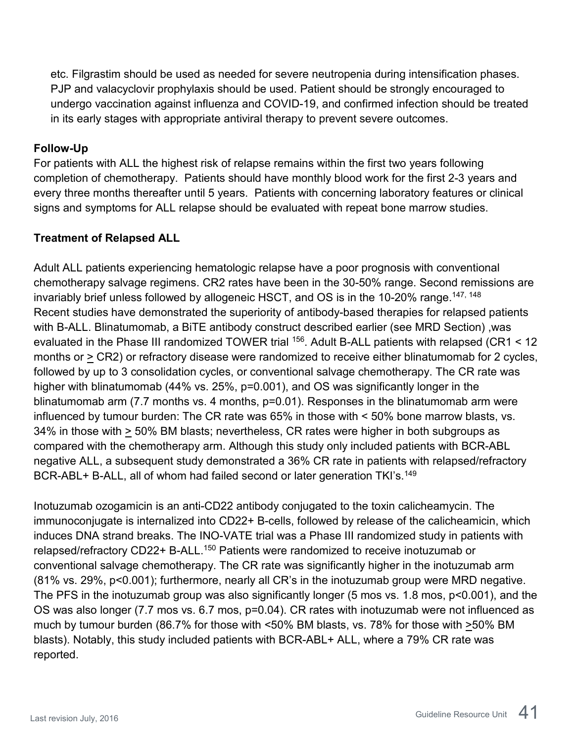etc. Filgrastim should be used as needed for severe neutropenia during intensification phases. PJP and valacyclovir prophylaxis should be used. Patient should be strongly encouraged to undergo vaccination against influenza and COVID-19, and confirmed infection should be treated in its early stages with appropriate antiviral therapy to prevent severe outcomes.

#### <span id="page-40-0"></span>**Follow-Up**

For patients with ALL the highest risk of relapse remains within the first two years following completion of chemotherapy. Patients should have monthly blood work for the first 2-3 years and every three months thereafter until 5 years. Patients with concerning laboratory features or clinical signs and symptoms for ALL relapse should be evaluated with repeat bone marrow studies.

#### <span id="page-40-1"></span>**Treatment of Relapsed ALL**

Adult ALL patients experiencing hematologic relapse have a poor prognosis with conventional chemotherapy salvage regimens. CR2 rates have been in the 30-50% range. Second remissions are invariably brief unless followed by allogeneic HSCT, and OS is in the 10-20% range.<sup>147, 148</sup> Recent studies have demonstrated the superiority of antibody-based therapies for relapsed patients with B-ALL. Blinatumomab, a BiTE antibody construct described earlier (see MRD Section) ,was evaluated in the Phase III randomized TOWER trial <sup>156</sup>. Adult B-ALL patients with relapsed (CR1 < 12 months or > CR2) or refractory disease were randomized to receive either blinatumomab for 2 cycles, followed by up to 3 consolidation cycles, or conventional salvage chemotherapy. The CR rate was higher with blinatumomab (44% vs. 25%, p=0.001), and OS was significantly longer in the blinatumomab arm (7.7 months vs. 4 months, p=0.01). Responses in the blinatumomab arm were influenced by tumour burden: The CR rate was 65% in those with < 50% bone marrow blasts, vs. 34% in those with > 50% BM blasts; nevertheless, CR rates were higher in both subgroups as compared with the chemotherapy arm. Although this study only included patients with BCR-ABL negative ALL, a subsequent study demonstrated a 36% CR rate in patients with relapsed/refractory BCR-ABL+ B-ALL, all of whom had failed second or later generation TKI's.<sup>149</sup>

Inotuzumab ozogamicin is an anti-CD22 antibody conjugated to the toxin calicheamycin. The immunoconjugate is internalized into CD22+ B-cells, followed by release of the calicheamicin, which induces DNA strand breaks. The INO-VATE trial was a Phase III randomized study in patients with relapsed/refractory CD22+ B-ALL.<sup>150</sup> Patients were randomized to receive inotuzumab or conventional salvage chemotherapy. The CR rate was significantly higher in the inotuzumab arm (81% vs. 29%, p<0.001); furthermore, nearly all CR's in the inotuzumab group were MRD negative. The PFS in the inotuzumab group was also significantly longer (5 mos vs. 1.8 mos, p<0.001), and the OS was also longer (7.7 mos vs. 6.7 mos, p=0.04). CR rates with inotuzumab were not influenced as much by tumour burden (86.7% for those with <50% BM blasts, vs. 78% for those with >50% BM blasts). Notably, this study included patients with BCR-ABL+ ALL, where a 79% CR rate was reported.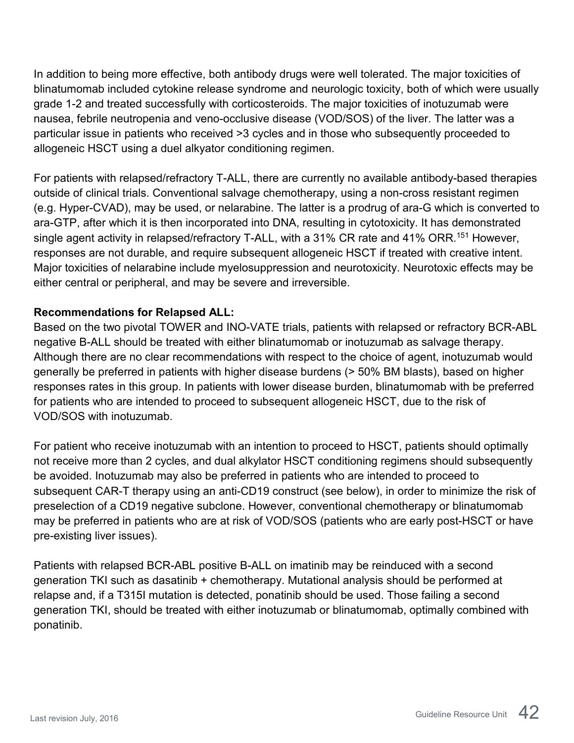In addition to being more effective, both antibody drugs were well tolerated. The major toxicities of blinatumomab included cytokine release syndrome and neurologic toxicity, both of which were usually grade 1-2 and treated successfully with corticosteroids. The major toxicities of inotuzumab were nausea, febrile neutropenia and veno-occlusive disease (VOD/SOS) of the liver. The latter was a particular issue in patients who received >3 cycles and in those who subsequently proceeded to allogeneic HSCT using a duel alkyator conditioning regimen.

For patients with relapsed/refractory T-ALL, there are currently no available antibody-based therapies outside of clinical trials. Conventional salvage chemotherapy, using a non-cross resistant regimen (e.g. Hyper-CVAD), may be used, or nelarabine. The latter is a prodrug of ara-G which is converted to ara-GTP, after which it is then incorporated into DNA, resulting in cytotoxicity. It has demonstrated single agent activity in relapsed/refractory T-ALL, with a 31% CR rate and 41% ORR.<sup>151</sup> However, responses are not durable, and require subsequent allogeneic HSCT if treated with creative intent. Major toxicities of nelarabine include myelosuppression and neurotoxicity. Neurotoxic effects may be either central or peripheral, and may be severe and irreversible.

#### **Recommendations for Relapsed ALL:**

Based on the two pivotal TOWER and INO-VATE trials, patients with relapsed or refractory BCR-ABL negative B-ALL should be treated with either blinatumomab or inotuzumab as salvage therapy. Although there are no clear recommendations with respect to the choice of agent, inotuzumab would generally be preferred in patients with higher disease burdens (> 50% BM blasts), based on higher responses rates in this group. In patients with lower disease burden, blinatumomab with be preferred for patients who are intended to proceed to subsequent allogeneic HSCT, due to the risk of VOD/SOS with inotuzumab.

For patient who receive inotuzumab with an intention to proceed to HSCT, patients should optimally not receive more than 2 cycles, and dual alkylator HSCT conditioning regimens should subsequently be avoided. Inotuzumab may also be preferred in patients who are intended to proceed to subsequent CAR-T therapy using an anti-CD19 construct (see below), in order to minimize the risk of preselection of a CD19 negative subclone. However, conventional chemotherapy or blinatumomab may be preferred in patients who are at risk of VOD/SOS (patients who are early post-HSCT or have pre-existing liver issues).

Patients with relapsed BCR-ABL positive B-ALL on imatinib may be reinduced with a second generation TKI such as dasatinib + chemotherapy. Mutational analysis should be performed at relapse and, if a T315I mutation is detected, ponatinib should be used. Those failing a second generation TKI, should be treated with either inotuzumab or blinatumomab, optimally combined with ponatinib.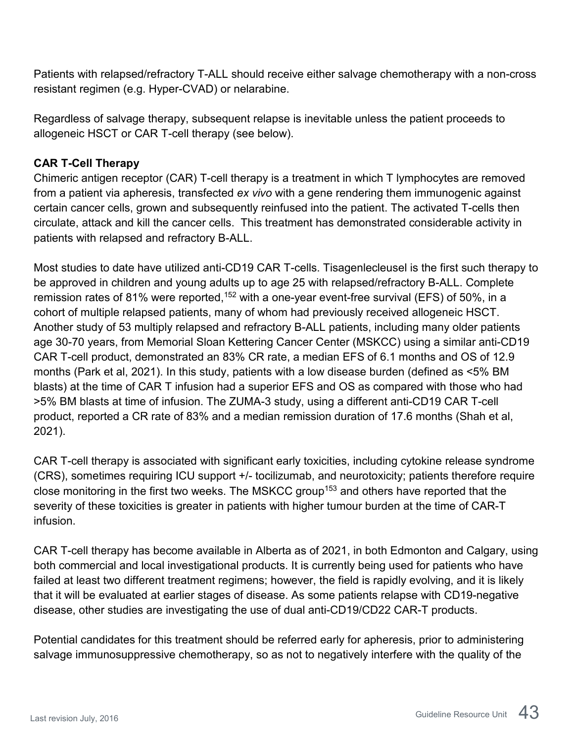Patients with relapsed/refractory T-ALL should receive either salvage chemotherapy with a non-cross resistant regimen (e.g. Hyper-CVAD) or nelarabine.

Regardless of salvage therapy, subsequent relapse is inevitable unless the patient proceeds to allogeneic HSCT or CAR T-cell therapy (see below).

#### <span id="page-42-0"></span>**CAR T-Cell Therapy**

Chimeric antigen receptor (CAR) T-cell therapy is a treatment in which T lymphocytes are removed from a patient via apheresis, transfected *ex vivo* with a gene rendering them immunogenic against certain cancer cells, grown and subsequently reinfused into the patient. The activated T-cells then circulate, attack and kill the cancer cells. This treatment has demonstrated considerable activity in patients with relapsed and refractory B-ALL.

Most studies to date have utilized anti-CD19 CAR T-cells. Tisagenlecleusel is the first such therapy to be approved in children and young adults up to age 25 with relapsed/refractory B-ALL. Complete remission rates of 81% were reported,<sup>152</sup> with a one-year event-free survival (EFS) of 50%, in a cohort of multiple relapsed patients, many of whom had previously received allogeneic HSCT. Another study of 53 multiply relapsed and refractory B-ALL patients, including many older patients age 30-70 years, from Memorial Sloan Kettering Cancer Center (MSKCC) using a similar anti-CD19 CAR T-cell product, demonstrated an 83% CR rate, a median EFS of 6.1 months and OS of 12.9 months (Park et al, 2021). In this study, patients with a low disease burden (defined as <5% BM blasts) at the time of CAR T infusion had a superior EFS and OS as compared with those who had >5% BM blasts at time of infusion. The ZUMA-3 study, using a different anti-CD19 CAR T-cell product, reported a CR rate of 83% and a median remission duration of 17.6 months (Shah et al, 2021).

CAR T-cell therapy is associated with significant early toxicities, including cytokine release syndrome (CRS), sometimes requiring ICU support +/- tocilizumab, and neurotoxicity; patients therefore require close monitoring in the first two weeks. The MSKCC group<sup>153</sup> and others have reported that the severity of these toxicities is greater in patients with higher tumour burden at the time of CAR-T infusion.

CAR T-cell therapy has become available in Alberta as of 2021, in both Edmonton and Calgary, using both commercial and local investigational products. It is currently being used for patients who have failed at least two different treatment regimens; however, the field is rapidly evolving, and it is likely that it will be evaluated at earlier stages of disease. As some patients relapse with CD19-negative disease, other studies are investigating the use of dual anti-CD19/CD22 CAR-T products.

Potential candidates for this treatment should be referred early for apheresis, prior to administering salvage immunosuppressive chemotherapy, so as not to negatively interfere with the quality of the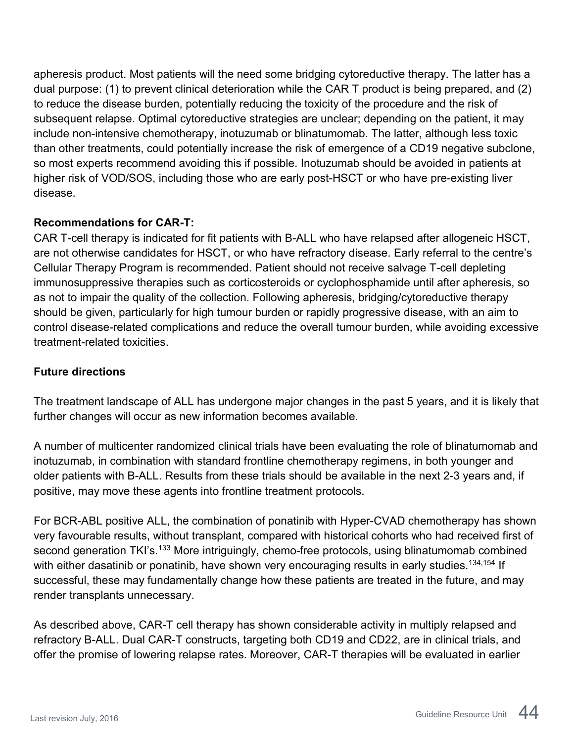apheresis product. Most patients will the need some bridging cytoreductive therapy. The latter has a dual purpose: (1) to prevent clinical deterioration while the CAR T product is being prepared, and (2) to reduce the disease burden, potentially reducing the toxicity of the procedure and the risk of subsequent relapse. Optimal cytoreductive strategies are unclear; depending on the patient, it may include non-intensive chemotherapy, inotuzumab or blinatumomab. The latter, although less toxic than other treatments, could potentially increase the risk of emergence of a CD19 negative subclone, so most experts recommend avoiding this if possible. Inotuzumab should be avoided in patients at higher risk of VOD/SOS, including those who are early post-HSCT or who have pre-existing liver disease.

#### **Recommendations for CAR-T:**

CAR T-cell therapy is indicated for fit patients with B-ALL who have relapsed after allogeneic HSCT, are not otherwise candidates for HSCT, or who have refractory disease. Early referral to the centre's Cellular Therapy Program is recommended. Patient should not receive salvage T-cell depleting immunosuppressive therapies such as corticosteroids or cyclophosphamide until after apheresis, so as not to impair the quality of the collection. Following apheresis, bridging/cytoreductive therapy should be given, particularly for high tumour burden or rapidly progressive disease, with an aim to control disease-related complications and reduce the overall tumour burden, while avoiding excessive treatment-related toxicities.

#### **Future directions**

The treatment landscape of ALL has undergone major changes in the past 5 years, and it is likely that further changes will occur as new information becomes available.

A number of multicenter randomized clinical trials have been evaluating the role of blinatumomab and inotuzumab, in combination with standard frontline chemotherapy regimens, in both younger and older patients with B-ALL. Results from these trials should be available in the next 2-3 years and, if positive, may move these agents into frontline treatment protocols.

For BCR-ABL positive ALL, the combination of ponatinib with Hyper-CVAD chemotherapy has shown very favourable results, without transplant, compared with historical cohorts who had received first of second generation TKI's.<sup>133</sup> More intriguingly, chemo-free protocols, using blinatumomab combined with either dasatinib or ponatinib, have shown very encouraging results in early studies.<sup>134,154</sup> If successful, these may fundamentally change how these patients are treated in the future, and may render transplants unnecessary.

As described above, CAR-T cell therapy has shown considerable activity in multiply relapsed and refractory B-ALL. Dual CAR-T constructs, targeting both CD19 and CD22, are in clinical trials, and offer the promise of lowering relapse rates. Moreover, CAR-T therapies will be evaluated in earlier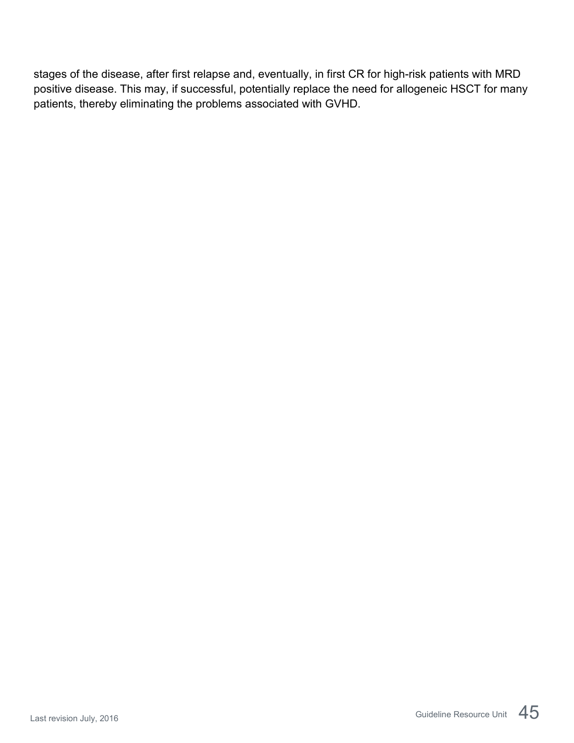stages of the disease, after first relapse and, eventually, in first CR for high-risk patients with MRD positive disease. This may, if successful, potentially replace the need for allogeneic HSCT for many patients, thereby eliminating the problems associated with GVHD.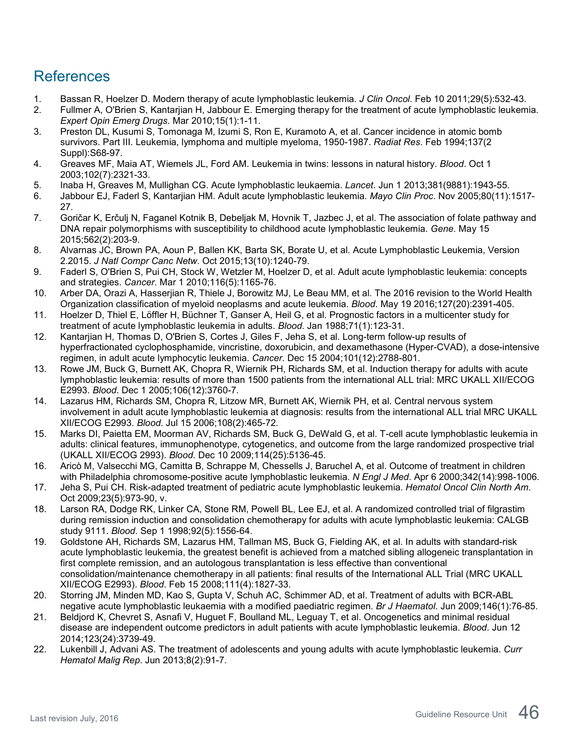## <span id="page-45-0"></span>References

- 1. Bassan R, Hoelzer D. Modern therapy of acute lymphoblastic leukemia. *J Clin Oncol*. Feb 10 2011;29(5):532-43.
- 2. Fullmer A, O'Brien S, Kantarjian H, Jabbour E. Emerging therapy for the treatment of acute lymphoblastic leukemia. *Expert Opin Emerg Drugs*. Mar 2010;15(1):1-11.
- 3. Preston DL, Kusumi S, Tomonaga M, Izumi S, Ron E, Kuramoto A, et al. Cancer incidence in atomic bomb survivors. Part III. Leukemia, lymphoma and multiple myeloma, 1950-1987. *Radiat Res*. Feb 1994;137(2 Suppl):S68-97.
- 4. Greaves MF, Maia AT, Wiemels JL, Ford AM. Leukemia in twins: lessons in natural history. *Blood*. Oct 1 2003;102(7):2321-33.
- 5. Inaba H, Greaves M, Mullighan CG. Acute lymphoblastic leukaemia. *Lancet*. Jun 1 2013;381(9881):1943-55.
- 6. Jabbour EJ, Faderl S, Kantarjian HM. Adult acute lymphoblastic leukemia. *Mayo Clin Proc*. Nov 2005;80(11):1517- 27.
- 7. Goričar K, Erčulj N, Faganel Kotnik B, Debeljak M, Hovnik T, Jazbec J, et al. The association of folate pathway and DNA repair polymorphisms with susceptibility to childhood acute lymphoblastic leukemia. *Gene*. May 15 2015;562(2):203-9.
- 8. Alvarnas JC, Brown PA, Aoun P, Ballen KK, Barta SK, Borate U, et al. Acute Lymphoblastic Leukemia, Version 2.2015. *J Natl Compr Canc Netw*. Oct 2015;13(10):1240-79.
- 9. Faderl S, O'Brien S, Pui CH, Stock W, Wetzler M, Hoelzer D, et al. Adult acute lymphoblastic leukemia: concepts and strategies. *Cancer*. Mar 1 2010;116(5):1165-76.
- 10. Arber DA, Orazi A, Hasserjian R, Thiele J, Borowitz MJ, Le Beau MM, et al. The 2016 revision to the World Health Organization classification of myeloid neoplasms and acute leukemia. *Blood*. May 19 2016;127(20):2391-405.
- 11. Hoelzer D, Thiel E, Löffler H, Büchner T, Ganser A, Heil G, et al. Prognostic factors in a multicenter study for treatment of acute lymphoblastic leukemia in adults. *Blood*. Jan 1988;71(1):123-31.
- 12. Kantarjian H, Thomas D, O'Brien S, Cortes J, Giles F, Jeha S, et al. Long-term follow-up results of hyperfractionated cyclophosphamide, vincristine, doxorubicin, and dexamethasone (Hyper-CVAD), a dose-intensive regimen, in adult acute lymphocytic leukemia. *Cancer*. Dec 15 2004;101(12):2788-801.
- 13. Rowe JM, Buck G, Burnett AK, Chopra R, Wiernik PH, Richards SM, et al. Induction therapy for adults with acute lymphoblastic leukemia: results of more than 1500 patients from the international ALL trial: MRC UKALL XII/ECOG E2993. *Blood*. Dec 1 2005;106(12):3760-7.
- 14. Lazarus HM, Richards SM, Chopra R, Litzow MR, Burnett AK, Wiernik PH, et al. Central nervous system involvement in adult acute lymphoblastic leukemia at diagnosis: results from the international ALL trial MRC UKALL XII/ECOG E2993. *Blood*. Jul 15 2006;108(2):465-72.
- 15. Marks DI, Paietta EM, Moorman AV, Richards SM, Buck G, DeWald G, et al. T-cell acute lymphoblastic leukemia in adults: clinical features, immunophenotype, cytogenetics, and outcome from the large randomized prospective trial (UKALL XII/ECOG 2993). *Blood*. Dec 10 2009;114(25):5136-45.
- 16. Aricò M, Valsecchi MG, Camitta B, Schrappe M, Chessells J, Baruchel A, et al. Outcome of treatment in children with Philadelphia chromosome-positive acute lymphoblastic leukemia. *N Engl J Med*. Apr 6 2000;342(14):998-1006.
- 17. Jeha S, Pui CH. Risk-adapted treatment of pediatric acute lymphoblastic leukemia. *Hematol Oncol Clin North Am*. Oct 2009;23(5):973-90, v.
- 18. Larson RA, Dodge RK, Linker CA, Stone RM, Powell BL, Lee EJ, et al. A randomized controlled trial of filgrastim during remission induction and consolidation chemotherapy for adults with acute lymphoblastic leukemia: CALGB study 9111. *Blood*. Sep 1 1998;92(5):1556-64.
- 19. Goldstone AH, Richards SM, Lazarus HM, Tallman MS, Buck G, Fielding AK, et al. In adults with standard-risk acute lymphoblastic leukemia, the greatest benefit is achieved from a matched sibling allogeneic transplantation in first complete remission, and an autologous transplantation is less effective than conventional consolidation/maintenance chemotherapy in all patients: final results of the International ALL Trial (MRC UKALL XII/ECOG E2993). *Blood*. Feb 15 2008;111(4):1827-33.
- 20. Storring JM, Minden MD, Kao S, Gupta V, Schuh AC, Schimmer AD, et al. Treatment of adults with BCR-ABL negative acute lymphoblastic leukaemia with a modified paediatric regimen. *Br J Haematol*. Jun 2009;146(1):76-85.
- 21. Beldjord K, Chevret S, Asnafi V, Huguet F, Boulland ML, Leguay T, et al. Oncogenetics and minimal residual disease are independent outcome predictors in adult patients with acute lymphoblastic leukemia. *Blood*. Jun 12 2014;123(24):3739-49.
- 22. Lukenbill J, Advani AS. The treatment of adolescents and young adults with acute lymphoblastic leukemia. *Curr Hematol Malig Rep*. Jun 2013;8(2):91-7.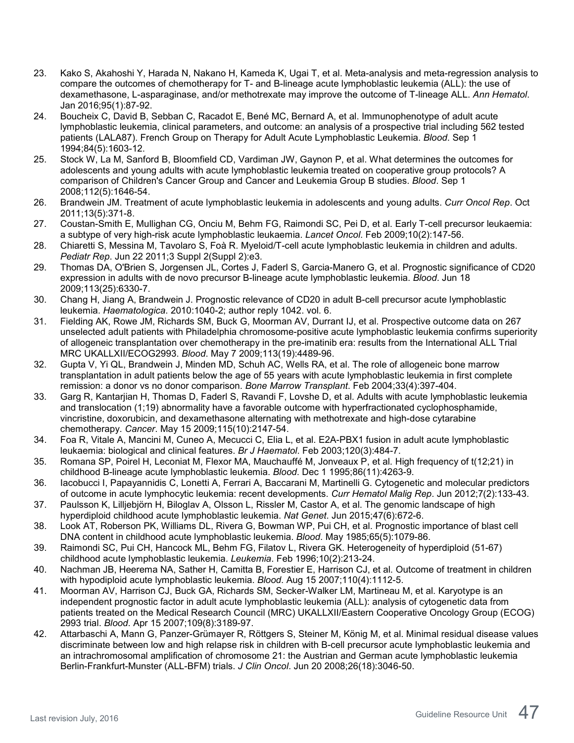- 23. Kako S, Akahoshi Y, Harada N, Nakano H, Kameda K, Ugai T, et al. Meta-analysis and meta-regression analysis to compare the outcomes of chemotherapy for T- and B-lineage acute lymphoblastic leukemia (ALL): the use of dexamethasone, L-asparaginase, and/or methotrexate may improve the outcome of T-lineage ALL. *Ann Hematol*. Jan 2016;95(1):87-92.
- 24. Boucheix C, David B, Sebban C, Racadot E, Bené MC, Bernard A, et al. Immunophenotype of adult acute lymphoblastic leukemia, clinical parameters, and outcome: an analysis of a prospective trial including 562 tested patients (LALA87). French Group on Therapy for Adult Acute Lymphoblastic Leukemia. *Blood*. Sep 1 1994;84(5):1603-12.
- 25. Stock W, La M, Sanford B, Bloomfield CD, Vardiman JW, Gaynon P, et al. What determines the outcomes for adolescents and young adults with acute lymphoblastic leukemia treated on cooperative group protocols? A comparison of Children's Cancer Group and Cancer and Leukemia Group B studies. *Blood*. Sep 1 2008;112(5):1646-54.
- 26. Brandwein JM. Treatment of acute lymphoblastic leukemia in adolescents and young adults. *Curr Oncol Rep*. Oct 2011;13(5):371-8.
- 27. Coustan-Smith E, Mullighan CG, Onciu M, Behm FG, Raimondi SC, Pei D, et al. Early T-cell precursor leukaemia: a subtype of very high-risk acute lymphoblastic leukaemia. *Lancet Oncol*. Feb 2009;10(2):147-56.
- 28. Chiaretti S, Messina M, Tavolaro S, Foà R. Myeloid/T-cell acute lymphoblastic leukemia in children and adults. *Pediatr Rep*. Jun 22 2011;3 Suppl 2(Suppl 2):e3.
- 29. Thomas DA, O'Brien S, Jorgensen JL, Cortes J, Faderl S, Garcia-Manero G, et al. Prognostic significance of CD20 expression in adults with de novo precursor B-lineage acute lymphoblastic leukemia. *Blood*. Jun 18 2009;113(25):6330-7.
- 30. Chang H, Jiang A, Brandwein J. Prognostic relevance of CD20 in adult B-cell precursor acute lymphoblastic leukemia. *Haematologica*. 2010:1040-2; author reply 1042. vol. 6.
- 31. Fielding AK, Rowe JM, Richards SM, Buck G, Moorman AV, Durrant IJ, et al. Prospective outcome data on 267 unselected adult patients with Philadelphia chromosome-positive acute lymphoblastic leukemia confirms superiority of allogeneic transplantation over chemotherapy in the pre-imatinib era: results from the International ALL Trial MRC UKALLXII/ECOG2993. *Blood*. May 7 2009;113(19):4489-96.
- 32. Gupta V, Yi QL, Brandwein J, Minden MD, Schuh AC, Wells RA, et al. The role of allogeneic bone marrow transplantation in adult patients below the age of 55 years with acute lymphoblastic leukemia in first complete remission: a donor vs no donor comparison. *Bone Marrow Transplant*. Feb 2004;33(4):397-404.
- 33. Garg R, Kantarjian H, Thomas D, Faderl S, Ravandi F, Lovshe D, et al. Adults with acute lymphoblastic leukemia and translocation (1;19) abnormality have a favorable outcome with hyperfractionated cyclophosphamide, vincristine, doxorubicin, and dexamethasone alternating with methotrexate and high-dose cytarabine chemotherapy. *Cancer*. May 15 2009;115(10):2147-54.
- 34. Foa R, Vitale A, Mancini M, Cuneo A, Mecucci C, Elia L, et al. E2A-PBX1 fusion in adult acute lymphoblastic leukaemia: biological and clinical features. *Br J Haematol*. Feb 2003;120(3):484-7.
- 35. Romana SP, Poirel H, Leconiat M, Flexor MA, Mauchauffé M, Jonveaux P, et al. High frequency of t(12;21) in childhood B-lineage acute lymphoblastic leukemia. *Blood*. Dec 1 1995;86(11):4263-9.
- 36. Iacobucci I, Papayannidis C, Lonetti A, Ferrari A, Baccarani M, Martinelli G. Cytogenetic and molecular predictors of outcome in acute lymphocytic leukemia: recent developments. *Curr Hematol Malig Rep*. Jun 2012;7(2):133-43.
- 37. Paulsson K, Lilljebjörn H, Biloglav A, Olsson L, Rissler M, Castor A, et al. The genomic landscape of high hyperdiploid childhood acute lymphoblastic leukemia. *Nat Genet*. Jun 2015;47(6):672-6.
- 38. Look AT, Roberson PK, Williams DL, Rivera G, Bowman WP, Pui CH, et al. Prognostic importance of blast cell DNA content in childhood acute lymphoblastic leukemia. *Blood*. May 1985;65(5):1079-86.
- 39. Raimondi SC, Pui CH, Hancock ML, Behm FG, Filatov L, Rivera GK. Heterogeneity of hyperdiploid (51-67) childhood acute lymphoblastic leukemia. *Leukemia*. Feb 1996;10(2):213-24.
- 40. Nachman JB, Heerema NA, Sather H, Camitta B, Forestier E, Harrison CJ, et al. Outcome of treatment in children with hypodiploid acute lymphoblastic leukemia. *Blood*. Aug 15 2007;110(4):1112-5.
- 41. Moorman AV, Harrison CJ, Buck GA, Richards SM, Secker-Walker LM, Martineau M, et al. Karyotype is an independent prognostic factor in adult acute lymphoblastic leukemia (ALL): analysis of cytogenetic data from patients treated on the Medical Research Council (MRC) UKALLXII/Eastern Cooperative Oncology Group (ECOG) 2993 trial. *Blood*. Apr 15 2007;109(8):3189-97.
- 42. Attarbaschi A, Mann G, Panzer-Grümayer R, Röttgers S, Steiner M, König M, et al. Minimal residual disease values discriminate between low and high relapse risk in children with B-cell precursor acute lymphoblastic leukemia and an intrachromosomal amplification of chromosome 21: the Austrian and German acute lymphoblastic leukemia Berlin-Frankfurt-Munster (ALL-BFM) trials. *J Clin Oncol*. Jun 20 2008;26(18):3046-50.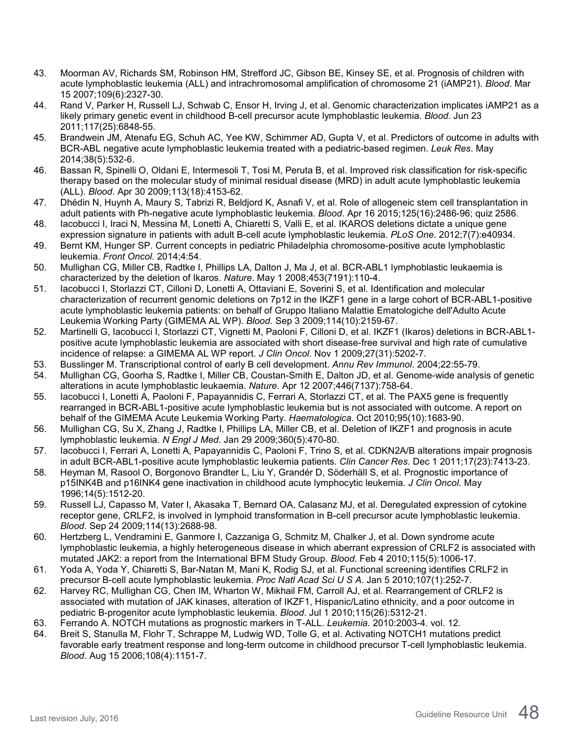- 43. Moorman AV, Richards SM, Robinson HM, Strefford JC, Gibson BE, Kinsey SE, et al. Prognosis of children with acute lymphoblastic leukemia (ALL) and intrachromosomal amplification of chromosome 21 (iAMP21). *Blood*. Mar 15 2007;109(6):2327-30.
- 44. Rand V, Parker H, Russell LJ, Schwab C, Ensor H, Irving J, et al. Genomic characterization implicates iAMP21 as a likely primary genetic event in childhood B-cell precursor acute lymphoblastic leukemia. *Blood*. Jun 23 2011;117(25):6848-55.
- 45. Brandwein JM, Atenafu EG, Schuh AC, Yee KW, Schimmer AD, Gupta V, et al. Predictors of outcome in adults with BCR-ABL negative acute lymphoblastic leukemia treated with a pediatric-based regimen. *Leuk Res*. May 2014;38(5):532-6.
- 46. Bassan R, Spinelli O, Oldani E, Intermesoli T, Tosi M, Peruta B, et al. Improved risk classification for risk-specific therapy based on the molecular study of minimal residual disease (MRD) in adult acute lymphoblastic leukemia (ALL). *Blood*. Apr 30 2009;113(18):4153-62.
- 47. Dhédin N, Huynh A, Maury S, Tabrizi R, Beldjord K, Asnafi V, et al. Role of allogeneic stem cell transplantation in adult patients with Ph-negative acute lymphoblastic leukemia. *Blood*. Apr 16 2015;125(16):2486-96; quiz 2586.
- 48. Iacobucci I, Iraci N, Messina M, Lonetti A, Chiaretti S, Valli E, et al. IKAROS deletions dictate a unique gene expression signature in patients with adult B-cell acute lymphoblastic leukemia. *PLoS One*. 2012;7(7):e40934.
- 49. Bernt KM, Hunger SP. Current concepts in pediatric Philadelphia chromosome-positive acute lymphoblastic leukemia. *Front Oncol*. 2014;4:54.
- 50. Mullighan CG, Miller CB, Radtke I, Phillips LA, Dalton J, Ma J, et al. BCR-ABL1 lymphoblastic leukaemia is characterized by the deletion of Ikaros. *Nature*. May 1 2008;453(7191):110-4.
- 51. Iacobucci I, Storlazzi CT, Cilloni D, Lonetti A, Ottaviani E, Soverini S, et al. Identification and molecular characterization of recurrent genomic deletions on 7p12 in the IKZF1 gene in a large cohort of BCR-ABL1-positive acute lymphoblastic leukemia patients: on behalf of Gruppo Italiano Malattie Ematologiche dell'Adulto Acute Leukemia Working Party (GIMEMA AL WP). *Blood*. Sep 3 2009;114(10):2159-67.
- 52. Martinelli G, Iacobucci I, Storlazzi CT, Vignetti M, Paoloni F, Cilloni D, et al. IKZF1 (Ikaros) deletions in BCR-ABL1 positive acute lymphoblastic leukemia are associated with short disease-free survival and high rate of cumulative incidence of relapse: a GIMEMA AL WP report. *J Clin Oncol*. Nov 1 2009;27(31):5202-7.
- 53. Busslinger M. Transcriptional control of early B cell development. *Annu Rev Immunol*. 2004;22:55-79.
- 54. Mullighan CG, Goorha S, Radtke I, Miller CB, Coustan-Smith E, Dalton JD, et al. Genome-wide analysis of genetic alterations in acute lymphoblastic leukaemia. *Nature*. Apr 12 2007;446(7137):758-64.
- 55. Iacobucci I, Lonetti A, Paoloni F, Papayannidis C, Ferrari A, Storlazzi CT, et al. The PAX5 gene is frequently rearranged in BCR-ABL1-positive acute lymphoblastic leukemia but is not associated with outcome. A report on behalf of the GIMEMA Acute Leukemia Working Party. *Haematologica*. Oct 2010;95(10):1683-90.
- 56. Mullighan CG, Su X, Zhang J, Radtke I, Phillips LA, Miller CB, et al. Deletion of IKZF1 and prognosis in acute lymphoblastic leukemia. *N Engl J Med*. Jan 29 2009;360(5):470-80.
- 57. Iacobucci I, Ferrari A, Lonetti A, Papayannidis C, Paoloni F, Trino S, et al. CDKN2A/B alterations impair prognosis in adult BCR-ABL1-positive acute lymphoblastic leukemia patients. *Clin Cancer Res*. Dec 1 2011;17(23):7413-23.
- 58. Heyman M, Rasool O, Borgonovo Brandter L, Liu Y, Grandér D, Söderhäll S, et al. Prognostic importance of p15INK4B and p16INK4 gene inactivation in childhood acute lymphocytic leukemia. *J Clin Oncol*. May 1996;14(5):1512-20.
- 59. Russell LJ, Capasso M, Vater I, Akasaka T, Bernard OA, Calasanz MJ, et al. Deregulated expression of cytokine receptor gene, CRLF2, is involved in lymphoid transformation in B-cell precursor acute lymphoblastic leukemia. *Blood*. Sep 24 2009;114(13):2688-98.
- 60. Hertzberg L, Vendramini E, Ganmore I, Cazzaniga G, Schmitz M, Chalker J, et al. Down syndrome acute lymphoblastic leukemia, a highly heterogeneous disease in which aberrant expression of CRLF2 is associated with mutated JAK2: a report from the International BFM Study Group. *Blood*. Feb 4 2010;115(5):1006-17.
- 61. Yoda A, Yoda Y, Chiaretti S, Bar-Natan M, Mani K, Rodig SJ, et al. Functional screening identifies CRLF2 in precursor B-cell acute lymphoblastic leukemia. *Proc Natl Acad Sci U S A*. Jan 5 2010;107(1):252-7.
- 62. Harvey RC, Mullighan CG, Chen IM, Wharton W, Mikhail FM, Carroll AJ, et al. Rearrangement of CRLF2 is associated with mutation of JAK kinases, alteration of IKZF1, Hispanic/Latino ethnicity, and a poor outcome in pediatric B-progenitor acute lymphoblastic leukemia. *Blood*. Jul 1 2010;115(26):5312-21.
- 63. Ferrando A. NOTCH mutations as prognostic markers in T-ALL. *Leukemia*. 2010:2003-4. vol. 12.
- 64. Breit S, Stanulla M, Flohr T, Schrappe M, Ludwig WD, Tolle G, et al. Activating NOTCH1 mutations predict favorable early treatment response and long-term outcome in childhood precursor T-cell lymphoblastic leukemia. *Blood*. Aug 15 2006;108(4):1151-7.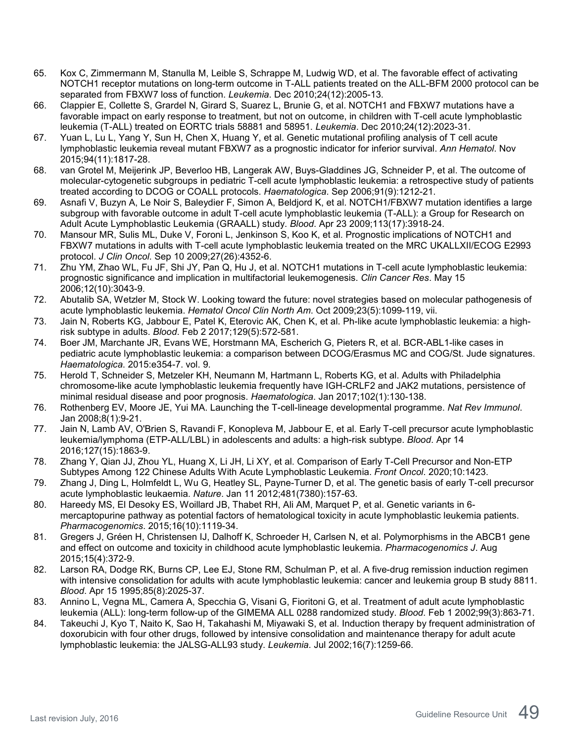- 65. Kox C, Zimmermann M, Stanulla M, Leible S, Schrappe M, Ludwig WD, et al. The favorable effect of activating NOTCH1 receptor mutations on long-term outcome in T-ALL patients treated on the ALL-BFM 2000 protocol can be separated from FBXW7 loss of function. *Leukemia*. Dec 2010;24(12):2005-13.
- 66. Clappier E, Collette S, Grardel N, Girard S, Suarez L, Brunie G, et al. NOTCH1 and FBXW7 mutations have a favorable impact on early response to treatment, but not on outcome, in children with T-cell acute lymphoblastic leukemia (T-ALL) treated on EORTC trials 58881 and 58951. *Leukemia*. Dec 2010;24(12):2023-31.
- 67. Yuan L, Lu L, Yang Y, Sun H, Chen X, Huang Y, et al. Genetic mutational profiling analysis of T cell acute lymphoblastic leukemia reveal mutant FBXW7 as a prognostic indicator for inferior survival. *Ann Hematol*. Nov 2015;94(11):1817-28.
- 68. van Grotel M, Meijerink JP, Beverloo HB, Langerak AW, Buys-Gladdines JG, Schneider P, et al. The outcome of molecular-cytogenetic subgroups in pediatric T-cell acute lymphoblastic leukemia: a retrospective study of patients treated according to DCOG or COALL protocols. *Haematologica*. Sep 2006;91(9):1212-21.
- 69. Asnafi V, Buzyn A, Le Noir S, Baleydier F, Simon A, Beldjord K, et al. NOTCH1/FBXW7 mutation identifies a large subgroup with favorable outcome in adult T-cell acute lymphoblastic leukemia (T-ALL): a Group for Research on Adult Acute Lymphoblastic Leukemia (GRAALL) study. *Blood*. Apr 23 2009;113(17):3918-24.
- 70. Mansour MR, Sulis ML, Duke V, Foroni L, Jenkinson S, Koo K, et al. Prognostic implications of NOTCH1 and FBXW7 mutations in adults with T-cell acute lymphoblastic leukemia treated on the MRC UKALLXII/ECOG E2993 protocol. *J Clin Oncol*. Sep 10 2009;27(26):4352-6.
- 71. Zhu YM, Zhao WL, Fu JF, Shi JY, Pan Q, Hu J, et al. NOTCH1 mutations in T-cell acute lymphoblastic leukemia: prognostic significance and implication in multifactorial leukemogenesis. *Clin Cancer Res*. May 15 2006;12(10):3043-9.
- 72. Abutalib SA, Wetzler M, Stock W. Looking toward the future: novel strategies based on molecular pathogenesis of acute lymphoblastic leukemia. *Hematol Oncol Clin North Am*. Oct 2009;23(5):1099-119, vii.
- 73. Jain N, Roberts KG, Jabbour E, Patel K, Eterovic AK, Chen K, et al. Ph-like acute lymphoblastic leukemia: a highrisk subtype in adults. *Blood*. Feb 2 2017;129(5):572-581.
- 74. Boer JM, Marchante JR, Evans WE, Horstmann MA, Escherich G, Pieters R, et al. BCR-ABL1-like cases in pediatric acute lymphoblastic leukemia: a comparison between DCOG/Erasmus MC and COG/St. Jude signatures. *Haematologica*. 2015:e354-7. vol. 9.
- 75. Herold T, Schneider S, Metzeler KH, Neumann M, Hartmann L, Roberts KG, et al. Adults with Philadelphia chromosome-like acute lymphoblastic leukemia frequently have IGH-CRLF2 and JAK2 mutations, persistence of minimal residual disease and poor prognosis. *Haematologica*. Jan 2017;102(1):130-138.
- 76. Rothenberg EV, Moore JE, Yui MA. Launching the T-cell-lineage developmental programme. *Nat Rev Immunol*. Jan 2008;8(1):9-21.
- 77. Jain N, Lamb AV, O'Brien S, Ravandi F, Konopleva M, Jabbour E, et al. Early T-cell precursor acute lymphoblastic leukemia/lymphoma (ETP-ALL/LBL) in adolescents and adults: a high-risk subtype. *Blood*. Apr 14 2016;127(15):1863-9.
- 78. Zhang Y, Qian JJ, Zhou YL, Huang X, Li JH, Li XY, et al. Comparison of Early T-Cell Precursor and Non-ETP Subtypes Among 122 Chinese Adults With Acute Lymphoblastic Leukemia. *Front Oncol*. 2020;10:1423.
- 79. Zhang J, Ding L, Holmfeldt L, Wu G, Heatley SL, Payne-Turner D, et al. The genetic basis of early T-cell precursor acute lymphoblastic leukaemia. *Nature*. Jan 11 2012;481(7380):157-63.
- 80. Hareedy MS, El Desoky ES, Woillard JB, Thabet RH, Ali AM, Marquet P, et al. Genetic variants in 6 mercaptopurine pathway as potential factors of hematological toxicity in acute lymphoblastic leukemia patients. *Pharmacogenomics*. 2015;16(10):1119-34.
- 81. Gregers J, Gréen H, Christensen IJ, Dalhoff K, Schroeder H, Carlsen N, et al. Polymorphisms in the ABCB1 gene and effect on outcome and toxicity in childhood acute lymphoblastic leukemia. *Pharmacogenomics J*. Aug 2015;15(4):372-9.
- 82. Larson RA, Dodge RK, Burns CP, Lee EJ, Stone RM, Schulman P, et al. A five-drug remission induction regimen with intensive consolidation for adults with acute lymphoblastic leukemia: cancer and leukemia group B study 8811. *Blood*. Apr 15 1995;85(8):2025-37.
- 83. Annino L, Vegna ML, Camera A, Specchia G, Visani G, Fioritoni G, et al. Treatment of adult acute lymphoblastic leukemia (ALL): long-term follow-up of the GIMEMA ALL 0288 randomized study. *Blood*. Feb 1 2002;99(3):863-71.
- 84. Takeuchi J, Kyo T, Naito K, Sao H, Takahashi M, Miyawaki S, et al. Induction therapy by frequent administration of doxorubicin with four other drugs, followed by intensive consolidation and maintenance therapy for adult acute lymphoblastic leukemia: the JALSG-ALL93 study. *Leukemia*. Jul 2002;16(7):1259-66.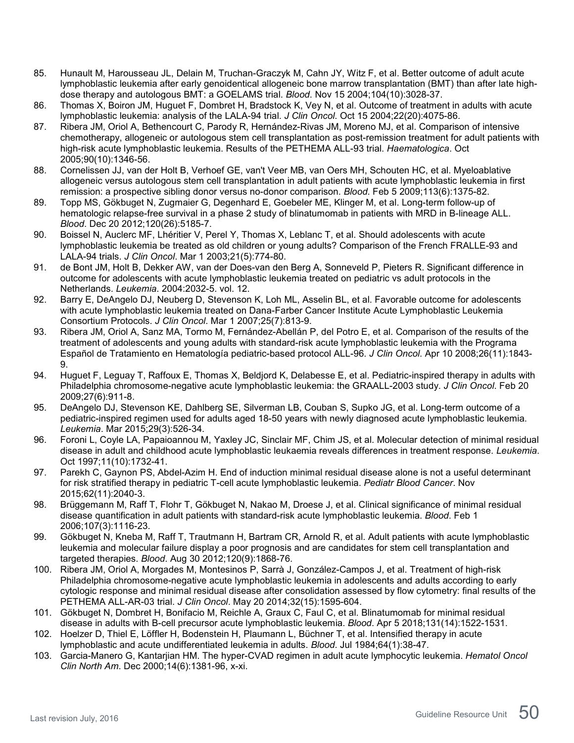- 85. Hunault M, Harousseau JL, Delain M, Truchan-Graczyk M, Cahn JY, Witz F, et al. Better outcome of adult acute lymphoblastic leukemia after early genoidentical allogeneic bone marrow transplantation (BMT) than after late highdose therapy and autologous BMT: a GOELAMS trial. *Blood*. Nov 15 2004;104(10):3028-37.
- 86. Thomas X, Boiron JM, Huguet F, Dombret H, Bradstock K, Vey N, et al. Outcome of treatment in adults with acute lymphoblastic leukemia: analysis of the LALA-94 trial. *J Clin Oncol*. Oct 15 2004;22(20):4075-86.
- 87. Ribera JM, Oriol A, Bethencourt C, Parody R, Hernández-Rivas JM, Moreno MJ, et al. Comparison of intensive chemotherapy, allogeneic or autologous stem cell transplantation as post-remission treatment for adult patients with high-risk acute lymphoblastic leukemia. Results of the PETHEMA ALL-93 trial. *Haematologica*. Oct 2005;90(10):1346-56.
- 88. Cornelissen JJ, van der Holt B, Verhoef GE, van't Veer MB, van Oers MH, Schouten HC, et al. Myeloablative allogeneic versus autologous stem cell transplantation in adult patients with acute lymphoblastic leukemia in first remission: a prospective sibling donor versus no-donor comparison. *Blood*. Feb 5 2009;113(6):1375-82.
- 89. Topp MS, Gökbuget N, Zugmaier G, Degenhard E, Goebeler ME, Klinger M, et al. Long-term follow-up of hematologic relapse-free survival in a phase 2 study of blinatumomab in patients with MRD in B-lineage ALL. *Blood*. Dec 20 2012;120(26):5185-7.
- 90. Boissel N, Auclerc MF, Lhéritier V, Perel Y, Thomas X, Leblanc T, et al. Should adolescents with acute lymphoblastic leukemia be treated as old children or young adults? Comparison of the French FRALLE-93 and LALA-94 trials. *J Clin Oncol*. Mar 1 2003;21(5):774-80.
- 91. de Bont JM, Holt B, Dekker AW, van der Does-van den Berg A, Sonneveld P, Pieters R. Significant difference in outcome for adolescents with acute lymphoblastic leukemia treated on pediatric vs adult protocols in the Netherlands. *Leukemia*. 2004:2032-5. vol. 12.
- 92. Barry E, DeAngelo DJ, Neuberg D, Stevenson K, Loh ML, Asselin BL, et al. Favorable outcome for adolescents with acute lymphoblastic leukemia treated on Dana-Farber Cancer Institute Acute Lymphoblastic Leukemia Consortium Protocols. *J Clin Oncol*. Mar 1 2007;25(7):813-9.
- 93. Ribera JM, Oriol A, Sanz MA, Tormo M, Fernández-Abellán P, del Potro E, et al. Comparison of the results of the treatment of adolescents and young adults with standard-risk acute lymphoblastic leukemia with the Programa Español de Tratamiento en Hematología pediatric-based protocol ALL-96. *J Clin Oncol*. Apr 10 2008;26(11):1843- 9.
- 94. Huguet F, Leguay T, Raffoux E, Thomas X, Beldjord K, Delabesse E, et al. Pediatric-inspired therapy in adults with Philadelphia chromosome-negative acute lymphoblastic leukemia: the GRAALL-2003 study. *J Clin Oncol*. Feb 20 2009;27(6):911-8.
- 95. DeAngelo DJ, Stevenson KE, Dahlberg SE, Silverman LB, Couban S, Supko JG, et al. Long-term outcome of a pediatric-inspired regimen used for adults aged 18-50 years with newly diagnosed acute lymphoblastic leukemia. *Leukemia*. Mar 2015;29(3):526-34.
- 96. Foroni L, Coyle LA, Papaioannou M, Yaxley JC, Sinclair MF, Chim JS, et al. Molecular detection of minimal residual disease in adult and childhood acute lymphoblastic leukaemia reveals differences in treatment response. *Leukemia*. Oct 1997;11(10):1732-41.
- 97. Parekh C, Gaynon PS, Abdel-Azim H. End of induction minimal residual disease alone is not a useful determinant for risk stratified therapy in pediatric T-cell acute lymphoblastic leukemia. *Pediatr Blood Cancer*. Nov 2015;62(11):2040-3.
- 98. Brüggemann M, Raff T, Flohr T, Gökbuget N, Nakao M, Droese J, et al. Clinical significance of minimal residual disease quantification in adult patients with standard-risk acute lymphoblastic leukemia. *Blood*. Feb 1 2006;107(3):1116-23.
- 99. Gökbuget N, Kneba M, Raff T, Trautmann H, Bartram CR, Arnold R, et al. Adult patients with acute lymphoblastic leukemia and molecular failure display a poor prognosis and are candidates for stem cell transplantation and targeted therapies. *Blood*. Aug 30 2012;120(9):1868-76.
- 100. Ribera JM, Oriol A, Morgades M, Montesinos P, Sarrà J, González-Campos J, et al. Treatment of high-risk Philadelphia chromosome-negative acute lymphoblastic leukemia in adolescents and adults according to early cytologic response and minimal residual disease after consolidation assessed by flow cytometry: final results of the PETHEMA ALL-AR-03 trial. *J Clin Oncol*. May 20 2014;32(15):1595-604.
- 101. Gökbuget N, Dombret H, Bonifacio M, Reichle A, Graux C, Faul C, et al. Blinatumomab for minimal residual disease in adults with B-cell precursor acute lymphoblastic leukemia. *Blood*. Apr 5 2018;131(14):1522-1531.
- 102. Hoelzer D, Thiel E, Löffler H, Bodenstein H, Plaumann L, Büchner T, et al. Intensified therapy in acute lymphoblastic and acute undifferentiated leukemia in adults. *Blood*. Jul 1984;64(1):38-47.
- 103. Garcia-Manero G, Kantarjian HM. The hyper-CVAD regimen in adult acute lymphocytic leukemia. *Hematol Oncol Clin North Am*. Dec 2000;14(6):1381-96, x-xi.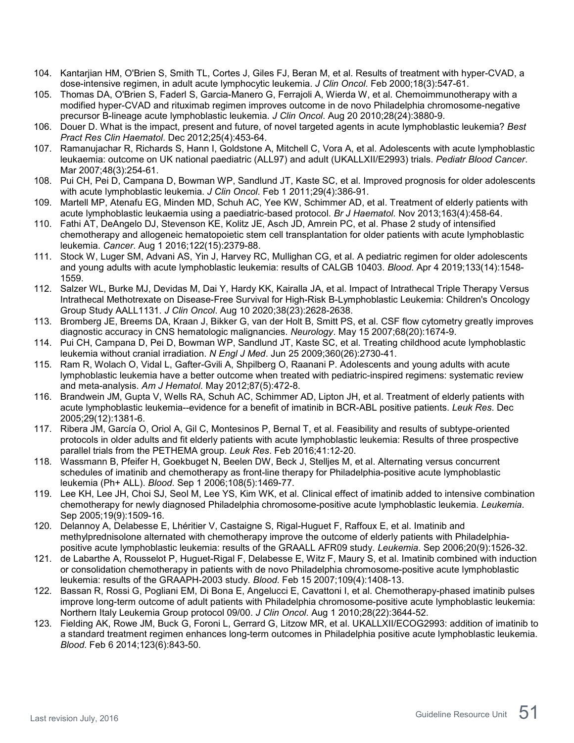- 104. Kantarjian HM, O'Brien S, Smith TL, Cortes J, Giles FJ, Beran M, et al. Results of treatment with hyper-CVAD, a dose-intensive regimen, in adult acute lymphocytic leukemia. *J Clin Oncol*. Feb 2000;18(3):547-61.
- 105. Thomas DA, O'Brien S, Faderl S, Garcia-Manero G, Ferrajoli A, Wierda W, et al. Chemoimmunotherapy with a modified hyper-CVAD and rituximab regimen improves outcome in de novo Philadelphia chromosome-negative precursor B-lineage acute lymphoblastic leukemia. *J Clin Oncol*. Aug 20 2010;28(24):3880-9.
- 106. Douer D. What is the impact, present and future, of novel targeted agents in acute lymphoblastic leukemia? *Best Pract Res Clin Haematol*. Dec 2012;25(4):453-64.
- 107. Ramanujachar R, Richards S, Hann I, Goldstone A, Mitchell C, Vora A, et al. Adolescents with acute lymphoblastic leukaemia: outcome on UK national paediatric (ALL97) and adult (UKALLXII/E2993) trials. *Pediatr Blood Cancer*. Mar 2007;48(3):254-61.
- 108. Pui CH, Pei D, Campana D, Bowman WP, Sandlund JT, Kaste SC, et al. Improved prognosis for older adolescents with acute lymphoblastic leukemia. *J Clin Oncol*. Feb 1 2011;29(4):386-91.
- 109. Martell MP, Atenafu EG, Minden MD, Schuh AC, Yee KW, Schimmer AD, et al. Treatment of elderly patients with acute lymphoblastic leukaemia using a paediatric-based protocol. *Br J Haematol*. Nov 2013;163(4):458-64.
- 110. Fathi AT, DeAngelo DJ, Stevenson KE, Kolitz JE, Asch JD, Amrein PC, et al. Phase 2 study of intensified chemotherapy and allogeneic hematopoietic stem cell transplantation for older patients with acute lymphoblastic leukemia. *Cancer*. Aug 1 2016;122(15):2379-88.
- 111. Stock W, Luger SM, Advani AS, Yin J, Harvey RC, Mullighan CG, et al. A pediatric regimen for older adolescents and young adults with acute lymphoblastic leukemia: results of CALGB 10403. *Blood*. Apr 4 2019;133(14):1548- 1559.
- 112. Salzer WL, Burke MJ, Devidas M, Dai Y, Hardy KK, Kairalla JA, et al. Impact of Intrathecal Triple Therapy Versus Intrathecal Methotrexate on Disease-Free Survival for High-Risk B-Lymphoblastic Leukemia: Children's Oncology Group Study AALL1131. *J Clin Oncol*. Aug 10 2020;38(23):2628-2638.
- 113. Bromberg JE, Breems DA, Kraan J, Bikker G, van der Holt B, Smitt PS, et al. CSF flow cytometry greatly improves diagnostic accuracy in CNS hematologic malignancies. *Neurology*. May 15 2007;68(20):1674-9.
- 114. Pui CH, Campana D, Pei D, Bowman WP, Sandlund JT, Kaste SC, et al. Treating childhood acute lymphoblastic leukemia without cranial irradiation. *N Engl J Med*. Jun 25 2009;360(26):2730-41.
- 115. Ram R, Wolach O, Vidal L, Gafter-Gvili A, Shpilberg O, Raanani P. Adolescents and young adults with acute lymphoblastic leukemia have a better outcome when treated with pediatric-inspired regimens: systematic review and meta-analysis. *Am J Hematol*. May 2012;87(5):472-8.
- 116. Brandwein JM, Gupta V, Wells RA, Schuh AC, Schimmer AD, Lipton JH, et al. Treatment of elderly patients with acute lymphoblastic leukemia--evidence for a benefit of imatinib in BCR-ABL positive patients. *Leuk Res*. Dec 2005;29(12):1381-6.
- 117. Ribera JM, García O, Oriol A, Gil C, Montesinos P, Bernal T, et al. Feasibility and results of subtype-oriented protocols in older adults and fit elderly patients with acute lymphoblastic leukemia: Results of three prospective parallel trials from the PETHEMA group. *Leuk Res*. Feb 2016;41:12-20.
- 118. Wassmann B, Pfeifer H, Goekbuget N, Beelen DW, Beck J, Stelljes M, et al. Alternating versus concurrent schedules of imatinib and chemotherapy as front-line therapy for Philadelphia-positive acute lymphoblastic leukemia (Ph+ ALL). *Blood*. Sep 1 2006;108(5):1469-77.
- 119. Lee KH, Lee JH, Choi SJ, Seol M, Lee YS, Kim WK, et al. Clinical effect of imatinib added to intensive combination chemotherapy for newly diagnosed Philadelphia chromosome-positive acute lymphoblastic leukemia. *Leukemia*. Sep 2005;19(9):1509-16.
- 120. Delannoy A, Delabesse E, Lhéritier V, Castaigne S, Rigal-Huguet F, Raffoux E, et al. Imatinib and methylprednisolone alternated with chemotherapy improve the outcome of elderly patients with Philadelphiapositive acute lymphoblastic leukemia: results of the GRAALL AFR09 study. *Leukemia*. Sep 2006;20(9):1526-32.
- 121. de Labarthe A, Rousselot P, Huguet-Rigal F, Delabesse E, Witz F, Maury S, et al. Imatinib combined with induction or consolidation chemotherapy in patients with de novo Philadelphia chromosome-positive acute lymphoblastic leukemia: results of the GRAAPH-2003 study. *Blood*. Feb 15 2007;109(4):1408-13.
- 122. Bassan R, Rossi G, Pogliani EM, Di Bona E, Angelucci E, Cavattoni I, et al. Chemotherapy-phased imatinib pulses improve long-term outcome of adult patients with Philadelphia chromosome-positive acute lymphoblastic leukemia: Northern Italy Leukemia Group protocol 09/00. *J Clin Oncol*. Aug 1 2010;28(22):3644-52.
- 123. Fielding AK, Rowe JM, Buck G, Foroni L, Gerrard G, Litzow MR, et al. UKALLXII/ECOG2993: addition of imatinib to a standard treatment regimen enhances long-term outcomes in Philadelphia positive acute lymphoblastic leukemia. *Blood*. Feb 6 2014;123(6):843-50.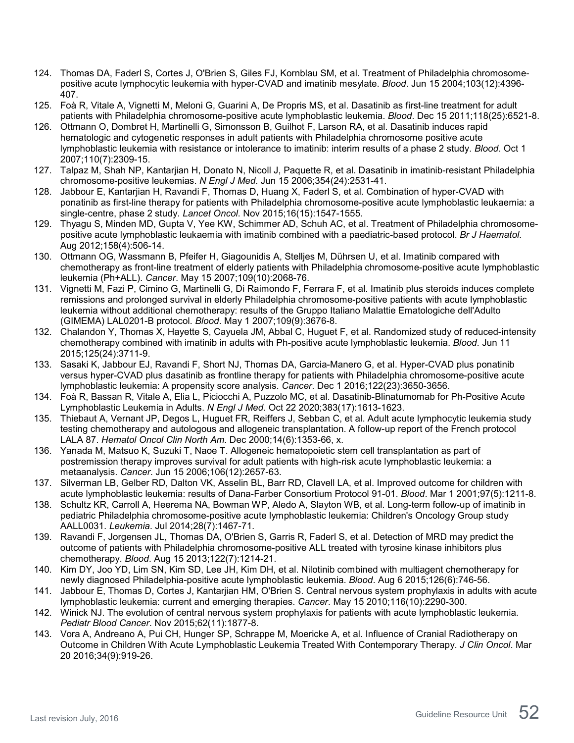- 124. Thomas DA, Faderl S, Cortes J, O'Brien S, Giles FJ, Kornblau SM, et al. Treatment of Philadelphia chromosomepositive acute lymphocytic leukemia with hyper-CVAD and imatinib mesylate. *Blood*. Jun 15 2004;103(12):4396- 407.
- 125. Foà R, Vitale A, Vignetti M, Meloni G, Guarini A, De Propris MS, et al. Dasatinib as first-line treatment for adult patients with Philadelphia chromosome-positive acute lymphoblastic leukemia. *Blood*. Dec 15 2011;118(25):6521-8.
- 126. Ottmann O, Dombret H, Martinelli G, Simonsson B, Guilhot F, Larson RA, et al. Dasatinib induces rapid hematologic and cytogenetic responses in adult patients with Philadelphia chromosome positive acute lymphoblastic leukemia with resistance or intolerance to imatinib: interim results of a phase 2 study. *Blood*. Oct 1 2007;110(7):2309-15.
- 127. Talpaz M, Shah NP, Kantarjian H, Donato N, Nicoll J, Paquette R, et al. Dasatinib in imatinib-resistant Philadelphia chromosome-positive leukemias. *N Engl J Med*. Jun 15 2006;354(24):2531-41.
- 128. Jabbour E, Kantarjian H, Ravandi F, Thomas D, Huang X, Faderl S, et al. Combination of hyper-CVAD with ponatinib as first-line therapy for patients with Philadelphia chromosome-positive acute lymphoblastic leukaemia: a single-centre, phase 2 study. *Lancet Oncol*. Nov 2015;16(15):1547-1555.
- 129. Thyagu S, Minden MD, Gupta V, Yee KW, Schimmer AD, Schuh AC, et al. Treatment of Philadelphia chromosomepositive acute lymphoblastic leukaemia with imatinib combined with a paediatric-based protocol. *Br J Haematol*. Aug 2012;158(4):506-14.
- 130. Ottmann OG, Wassmann B, Pfeifer H, Giagounidis A, Stelljes M, Dührsen U, et al. Imatinib compared with chemotherapy as front-line treatment of elderly patients with Philadelphia chromosome-positive acute lymphoblastic leukemia (Ph+ALL). *Cancer*. May 15 2007;109(10):2068-76.
- 131. Vignetti M, Fazi P, Cimino G, Martinelli G, Di Raimondo F, Ferrara F, et al. Imatinib plus steroids induces complete remissions and prolonged survival in elderly Philadelphia chromosome-positive patients with acute lymphoblastic leukemia without additional chemotherapy: results of the Gruppo Italiano Malattie Ematologiche dell'Adulto (GIMEMA) LAL0201-B protocol. *Blood*. May 1 2007;109(9):3676-8.
- 132. Chalandon Y, Thomas X, Hayette S, Cayuela JM, Abbal C, Huguet F, et al. Randomized study of reduced-intensity chemotherapy combined with imatinib in adults with Ph-positive acute lymphoblastic leukemia. *Blood*. Jun 11 2015;125(24):3711-9.
- 133. Sasaki K, Jabbour EJ, Ravandi F, Short NJ, Thomas DA, Garcia-Manero G, et al. Hyper-CVAD plus ponatinib versus hyper-CVAD plus dasatinib as frontline therapy for patients with Philadelphia chromosome-positive acute lymphoblastic leukemia: A propensity score analysis. *Cancer*. Dec 1 2016;122(23):3650-3656.
- 134. Foà R, Bassan R, Vitale A, Elia L, Piciocchi A, Puzzolo MC, et al. Dasatinib-Blinatumomab for Ph-Positive Acute Lymphoblastic Leukemia in Adults. *N Engl J Med*. Oct 22 2020;383(17):1613-1623.
- 135. Thiebaut A, Vernant JP, Degos L, Huguet FR, Reiffers J, Sebban C, et al. Adult acute lymphocytic leukemia study testing chemotherapy and autologous and allogeneic transplantation. A follow-up report of the French protocol LALA 87. *Hematol Oncol Clin North Am*. Dec 2000;14(6):1353-66, x.
- 136. Yanada M, Matsuo K, Suzuki T, Naoe T. Allogeneic hematopoietic stem cell transplantation as part of postremission therapy improves survival for adult patients with high-risk acute lymphoblastic leukemia: a metaanalysis. *Cancer*. Jun 15 2006;106(12):2657-63.
- 137. Silverman LB, Gelber RD, Dalton VK, Asselin BL, Barr RD, Clavell LA, et al. Improved outcome for children with acute lymphoblastic leukemia: results of Dana-Farber Consortium Protocol 91-01. *Blood*. Mar 1 2001;97(5):1211-8.
- 138. Schultz KR, Carroll A, Heerema NA, Bowman WP, Aledo A, Slayton WB, et al. Long-term follow-up of imatinib in pediatric Philadelphia chromosome-positive acute lymphoblastic leukemia: Children's Oncology Group study AALL0031. *Leukemia*. Jul 2014;28(7):1467-71.
- 139. Ravandi F, Jorgensen JL, Thomas DA, O'Brien S, Garris R, Faderl S, et al. Detection of MRD may predict the outcome of patients with Philadelphia chromosome-positive ALL treated with tyrosine kinase inhibitors plus chemotherapy. *Blood*. Aug 15 2013;122(7):1214-21.
- 140. Kim DY, Joo YD, Lim SN, Kim SD, Lee JH, Kim DH, et al. Nilotinib combined with multiagent chemotherapy for newly diagnosed Philadelphia-positive acute lymphoblastic leukemia. *Blood*. Aug 6 2015;126(6):746-56.
- 141. Jabbour E, Thomas D, Cortes J, Kantarjian HM, O'Brien S. Central nervous system prophylaxis in adults with acute lymphoblastic leukemia: current and emerging therapies. *Cancer*. May 15 2010;116(10):2290-300.
- 142. Winick NJ. The evolution of central nervous system prophylaxis for patients with acute lymphoblastic leukemia. *Pediatr Blood Cancer*. Nov 2015;62(11):1877-8.
- 143. Vora A, Andreano A, Pui CH, Hunger SP, Schrappe M, Moericke A, et al. Influence of Cranial Radiotherapy on Outcome in Children With Acute Lymphoblastic Leukemia Treated With Contemporary Therapy. *J Clin Oncol*. Mar 20 2016;34(9):919-26.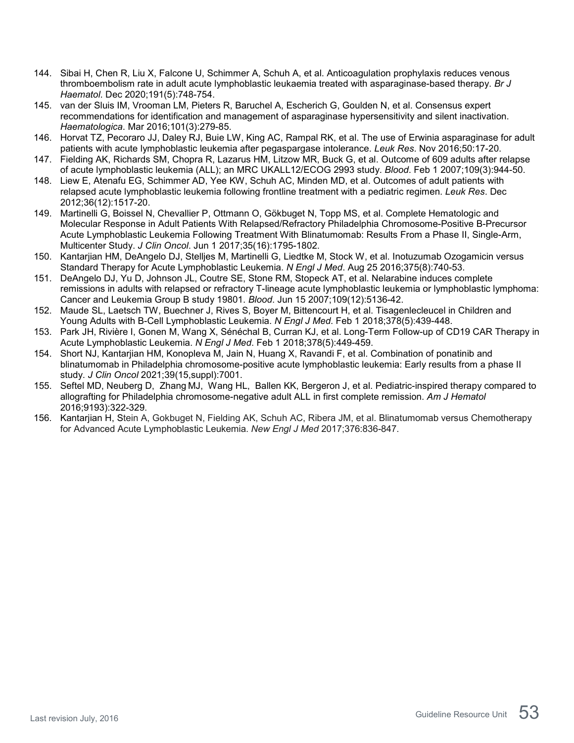- 144. Sibai H, Chen R, Liu X, Falcone U, Schimmer A, Schuh A, et al. Anticoagulation prophylaxis reduces venous thromboembolism rate in adult acute lymphoblastic leukaemia treated with asparaginase-based therapy. *Br J Haematol*. Dec 2020;191(5):748-754.
- 145. van der Sluis IM, Vrooman LM, Pieters R, Baruchel A, Escherich G, Goulden N, et al. Consensus expert recommendations for identification and management of asparaginase hypersensitivity and silent inactivation. *Haematologica*. Mar 2016;101(3):279-85.
- 146. Horvat TZ, Pecoraro JJ, Daley RJ, Buie LW, King AC, Rampal RK, et al. The use of Erwinia asparaginase for adult patients with acute lymphoblastic leukemia after pegaspargase intolerance. *Leuk Res*. Nov 2016;50:17-20.
- 147. Fielding AK, Richards SM, Chopra R, Lazarus HM, Litzow MR, Buck G, et al. Outcome of 609 adults after relapse of acute lymphoblastic leukemia (ALL); an MRC UKALL12/ECOG 2993 study. *Blood*. Feb 1 2007;109(3):944-50.
- 148. Liew E, Atenafu EG, Schimmer AD, Yee KW, Schuh AC, Minden MD, et al. Outcomes of adult patients with relapsed acute lymphoblastic leukemia following frontline treatment with a pediatric regimen. *Leuk Res*. Dec 2012;36(12):1517-20.
- 149. Martinelli G, Boissel N, Chevallier P, Ottmann O, Gökbuget N, Topp MS, et al. Complete Hematologic and Molecular Response in Adult Patients With Relapsed/Refractory Philadelphia Chromosome-Positive B-Precursor Acute Lymphoblastic Leukemia Following Treatment With Blinatumomab: Results From a Phase II, Single-Arm, Multicenter Study. *J Clin Oncol*. Jun 1 2017;35(16):1795-1802.
- 150. Kantarjian HM, DeAngelo DJ, Stelljes M, Martinelli G, Liedtke M, Stock W, et al. Inotuzumab Ozogamicin versus Standard Therapy for Acute Lymphoblastic Leukemia. *N Engl J Med*. Aug 25 2016;375(8):740-53.
- 151. DeAngelo DJ, Yu D, Johnson JL, Coutre SE, Stone RM, Stopeck AT, et al. Nelarabine induces complete remissions in adults with relapsed or refractory T-lineage acute lymphoblastic leukemia or lymphoblastic lymphoma: Cancer and Leukemia Group B study 19801. *Blood*. Jun 15 2007;109(12):5136-42.
- 152. Maude SL, Laetsch TW, Buechner J, Rives S, Boyer M, Bittencourt H, et al. Tisagenlecleucel in Children and Young Adults with B-Cell Lymphoblastic Leukemia. *N Engl J Med*. Feb 1 2018;378(5):439-448.
- 153. Park JH, Rivière I, Gonen M, Wang X, Sénéchal B, Curran KJ, et al. Long-Term Follow-up of CD19 CAR Therapy in Acute Lymphoblastic Leukemia. *N Engl J Med*. Feb 1 2018;378(5):449-459.
- 154. Short NJ, Kantarjian HM, Konopleva M, Jain N, Huang X, Ravandi F, et al. Combination of ponatinib and blinatumomab in Philadelphia chromosome-positive acute lymphoblastic leukemia: Early results from a phase II study. *J Clin Oncol* 2021;39(15,suppl):7001.
- 155. [Seftel](https://pubmed.ncbi.nlm.nih.gov/?term=Seftel+MD&cauthor_id=26701142) MD, [Neuberg](https://pubmed.ncbi.nlm.nih.gov/?term=Neuberg+D&cauthor_id=26701142) D, [Zhang](https://pubmed.ncbi.nlm.nih.gov/?term=Zhang+MJ&cauthor_id=26701142) MJ, [Wang](https://pubmed.ncbi.nlm.nih.gov/?term=Wang+HL&cauthor_id=26701142) HL, [Ballen](https://pubmed.ncbi.nlm.nih.gov/?term=Ballen+KK&cauthor_id=26701142) KK, [Bergeron](https://pubmed.ncbi.nlm.nih.gov/?term=Bergeron+J&cauthor_id=26701142) J, et al. Pediatric-inspired therapy compared to allografting for Philadelphia chromosome-negative adult ALL in first complete remission. *Am J Hematol* 2016;9193):322-329.
- 156. Kantarjian H, Stein A, Gokbuget N, Fielding AK, Schuh AC, Ribera JM, et al. Blinatumomab versus Chemotherapy for Advanced Acute Lymphoblastic Leukemia. *New Engl J Med* 2017;376:836-847.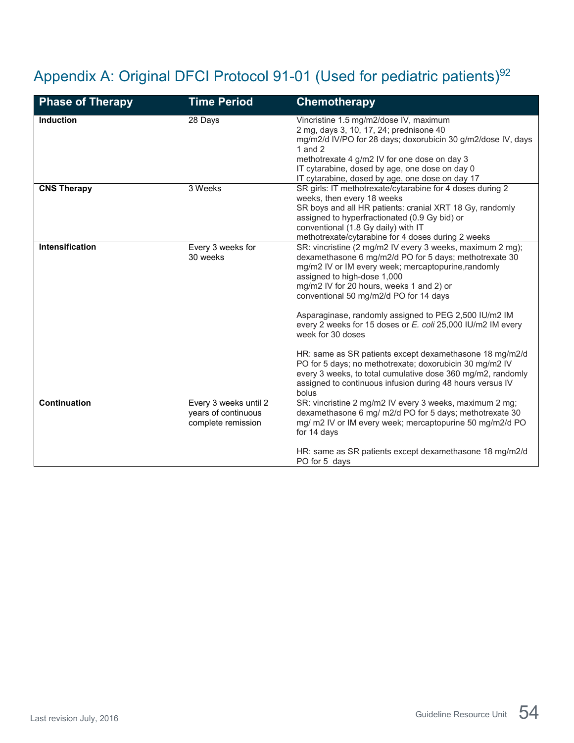## <span id="page-53-0"></span>Appendix A: Original DFCI Protocol 91-01 (Used for pediatric patients)<sup>92</sup>

| <b>Phase of Therapy</b> | <b>Time Period</b>                                                 | <b>Chemotherapy</b>                                                                                                                                                                                                                                                                                                                                                                                                                                                                                                                                                                                                                                                                                     |
|-------------------------|--------------------------------------------------------------------|---------------------------------------------------------------------------------------------------------------------------------------------------------------------------------------------------------------------------------------------------------------------------------------------------------------------------------------------------------------------------------------------------------------------------------------------------------------------------------------------------------------------------------------------------------------------------------------------------------------------------------------------------------------------------------------------------------|
| <b>Induction</b>        | 28 Days                                                            | Vincristine 1.5 mg/m2/dose IV, maximum<br>2 mg, days 3, 10, 17, 24; prednisone 40<br>mg/m2/d IV/PO for 28 days; doxorubicin 30 g/m2/dose IV, days<br>1 and $2$<br>methotrexate 4 g/m2 IV for one dose on day 3<br>IT cytarabine, dosed by age, one dose on day 0<br>IT cytarabine, dosed by age, one dose on day 17                                                                                                                                                                                                                                                                                                                                                                                     |
| <b>CNS Therapy</b>      | 3 Weeks                                                            | SR girls: IT methotrexate/cytarabine for 4 doses during 2<br>weeks, then every 18 weeks<br>SR boys and all HR patients: cranial XRT 18 Gy, randomly<br>assigned to hyperfractionated (0.9 Gy bid) or<br>conventional (1.8 Gy daily) with IT<br>methotrexate/cytarabine for 4 doses during 2 weeks                                                                                                                                                                                                                                                                                                                                                                                                       |
| <b>Intensification</b>  | Every 3 weeks for<br>30 weeks                                      | SR: vincristine (2 mg/m2 IV every 3 weeks, maximum 2 mg);<br>dexamethasone 6 mg/m2/d PO for 5 days; methotrexate 30<br>mg/m2 IV or IM every week; mercaptopurine, randomly<br>assigned to high-dose 1,000<br>mg/m2 IV for 20 hours, weeks 1 and 2) or<br>conventional 50 mg/m2/d PO for 14 days<br>Asparaginase, randomly assigned to PEG 2,500 IU/m2 IM<br>every 2 weeks for 15 doses or E. coli 25,000 IU/m2 IM every<br>week for 30 doses<br>HR: same as SR patients except dexamethasone 18 mg/m2/d<br>PO for 5 days; no methotrexate; doxorubicin 30 mg/m2 IV<br>every 3 weeks, to total cumulative dose 360 mg/m2, randomly<br>assigned to continuous infusion during 48 hours versus IV<br>bolus |
| Continuation            | Every 3 weeks until 2<br>years of continuous<br>complete remission | SR: vincristine 2 mg/m2 IV every 3 weeks, maximum 2 mg;<br>dexamethasone 6 mg/ m2/d PO for 5 days; methotrexate 30<br>mg/ m2 IV or IM every week; mercaptopurine 50 mg/m2/d PO<br>for 14 days<br>HR: same as SR patients except dexamethasone 18 mg/m2/d<br>PO for 5 days                                                                                                                                                                                                                                                                                                                                                                                                                               |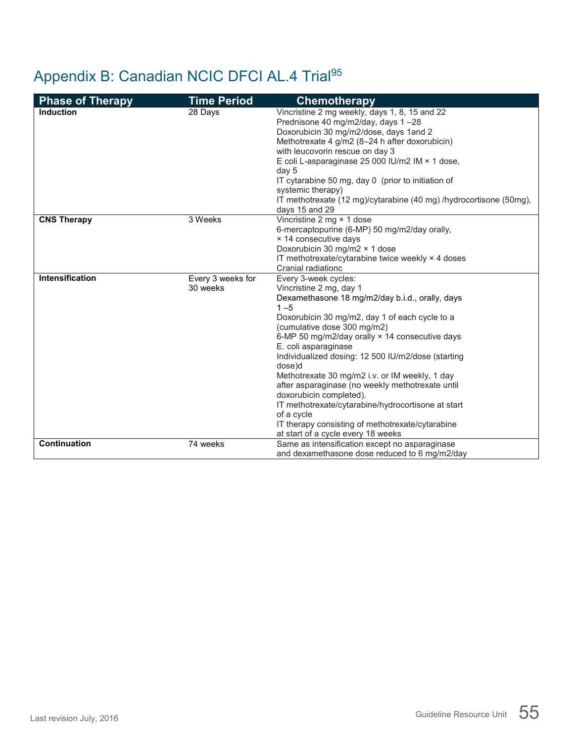## <span id="page-54-0"></span>Appendix B: Canadian NCIC DFCI AL.4 Trial95

| <b>Phase of Therapy</b> | <b>Time Period</b>            | <b>Chemotherapy</b>                                                                                                                                                                                                                                                                                                                                                                                                                                                                                                                                                                                                                     |
|-------------------------|-------------------------------|-----------------------------------------------------------------------------------------------------------------------------------------------------------------------------------------------------------------------------------------------------------------------------------------------------------------------------------------------------------------------------------------------------------------------------------------------------------------------------------------------------------------------------------------------------------------------------------------------------------------------------------------|
| <b>Induction</b>        | 28 Days                       | Vincristine 2 mg weekly, days 1, 8, 15 and 22<br>Prednisone 40 mg/m2/day, days 1-28<br>Doxorubicin 30 mg/m2/dose, days 1and 2<br>Methotrexate 4 g/m2 (8-24 h after doxorubicin)<br>with leucovorin rescue on day 3<br>E coli L-asparaginase 25 000 IU/m2 IM × 1 dose,<br>day 5<br>IT cytarabine 50 mg, day 0 (prior to initiation of<br>systemic therapy)<br>IT methotrexate (12 mg)/cytarabine (40 mg) /hydrocortisone (50mg),<br>days 15 and 29                                                                                                                                                                                       |
| <b>CNS Therapy</b>      | 3 Weeks                       | Vincristine 2 mg × 1 dose<br>6-mercaptopurine (6-MP) 50 mg/m2/day orally,<br>× 14 consecutive days<br>Doxorubicin 30 mg/m2 × 1 dose<br>IT methotrexate/cytarabine twice weekly × 4 doses<br>Cranial radiationc                                                                                                                                                                                                                                                                                                                                                                                                                          |
| <b>Intensification</b>  | Every 3 weeks for<br>30 weeks | Every 3-week cycles:<br>Vincristine 2 mg, day 1<br>Dexamethasone 18 mg/m2/day b.i.d., orally, days<br>$1 - 5$<br>Doxorubicin 30 mg/m2, day 1 of each cycle to a<br>(cumulative dose 300 mg/m2)<br>6-MP 50 mg/m2/day orally × 14 consecutive days<br>E. coli asparaginase<br>Individualized dosing: 12 500 IU/m2/dose (starting<br>dose)d<br>Methotrexate 30 mg/m2 i.v. or IM weekly, 1 day<br>after asparaginase (no weekly methotrexate until<br>doxorubicin completed).<br>IT methotrexate/cytarabine/hydrocortisone at start<br>of a cycle<br>IT therapy consisting of methotrexate/cytarabine<br>at start of a cycle every 18 weeks |
| Continuation            | 74 weeks                      | Same as intensification except no asparaginase<br>and dexamethasone dose reduced to 6 mg/m2/day                                                                                                                                                                                                                                                                                                                                                                                                                                                                                                                                         |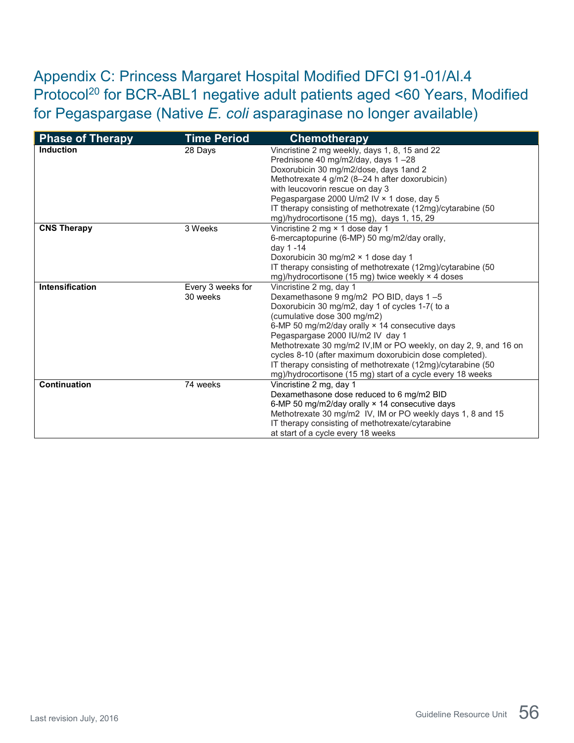<span id="page-55-0"></span>Appendix C: Princess Margaret Hospital Modified DFCI 91-01/Al.4 Protocol<sup>20</sup> for BCR-ABL1 negative adult patients aged <60 Years, Modified for Pegaspargase (Native *E. coli* asparaginase no longer available)

| <b>Phase of Therapy</b> | <b>Time Period</b>            | <b>Chemotherapy</b>                                                                                                                                                                                                                                                                                                                                                                                                                                                                                    |
|-------------------------|-------------------------------|--------------------------------------------------------------------------------------------------------------------------------------------------------------------------------------------------------------------------------------------------------------------------------------------------------------------------------------------------------------------------------------------------------------------------------------------------------------------------------------------------------|
| <b>Induction</b>        | 28 Days                       | Vincristine 2 mg weekly, days 1, 8, 15 and 22<br>Prednisone 40 mg/m2/day, days 1-28<br>Doxorubicin 30 mg/m2/dose, days 1and 2<br>Methotrexate 4 g/m2 (8-24 h after doxorubicin)<br>with leucovorin rescue on day 3<br>Pegaspargase 2000 U/m2 IV × 1 dose, day 5<br>IT therapy consisting of methotrexate (12mg)/cytarabine (50<br>mg)/hydrocortisone (15 mg), days 1, 15, 29                                                                                                                           |
| <b>CNS Therapy</b>      | 3 Weeks                       | Vincristine 2 mg × 1 dose day 1<br>6-mercaptopurine (6-MP) 50 mg/m2/day orally,<br>day 1 -14<br>Doxorubicin 30 mg/m2 × 1 dose day 1<br>IT therapy consisting of methotrexate (12mg)/cytarabine (50<br>mg)/hydrocortisone (15 mg) twice weekly × 4 doses                                                                                                                                                                                                                                                |
| Intensification         | Every 3 weeks for<br>30 weeks | Vincristine 2 mg, day 1<br>Dexamethasone 9 mg/m2 PO BID, days 1-5<br>Doxorubicin 30 mg/m2, day 1 of cycles 1-7( to a<br>(cumulative dose 300 mg/m2)<br>6-MP 50 mg/m2/day orally × 14 consecutive days<br>Pegaspargase 2000 IU/m2 IV day 1<br>Methotrexate 30 mg/m2 IV, IM or PO weekly, on day 2, 9, and 16 on<br>cycles 8-10 (after maximum doxorubicin dose completed).<br>IT therapy consisting of methotrexate (12mg)/cytarabine (50<br>mg)/hydrocortisone (15 mg) start of a cycle every 18 weeks |
| Continuation            | 74 weeks                      | Vincristine 2 mg, day 1<br>Dexamethasone dose reduced to 6 mg/m2 BID<br>6-MP 50 mg/m2/day orally × 14 consecutive days<br>Methotrexate 30 mg/m2 IV, IM or PO weekly days 1, 8 and 15<br>IT therapy consisting of methotrexate/cytarabine<br>at start of a cycle every 18 weeks                                                                                                                                                                                                                         |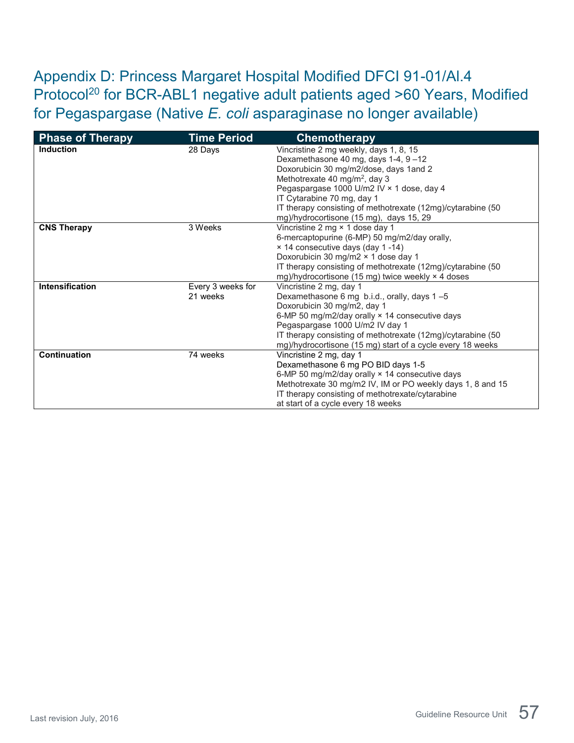<span id="page-56-0"></span>Appendix D: Princess Margaret Hospital Modified DFCI 91-01/Al.4 Protocol<sup>20</sup> for BCR-ABL1 negative adult patients aged >60 Years, Modified for Pegaspargase (Native *E. coli* asparaginase no longer available)

| <b>Phase of Therapy</b> | <b>Time Period</b> | <b>Chemotherapy</b>                                         |
|-------------------------|--------------------|-------------------------------------------------------------|
| <b>Induction</b>        | 28 Days            | Vincristine 2 mg weekly, days 1, 8, 15                      |
|                         |                    | Dexamethasone 40 mg, days 1-4, 9-12                         |
|                         |                    | Doxorubicin 30 mg/m2/dose, days 1and 2                      |
|                         |                    | Methotrexate 40 mg/m <sup>2</sup> , day 3                   |
|                         |                    | Pegaspargase 1000 U/m2 IV × 1 dose, day 4                   |
|                         |                    | IT Cytarabine 70 mg, day 1                                  |
|                         |                    | IT therapy consisting of methotrexate (12mg)/cytarabine (50 |
|                         |                    | mg)/hydrocortisone (15 mg), days 15, 29                     |
| <b>CNS Therapy</b>      | 3 Weeks            | Vincristine 2 mg × 1 dose day 1                             |
|                         |                    | 6-mercaptopurine (6-MP) 50 mg/m2/day orally,                |
|                         |                    | × 14 consecutive days (day 1-14)                            |
|                         |                    | Doxorubicin 30 mg/m2 × 1 dose day 1                         |
|                         |                    | IT therapy consisting of methotrexate (12mg)/cytarabine (50 |
|                         |                    | mg)/hydrocortisone (15 mg) twice weekly × 4 doses           |
| <b>Intensification</b>  | Every 3 weeks for  | Vincristine 2 mg, day 1                                     |
|                         | 21 weeks           | Dexamethasone 6 mg b.i.d., orally, days 1-5                 |
|                         |                    | Doxorubicin 30 mg/m2, day 1                                 |
|                         |                    | 6-MP 50 mg/m2/day orally $\times$ 14 consecutive days       |
|                         |                    | Pegaspargase 1000 U/m2 IV day 1                             |
|                         |                    | IT therapy consisting of methotrexate (12mg)/cytarabine (50 |
|                         |                    | mg)/hydrocortisone (15 mg) start of a cycle every 18 weeks  |
| <b>Continuation</b>     | 74 weeks           | Vincristine 2 mg, day 1                                     |
|                         |                    | Dexamethasone 6 mg PO BID days 1-5                          |
|                         |                    | 6-MP 50 mg/m2/day orally × 14 consecutive days              |
|                         |                    | Methotrexate 30 mg/m2 IV, IM or PO weekly days 1, 8 and 15  |
|                         |                    | IT therapy consisting of methotrexate/cytarabine            |
|                         |                    | at start of a cycle every 18 weeks                          |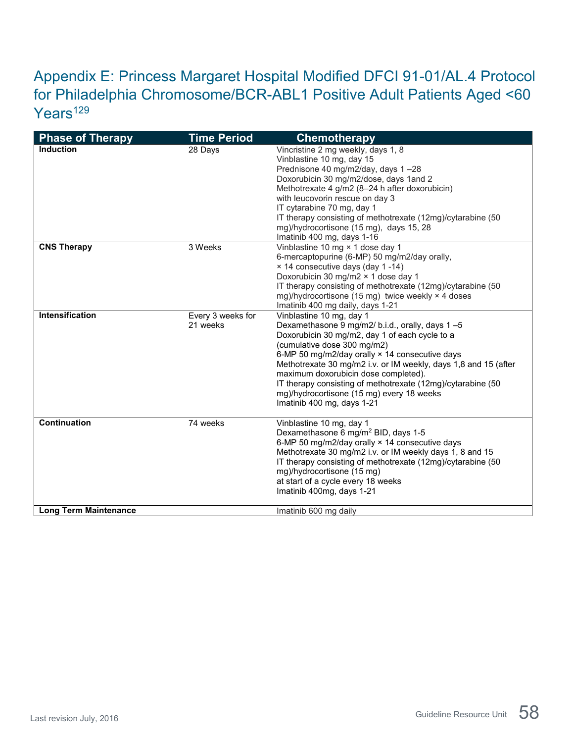## <span id="page-57-0"></span>Appendix E: Princess Margaret Hospital Modified DFCI 91-01/AL.4 Protocol for Philadelphia Chromosome/BCR-ABL1 Positive Adult Patients Aged <60 Years<sup>129</sup>

| <b>Phase of Therapy</b>      | <b>Time Period</b>            | <b>Chemotherapy</b>                                                                                                                                                                                                                                                                                                                                                                                                                                                 |
|------------------------------|-------------------------------|---------------------------------------------------------------------------------------------------------------------------------------------------------------------------------------------------------------------------------------------------------------------------------------------------------------------------------------------------------------------------------------------------------------------------------------------------------------------|
| <b>Induction</b>             | 28 Days                       | Vincristine 2 mg weekly, days 1, 8<br>Vinblastine 10 mg, day 15<br>Prednisone 40 mg/m2/day, days 1-28<br>Doxorubicin 30 mg/m2/dose, days 1and 2<br>Methotrexate 4 g/m2 (8-24 h after doxorubicin)<br>with leucovorin rescue on day 3<br>IT cytarabine 70 mg, day 1<br>IT therapy consisting of methotrexate (12mg)/cytarabine (50<br>mg)/hydrocortisone (15 mg), days 15, 28<br>Imatinib 400 mg, days 1-16                                                          |
| <b>CNS Therapy</b>           | 3 Weeks                       | Vinblastine 10 mg × 1 dose day 1<br>6-mercaptopurine (6-MP) 50 mg/m2/day orally,<br>× 14 consecutive days (day 1-14)<br>Doxorubicin 30 mg/m2 × 1 dose day 1<br>IT therapy consisting of methotrexate (12mg)/cytarabine (50<br>mg)/hydrocortisone (15 mg) twice weekly × 4 doses<br>Imatinib 400 mg daily, days 1-21                                                                                                                                                 |
| Intensification              | Every 3 weeks for<br>21 weeks | Vinblastine 10 mg, day 1<br>Dexamethasone 9 mg/m2/ b.i.d., orally, days 1-5<br>Doxorubicin 30 mg/m2, day 1 of each cycle to a<br>(cumulative dose 300 mg/m2)<br>6-MP 50 mg/m2/day orally × 14 consecutive days<br>Methotrexate 30 mg/m2 i.v. or IM weekly, days 1,8 and 15 (after<br>maximum doxorubicin dose completed).<br>IT therapy consisting of methotrexate (12mg)/cytarabine (50<br>mg)/hydrocortisone (15 mg) every 18 weeks<br>Imatinib 400 mg, days 1-21 |
| Continuation                 | 74 weeks                      | Vinblastine 10 mg, day 1<br>Dexamethasone 6 mg/m <sup>2</sup> BID, days 1-5<br>6-MP 50 mg/m2/day orally × 14 consecutive days<br>Methotrexate 30 mg/m2 i.v. or IM weekly days 1, 8 and 15<br>IT therapy consisting of methotrexate (12mg)/cytarabine (50<br>mg)/hydrocortisone (15 mg)<br>at start of a cycle every 18 weeks<br>Imatinib 400mg, days 1-21                                                                                                           |
| <b>Long Term Maintenance</b> |                               | Imatinib 600 mg daily                                                                                                                                                                                                                                                                                                                                                                                                                                               |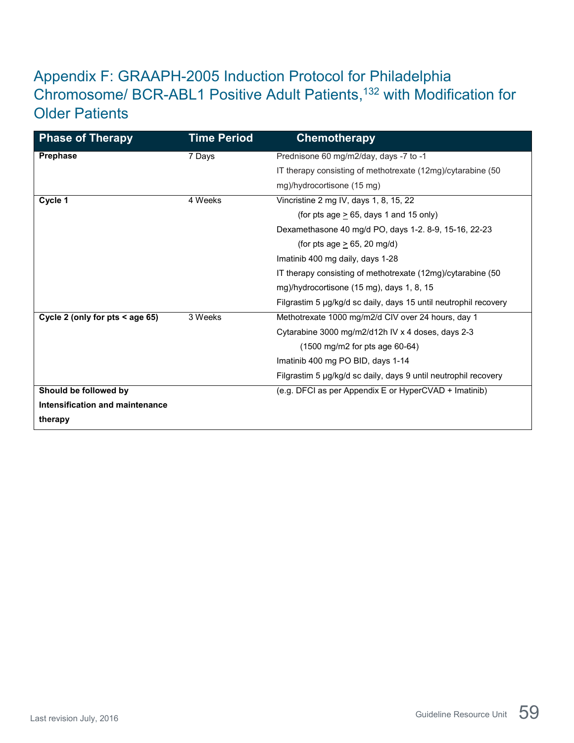## <span id="page-58-0"></span>Appendix F: GRAAPH-2005 Induction Protocol for Philadelphia Chromosome/ BCR-ABL1 Positive Adult Patients, <sup>132</sup> with Modification for Older Patients

| <b>Phase of Therapy</b>         | <b>Time Period</b> | <b>Chemotherapy</b>                                              |
|---------------------------------|--------------------|------------------------------------------------------------------|
| <b>Prephase</b>                 | 7 Days             | Prednisone 60 mg/m2/day, days -7 to -1                           |
|                                 |                    | IT therapy consisting of methotrexate (12mg)/cytarabine (50      |
|                                 |                    | mg)/hydrocortisone (15 mg)                                       |
| Cycle 1                         | 4 Weeks            | Vincristine 2 mg IV, days 1, 8, 15, 22                           |
|                                 |                    | (for pts age $> 65$ , days 1 and 15 only)                        |
|                                 |                    | Dexamethasone 40 mg/d PO, days 1-2. 8-9, 15-16, 22-23            |
|                                 |                    | (for pts age $\geq$ 65, 20 mg/d)                                 |
|                                 |                    | Imatinib 400 mg daily, days 1-28                                 |
|                                 |                    | IT therapy consisting of methotrexate (12mg)/cytarabine (50      |
|                                 |                    | mg)/hydrocortisone (15 mg), days 1, 8, 15                        |
|                                 |                    | Filgrastim 5 µg/kg/d sc daily, days 15 until neutrophil recovery |
| Cycle 2 (only for pts < age 65) | 3 Weeks            | Methotrexate 1000 mg/m2/d CIV over 24 hours, day 1               |
|                                 |                    | Cytarabine 3000 mg/m2/d12h IV x 4 doses, days 2-3                |
|                                 |                    | $(1500 \text{ mg/m2} \text{ for pts age } 60-64)$                |
|                                 |                    | Imatinib 400 mg PO BID, days 1-14                                |
|                                 |                    | Filgrastim 5 µg/kg/d sc daily, days 9 until neutrophil recovery  |
| Should be followed by           |                    | (e.g. DFCI as per Appendix E or HyperCVAD + Imatinib)            |
| Intensification and maintenance |                    |                                                                  |
| therapy                         |                    |                                                                  |